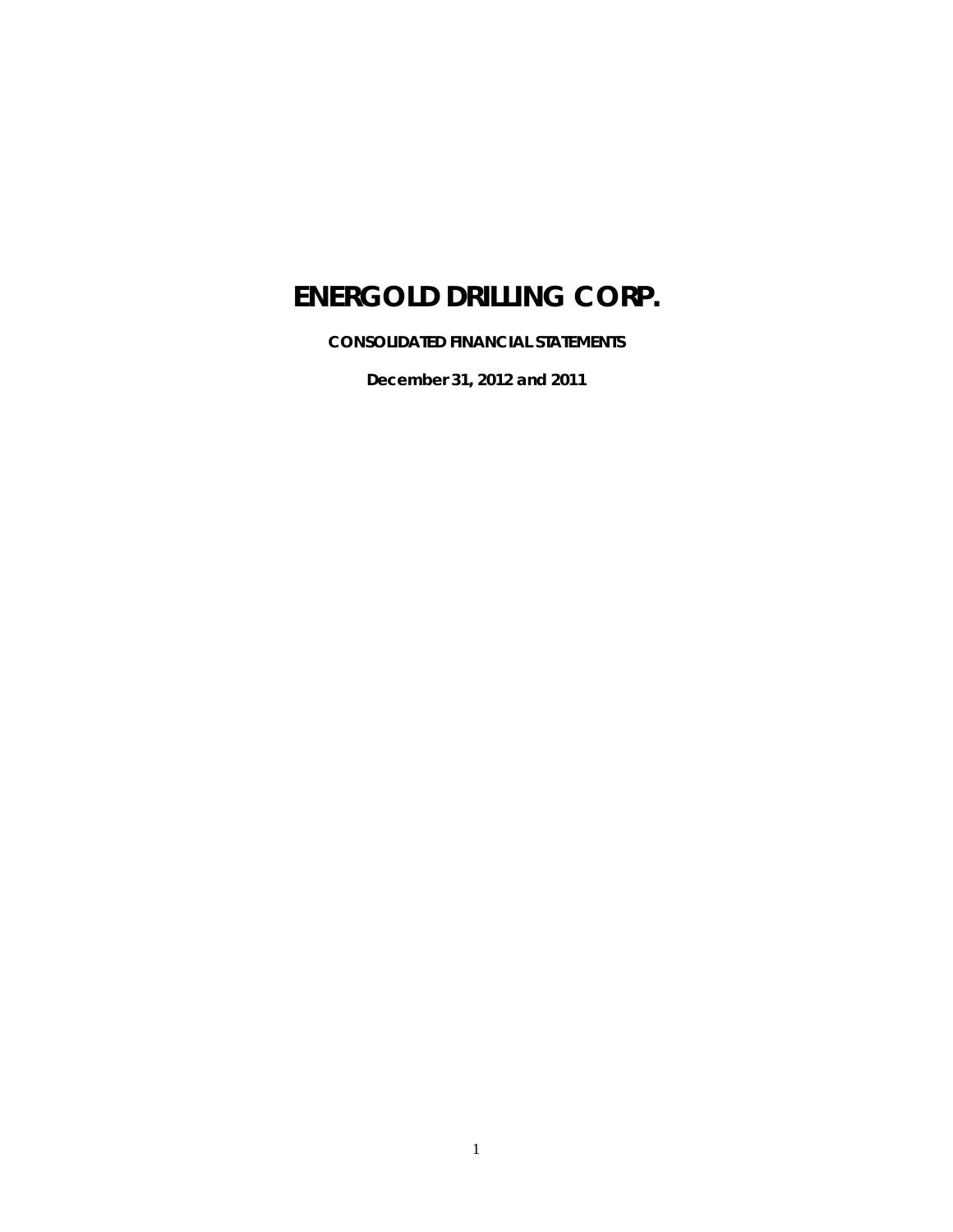# **ENERGOLD DRILLING CORP.**

**CONSOLIDATED FINANCIAL STATEMENTS** 

**December 31, 2012 and 2011**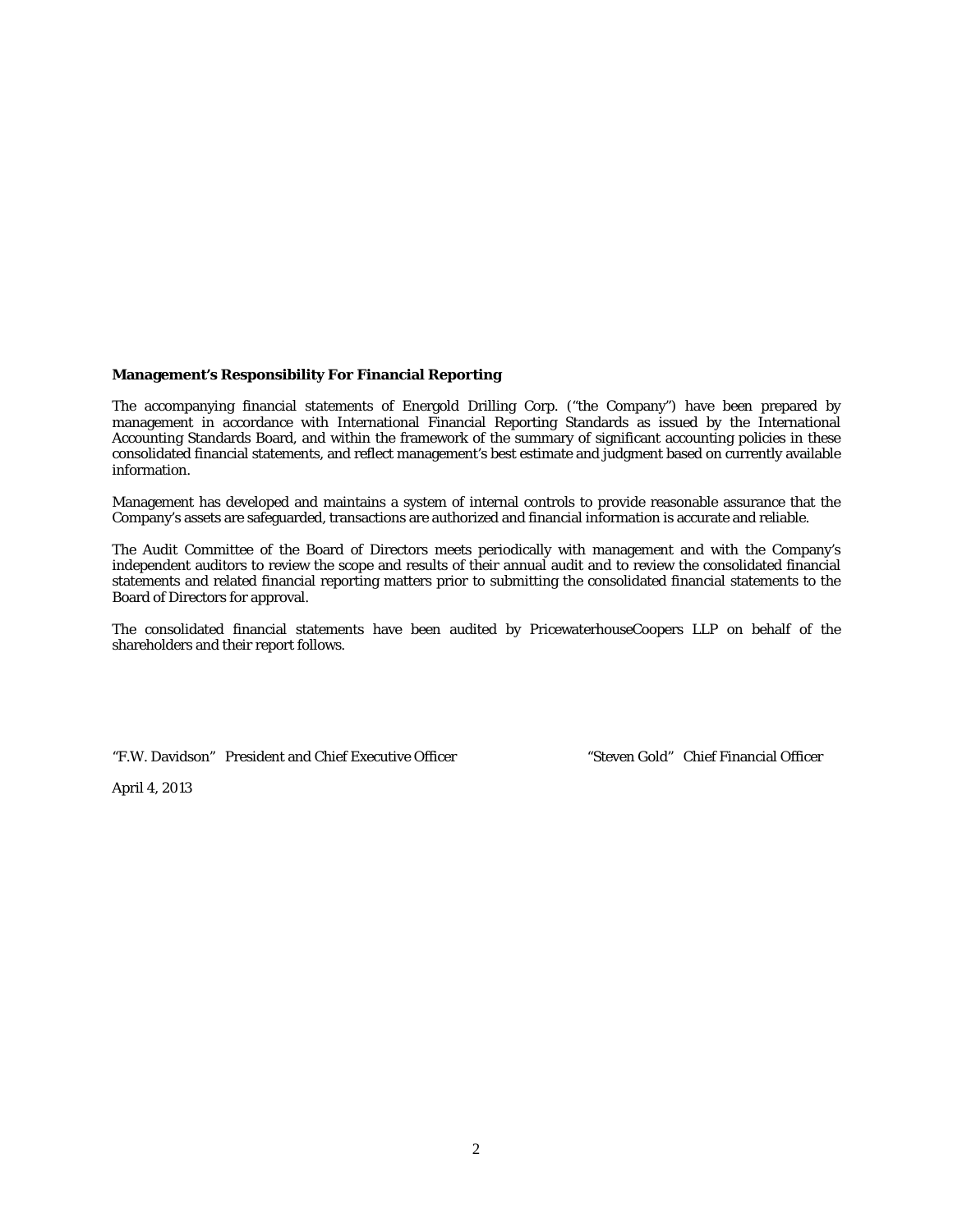### **Management's Responsibility For Financial Reporting**

The accompanying financial statements of Energold Drilling Corp. ("the Company") have been prepared by management in accordance with International Financial Reporting Standards as issued by the International Accounting Standards Board, and within the framework of the summary of significant accounting policies in these consolidated financial statements, and reflect management's best estimate and judgment based on currently available information.

Management has developed and maintains a system of internal controls to provide reasonable assurance that the Company's assets are safeguarded, transactions are authorized and financial information is accurate and reliable.

The Audit Committee of the Board of Directors meets periodically with management and with the Company's independent auditors to review the scope and results of their annual audit and to review the consolidated financial statements and related financial reporting matters prior to submitting the consolidated financial statements to the Board of Directors for approval.

The consolidated financial statements have been audited by PricewaterhouseCoopers LLP on behalf of the shareholders and their report follows.

"F.W. Davidson" President and Chief Executive Officer "Steven Gold" Chief Financial Officer

April 4, 2013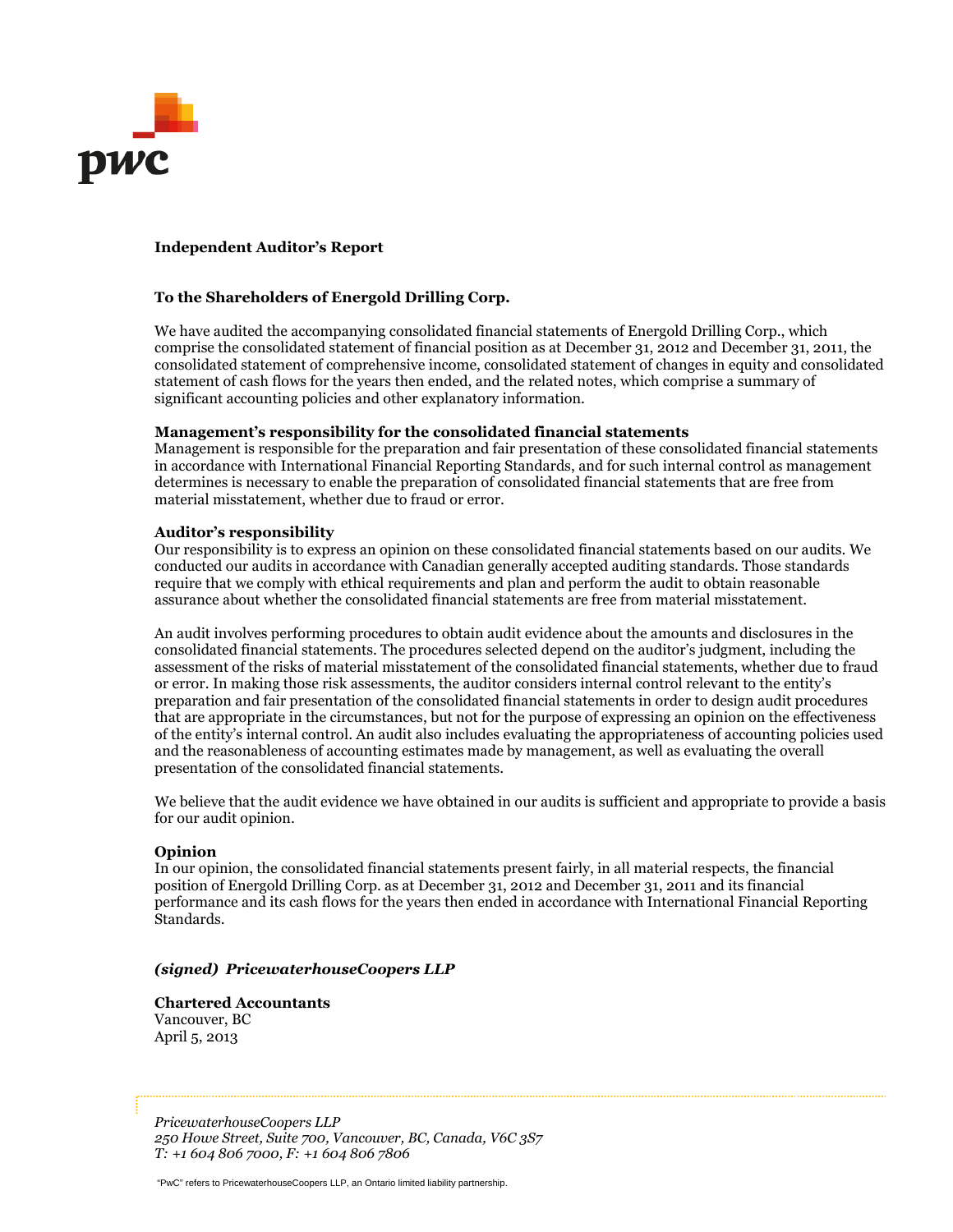

# **Independent Auditor's Report**

# **To the Shareholders of Energold Drilling Corp.**

We have audited the accompanying consolidated financial statements of Energold Drilling Corp., which comprise the consolidated statement of financial position as at December 31, 2012 and December 31, 2011, the consolidated statement of comprehensive income, consolidated statement of changes in equity and consolidated statement of cash flows for the years then ended, and the related notes, which comprise a summary of significant accounting policies and other explanatory information.

## **Management's responsibility for the consolidated financial statements**

Management is responsible for the preparation and fair presentation of these consolidated financial statements in accordance with International Financial Reporting Standards, and for such internal control as management determines is necessary to enable the preparation of consolidated financial statements that are free from material misstatement, whether due to fraud or error.

# **Auditor's responsibility**

Our responsibility is to express an opinion on these consolidated financial statements based on our audits. We conducted our audits in accordance with Canadian generally accepted auditing standards. Those standards require that we comply with ethical requirements and plan and perform the audit to obtain reasonable assurance about whether the consolidated financial statements are free from material misstatement.

An audit involves performing procedures to obtain audit evidence about the amounts and disclosures in the consolidated financial statements. The procedures selected depend on the auditor's judgment, including the assessment of the risks of material misstatement of the consolidated financial statements, whether due to fraud or error. In making those risk assessments, the auditor considers internal control relevant to the entity's preparation and fair presentation of the consolidated financial statements in order to design audit procedures that are appropriate in the circumstances, but not for the purpose of expressing an opinion on the effectiveness of the entity's internal control. An audit also includes evaluating the appropriateness of accounting policies used and the reasonableness of accounting estimates made by management, as well as evaluating the overall presentation of the consolidated financial statements.

We believe that the audit evidence we have obtained in our audits is sufficient and appropriate to provide a basis for our audit opinion.

## **Opinion**

In our opinion, the consolidated financial statements present fairly, in all material respects, the financial position of Energold Drilling Corp. as at December 31, 2012 and December 31, 2011 and its financial performance and its cash flows for the years then ended in accordance with International Financial Reporting Standards.

# *(signed) PricewaterhouseCoopers LLP*

**Chartered Accountants** Vancouver, BC April 5, 2013

*PricewaterhouseCoopers LLP 250 Howe Street, Suite 700, Vancouver, BC, Canada, V6C 3S7 T: +1 604 806 7000, F: +1 604 806 7806*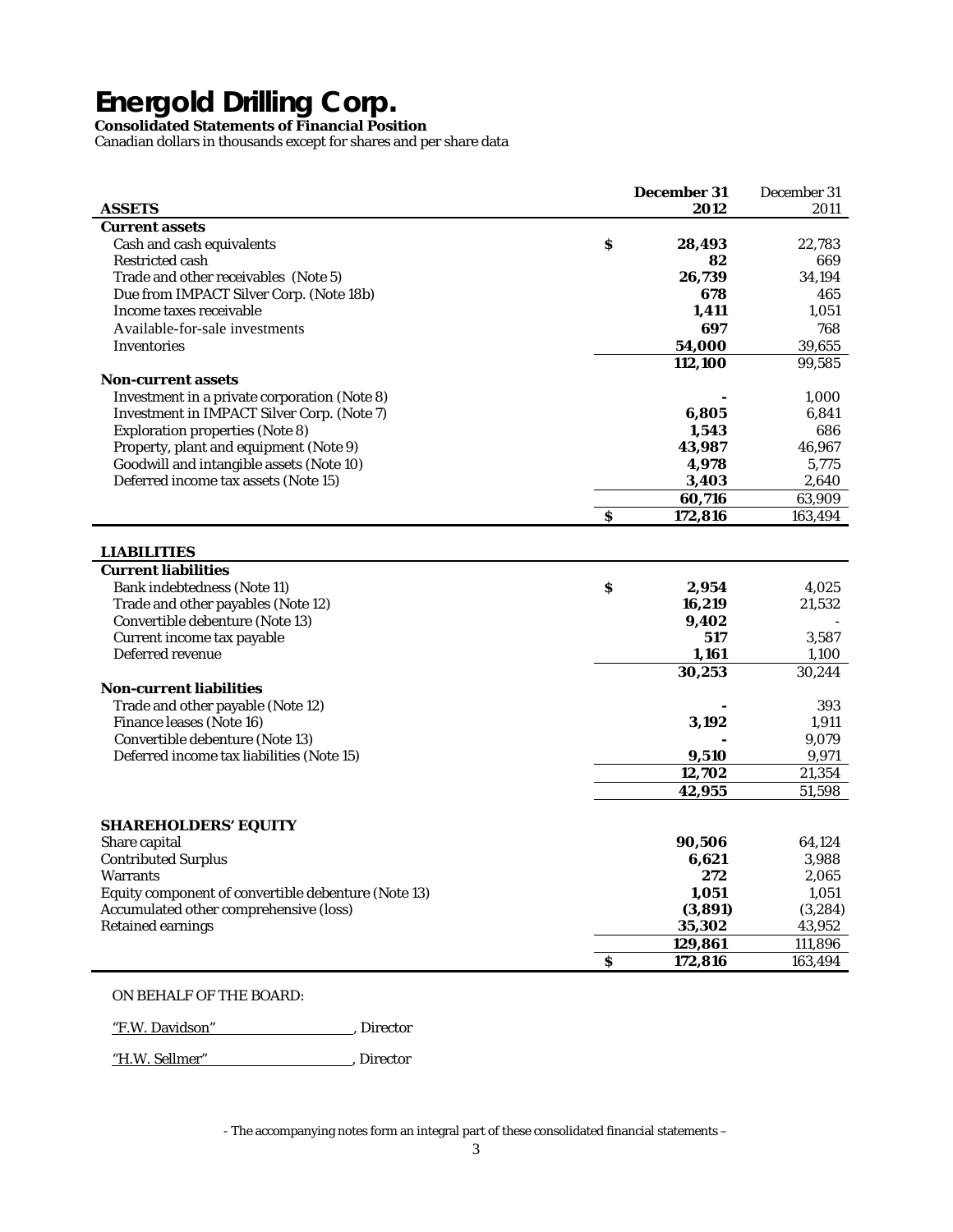**Consolidated Statements of Financial Position** Canadian dollars in thousands except for shares and per share data

**ASSETS December 31 2012**  December 31 2011 **Current assets**  Cash and cash equivalents **\$ 28,493** 22,783 Restricted cash **82** 669<br>Trade and other receivables *(Note 5)* **82 82 82 82 84,194 82 84,194**  Trade and other receivables *(Note 5)* **26,739** 34,194 Due from IMPACT Silver Corp. *(Note 18b)* **678** 465 Income taxes receivable **1.051 1.051 1.051** Available-for-sale investments **697** 768 Inventories **54,000** 39,655 **112,100** 99,585 **Non-current assets**  Investment in a private corporation *(Note 8)* **-** 1,000 Investment in IMPACT Silver Corp. *(Note 7)* **6,805** 6,841 Exploration properties *(Note 8)* **1,543** 686 Property, plant and equipment *(Note 9)* **43,987** 46,967 Goodwill and intangible assets *(Note 10)* **1,978 4,978 5,775**  Deferred income tax assets *(Note 15)* **3,403** 2,640 **60,716** 63,909 **\$ 172,816** 163,494 **LIABILITIES Current liabilities**  Bank indebtedness *(Note 11)* **\$ 2,954** 4,025 Trade and other payables *(Note 12)* **16,219** 21,532 Convertible debenture *(Note 13)* **9,402** - Current income tax payable **517** 3,587 Deferred revenue **1,161** 1,100 **30,253** 30,244 **Non-current liabilities**  Trade and other payable *(Note 12)* **-** 393 Finance leases *(Note 16)* **3,192** 1,911 Convertible debenture *(Note 13)* **-** 9,079 Deferred income tax liabilities *(Note 15)* **9,510** 9,971 **12,702** 21,354 **42,955** 51,598 **SHAREHOLDERS' EQUITY**  Share capital **90,506** 64,124 Contributed Surplus **6,621** 3,988 Warrants **272** 2,065 Equity component of convertible debenture *(Note 13)* **1,051** 1,051 Accumulated other comprehensive (loss) **(3,891)** (3,284) Retained earnings **35,302** 43,952 **129,861** 111,896 **\$ 172,816** 163,494

### ON BEHALF OF THE BOARD:

"F.W. Davidson" , Director

"H.W. Sellmer" , Director

- The accompanying notes form an integral part of these consolidated financial statements –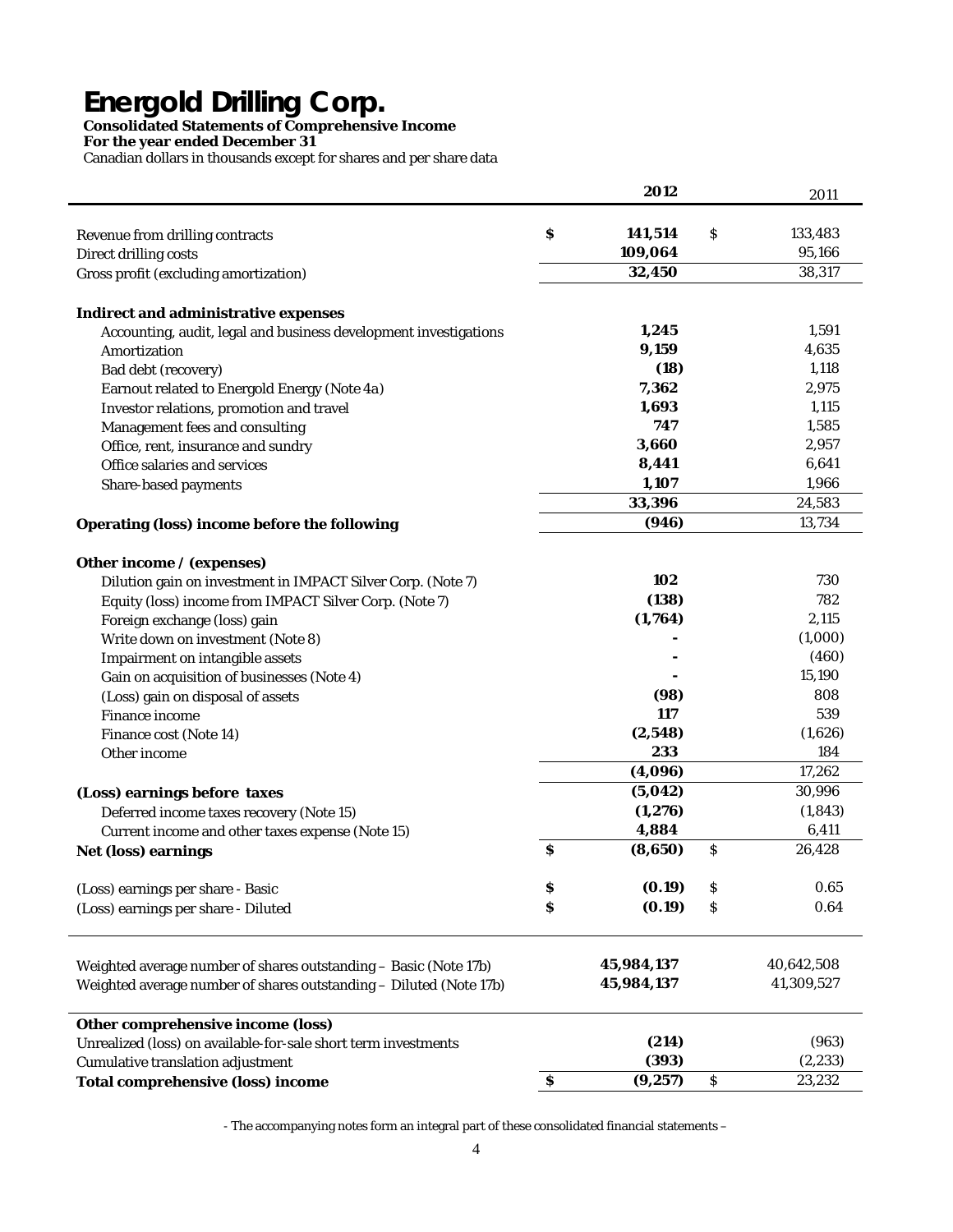# **Consolidated Statements of Comprehensive Income**

**For the year ended December 31** 

Canadian dollars in thousands except for shares and per share data

|                                                                    |    | 2012       |    | 2011       |
|--------------------------------------------------------------------|----|------------|----|------------|
|                                                                    |    |            |    |            |
| Revenue from drilling contracts                                    | \$ | 141,514    | S  | 133,483    |
| Direct drilling costs                                              |    | 109,064    |    | 95,166     |
| Gross profit (excluding amortization)                              |    | 32,450     |    | 38,317     |
| <b>Indirect and administrative expenses</b>                        |    |            |    |            |
| Accounting, audit, legal and business development investigations   |    | 1,245      |    | 1,591      |
| Amortization                                                       |    | 9,159      |    | 4,635      |
| Bad debt (recovery)                                                |    | (18)       |    | 1,118      |
| Earnout related to Energold Energy (Note 4a)                       |    | 7,362      |    | 2,975      |
| Investor relations, promotion and travel                           |    | 1,693      |    | 1,115      |
| Management fees and consulting                                     |    | 747        |    | 1,585      |
| Office, rent, insurance and sundry                                 |    | 3,660      |    | 2,957      |
| Office salaries and services                                       |    | 8,441      |    | 6,641      |
| Share-based payments                                               |    | 1,107      |    | 1,966      |
|                                                                    |    | 33,396     |    | 24,583     |
| <b>Operating (loss) income before the following</b>                |    | (946)      |    | 13,734     |
|                                                                    |    |            |    |            |
| Other income / (expenses)                                          |    | 102        |    | 730        |
| Dilution gain on investment in IMPACT Silver Corp. (Note 7)        |    | (138)      |    | 782        |
| Equity (loss) income from IMPACT Silver Corp. (Note 7)             |    | (1,764)    |    | 2,115      |
| Foreign exchange (loss) gain                                       |    |            |    | (1,000)    |
| Write down on investment (Note 8)                                  |    |            |    | (460)      |
| Impairment on intangible assets                                    |    |            |    | 15,190     |
| Gain on acquisition of businesses (Note 4)                         |    | (98)       |    | 808        |
| (Loss) gain on disposal of assets<br>Finance income                |    | 117        |    | 539        |
| Finance cost (Note 14)                                             |    | (2,548)    |    | (1,626)    |
| Other income                                                       |    | 233        |    | 184        |
|                                                                    |    | (4,096)    |    | 17,262     |
| (Loss) earnings before taxes                                       |    | (5,042)    |    | 30,996     |
| Deferred income taxes recovery (Note 15)                           |    | (1, 276)   |    | (1, 843)   |
| Current income and other taxes expense (Note 15)                   |    | 4,884      |    | 6,411      |
| <b>Net (loss) earnings</b>                                         | S  | (8, 650)   | \$ | 26,428     |
|                                                                    |    |            |    |            |
| (Loss) earnings per share - Basic                                  | \$ | (0.19)     | \$ | 0.65       |
| (Loss) earnings per share - Diluted                                | \$ | (0.19)     | \$ | 0.64       |
|                                                                    |    |            |    |            |
| Weighted average number of shares outstanding - Basic (Note 17b)   |    | 45,984,137 |    | 40,642,508 |
| Weighted average number of shares outstanding - Diluted (Note 17b) |    | 45,984,137 |    | 41,309,527 |
| Other comprehensive income (loss)                                  |    |            |    |            |
| Unrealized (loss) on available-for-sale short term investments     |    | (214)      |    | (963)      |
| Cumulative translation adjustment                                  |    | (393)      |    | (2, 233)   |
| <b>Total comprehensive (loss) income</b>                           | \$ | (9, 257)   | \$ | 23,232     |

- The accompanying notes form an integral part of these consolidated financial statements –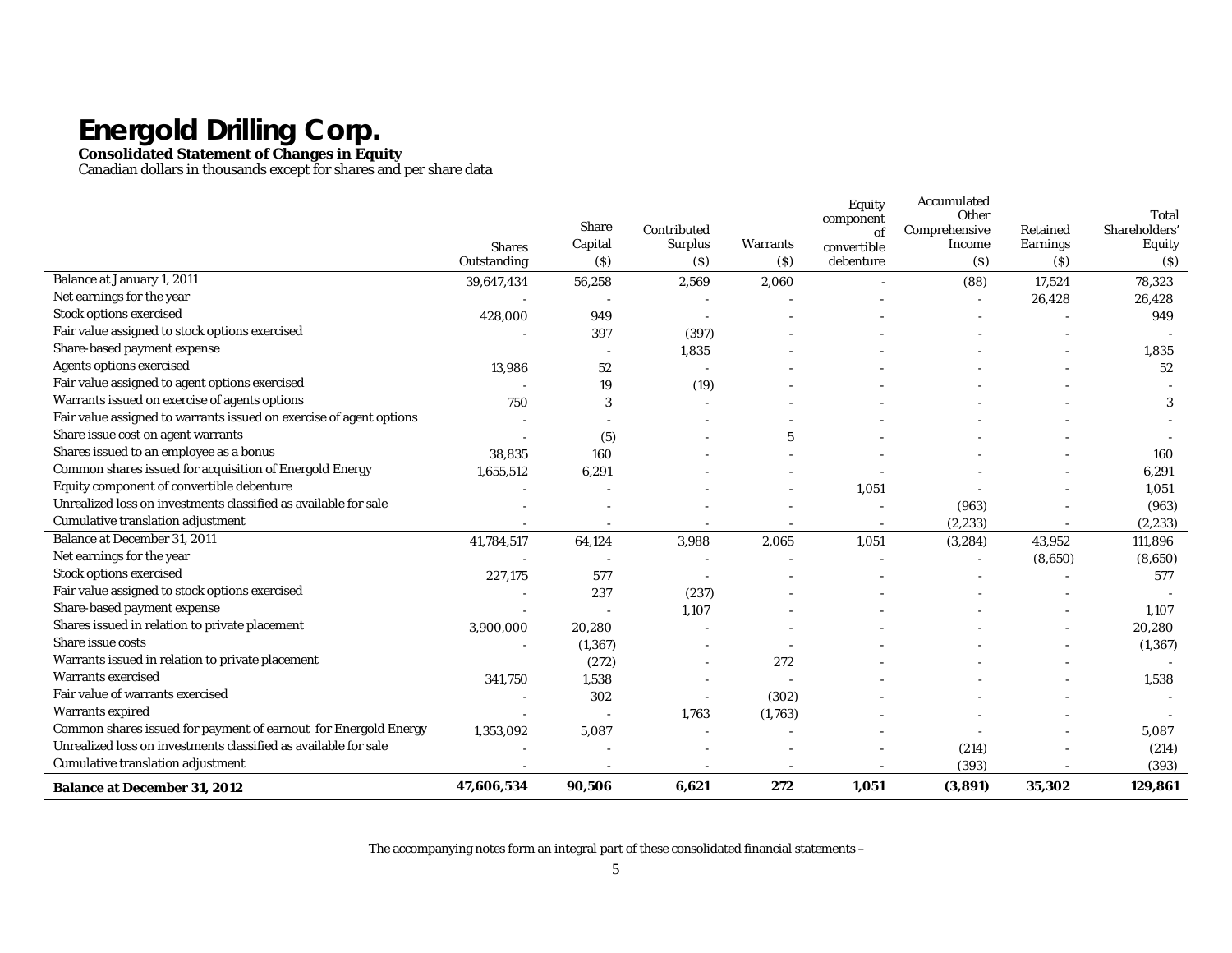**Consolidated Statement of Changes in Equity**

Canadian dollars in thousands except for shares and per share data

|                                                                     |               |              |                |          | Equity          | Accumulated<br>Other |                            | Total         |
|---------------------------------------------------------------------|---------------|--------------|----------------|----------|-----------------|----------------------|----------------------------|---------------|
|                                                                     |               | <b>Share</b> | Contributed    |          | component<br>of | Comprehensive        | Retained                   | Shareholders' |
|                                                                     | <b>Shares</b> | Capital      | <b>Surplus</b> | Warrants | convertible     | Income               | Earnings                   | Equity        |
|                                                                     | Outstanding   | (S)          | (S)            | (S)      | debenture       | (S)                  | $\left( \mathbf{S}\right)$ | (S)           |
| Balance at January 1, 2011                                          | 39,647,434    | 56,258       | 2,569          | 2,060    |                 | (88)                 | 17,524                     | 78,323        |
| Net earnings for the year                                           |               |              |                |          |                 |                      | 26,428                     | 26,428        |
| Stock options exercised                                             | 428,000       | 949          |                |          |                 |                      |                            | 949           |
| Fair value assigned to stock options exercised                      |               | 397          | (397)          |          |                 |                      |                            |               |
| Share-based payment expense                                         |               |              | 1,835          |          |                 |                      |                            | 1.835         |
| Agents options exercised                                            | 13,986        | 52           |                |          |                 |                      |                            | 52            |
| Fair value assigned to agent options exercised                      |               | 19           | (19)           |          |                 |                      |                            |               |
| Warrants issued on exercise of agents options                       | 750           | 3            |                |          |                 |                      |                            | 3             |
| Fair value assigned to warrants issued on exercise of agent options |               |              |                |          |                 |                      |                            |               |
| Share issue cost on agent warrants                                  |               | (5)          |                | 5        |                 |                      |                            |               |
| Shares issued to an employee as a bonus                             | 38,835        | 160          |                |          |                 |                      |                            | 160           |
| Common shares issued for acquisition of Energold Energy             | 1,655,512     | 6,291        |                |          |                 |                      |                            | 6,291         |
| Equity component of convertible debenture                           |               |              |                |          | 1,051           |                      |                            | 1,051         |
| Unrealized loss on investments classified as available for sale     |               |              |                |          |                 | (963)                |                            | (963)         |
| Cumulative translation adjustment                                   |               |              |                |          |                 | (2, 233)             |                            | (2, 233)      |
| Balance at December 31, 2011                                        | 41,784,517    | 64,124       | 3,988          | 2,065    | 1,051           | (3,284)              | 43,952                     | 111,896       |
| Net earnings for the year                                           |               |              |                |          |                 |                      | (8,650)                    | (8,650)       |
| Stock options exercised                                             | 227,175       | 577          |                |          |                 |                      |                            | 577           |
| Fair value assigned to stock options exercised                      |               | 237          | (237)          |          |                 |                      |                            |               |
| Share-based payment expense                                         |               |              | 1,107          |          |                 |                      |                            | 1,107         |
| Shares issued in relation to private placement                      | 3,900,000     | 20,280       |                |          |                 |                      |                            | 20,280        |
| Share issue costs                                                   |               | (1, 367)     |                |          |                 |                      |                            | (1, 367)      |
| Warrants issued in relation to private placement                    |               | (272)        |                | 272      |                 |                      |                            |               |
| <b>Warrants exercised</b>                                           | 341,750       | 1,538        |                |          |                 |                      |                            | 1,538         |
| Fair value of warrants exercised                                    |               | 302          |                | (302)    |                 |                      |                            |               |
| Warrants expired                                                    |               |              | 1,763          | (1,763)  |                 |                      |                            |               |
| Common shares issued for payment of earnout for Energold Energy     | 1,353,092     | 5,087        |                |          |                 |                      |                            | 5.087         |
| Unrealized loss on investments classified as available for sale     |               |              |                |          |                 | (214)                |                            | (214)         |
| Cumulative translation adjustment                                   |               |              |                |          |                 | (393)                |                            | (393)         |
| <b>Balance at December 31, 2012</b>                                 | 47,606,534    | 90,506       | 6,621          | 272      | 1,051           | (3,891)              | 35,302                     | 129,861       |

The accompanying notes form an integral part of these consolidated financial statements –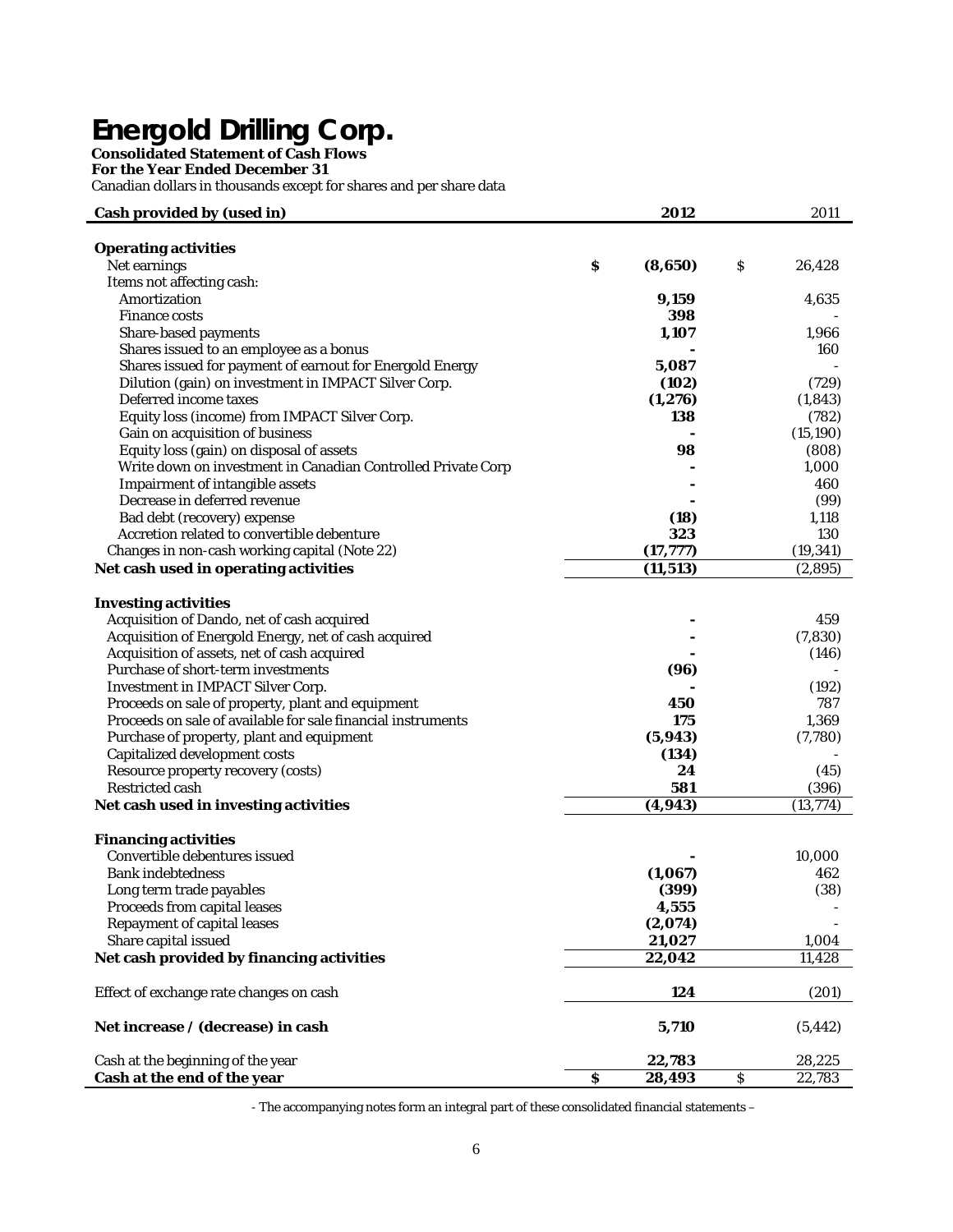**Consolidated Statement of Cash Flows** 

**For the Year Ended December 31** 

Canadian dollars in thousands except for shares and per share data

| Cash provided by (used in)                                   | 2012          | 2011         |
|--------------------------------------------------------------|---------------|--------------|
|                                                              |               |              |
| <b>Operating activities</b>                                  |               |              |
| Net earnings                                                 | \$<br>(8,650) | \$<br>26,428 |
| Items not affecting cash:                                    |               |              |
| Amortization                                                 | 9,159         | 4,635        |
| <b>Finance costs</b>                                         | 398           |              |
| Share-based payments                                         | 1,107         | 1,966        |
| Shares issued to an employee as a bonus                      |               | 160          |
| Shares issued for payment of earnout for Energold Energy     | 5,087         |              |
| Dilution (gain) on investment in IMPACT Silver Corp.         | (102)         | (729)        |
| Deferred income taxes                                        | (1, 276)      | (1, 843)     |
| Equity loss (income) from IMPACT Silver Corp.                | 138           | (782)        |
| Gain on acquisition of business                              |               | (15, 190)    |
| Equity loss (gain) on disposal of assets                     | 98            | (808)        |
| Write down on investment in Canadian Controlled Private Corp |               | 1,000        |
| Impairment of intangible assets                              |               | 460          |
| Decrease in deferred revenue                                 |               | (99)         |
| Bad debt (recovery) expense                                  | (18)          | 1,118        |
| Accretion related to convertible debenture                   | 323           | 130          |
| Changes in non-cash working capital (Note 22)                | (17, 777)     | (19, 341)    |
| Net cash used in operating activities                        | (11, 513)     | (2,895)      |
|                                                              |               |              |
| <b>Investing activities</b>                                  |               |              |
| Acquisition of Dando, net of cash acquired                   |               | 459          |
| Acquisition of Energold Energy, net of cash acquired         |               | (7, 830)     |
| Acquisition of assets, net of cash acquired                  |               | (146)        |
| Purchase of short-term investments                           | (96)          |              |
| <b>Investment in IMPACT Silver Corp.</b>                     |               | (192)        |
| Proceeds on sale of property, plant and equipment            | 450           | 787          |
| Proceeds on sale of available for sale financial instruments | 175           | 1,369        |
| Purchase of property, plant and equipment                    | (5, 943)      | (7,780)      |
| <b>Capitalized development costs</b>                         | (134)         |              |
| Resource property recovery (costs)                           | 24            | (45)         |
| <b>Restricted cash</b>                                       | 581           | (396)        |
| Net cash used in investing activities                        | (4, 943)      | (13, 774)    |
|                                                              |               |              |
| <b>Financing activities</b>                                  |               |              |
| Convertible debentures issued                                |               | 10,000       |
| <b>Bank indebtedness</b>                                     | (1,067)       | 462          |
| Long term trade payables                                     | (399)         | (38)         |
| Proceeds from capital leases                                 | 4,555         |              |
| <b>Repayment of capital leases</b>                           | (2,074)       |              |
| Share capital issued                                         | 21,027        | 1,004        |
| Net cash provided by financing activities                    | 22,042        | 11,428       |
|                                                              |               |              |
| Effect of exchange rate changes on cash                      | 124           | (201)        |
| Net increase / (decrease) in cash                            | 5,710         | (5, 442)     |
| Cash at the beginning of the year                            | 22,783        | 28,225       |
| Cash at the end of the year                                  | \$<br>28,493  | \$<br>22,783 |

- The accompanying notes form an integral part of these consolidated financial statements –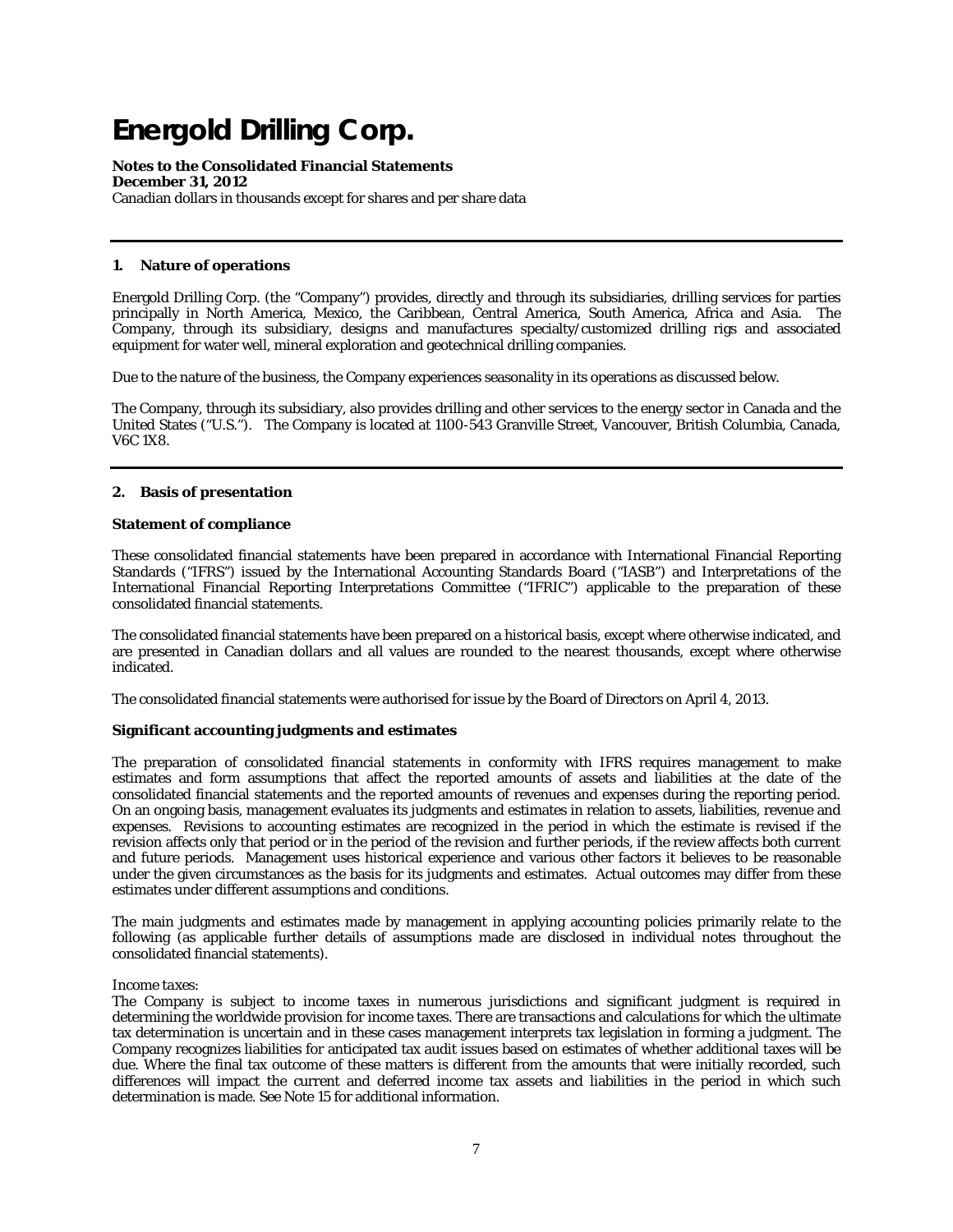#### **Notes to the Consolidated Financial Statements December 31, 2012**

Canadian dollars in thousands except for shares and per share data

## **1. Nature of operations**

Energold Drilling Corp. (the "Company") provides, directly and through its subsidiaries, drilling services for parties principally in North America, Mexico, the Caribbean, Central America, South America, Africa and Asia. The Company, through its subsidiary, designs and manufactures specialty/customized drilling rigs and associated equipment for water well, mineral exploration and geotechnical drilling companies.

Due to the nature of the business, the Company experiences seasonality in its operations as discussed below.

The Company, through its subsidiary, also provides drilling and other services to the energy sector in Canada and the United States ("U.S."). The Company is located at 1100-543 Granville Street, Vancouver, British Columbia, Canada, V6C 1X8.

### **2. Basis of presentation**

### **Statement of compliance**

These consolidated financial statements have been prepared in accordance with International Financial Reporting Standards ("IFRS") issued by the International Accounting Standards Board ("IASB") and Interpretations of the International Financial Reporting Interpretations Committee ("IFRIC") applicable to the preparation of these consolidated financial statements.

The consolidated financial statements have been prepared on a historical basis, except where otherwise indicated, and are presented in Canadian dollars and all values are rounded to the nearest thousands, except where otherwise indicated.

The consolidated financial statements were authorised for issue by the Board of Directors on April 4, 2013.

### **Significant accounting judgments and estimates**

The preparation of consolidated financial statements in conformity with IFRS requires management to make estimates and form assumptions that affect the reported amounts of assets and liabilities at the date of the consolidated financial statements and the reported amounts of revenues and expenses during the reporting period. On an ongoing basis, management evaluates its judgments and estimates in relation to assets, liabilities, revenue and expenses. Revisions to accounting estimates are recognized in the period in which the estimate is revised if the revision affects only that period or in the period of the revision and further periods, if the review affects both current and future periods. Management uses historical experience and various other factors it believes to be reasonable under the given circumstances as the basis for its judgments and estimates. Actual outcomes may differ from these estimates under different assumptions and conditions.

The main judgments and estimates made by management in applying accounting policies primarily relate to the following (as applicable further details of assumptions made are disclosed in individual notes throughout the consolidated financial statements).

#### *Income taxes:*

The Company is subject to income taxes in numerous jurisdictions and significant judgment is required in determining the worldwide provision for income taxes. There are transactions and calculations for which the ultimate tax determination is uncertain and in these cases management interprets tax legislation in forming a judgment. The Company recognizes liabilities for anticipated tax audit issues based on estimates of whether additional taxes will be due. Where the final tax outcome of these matters is different from the amounts that were initially recorded, such differences will impact the current and deferred income tax assets and liabilities in the period in which such determination is made. See Note 15 for additional information.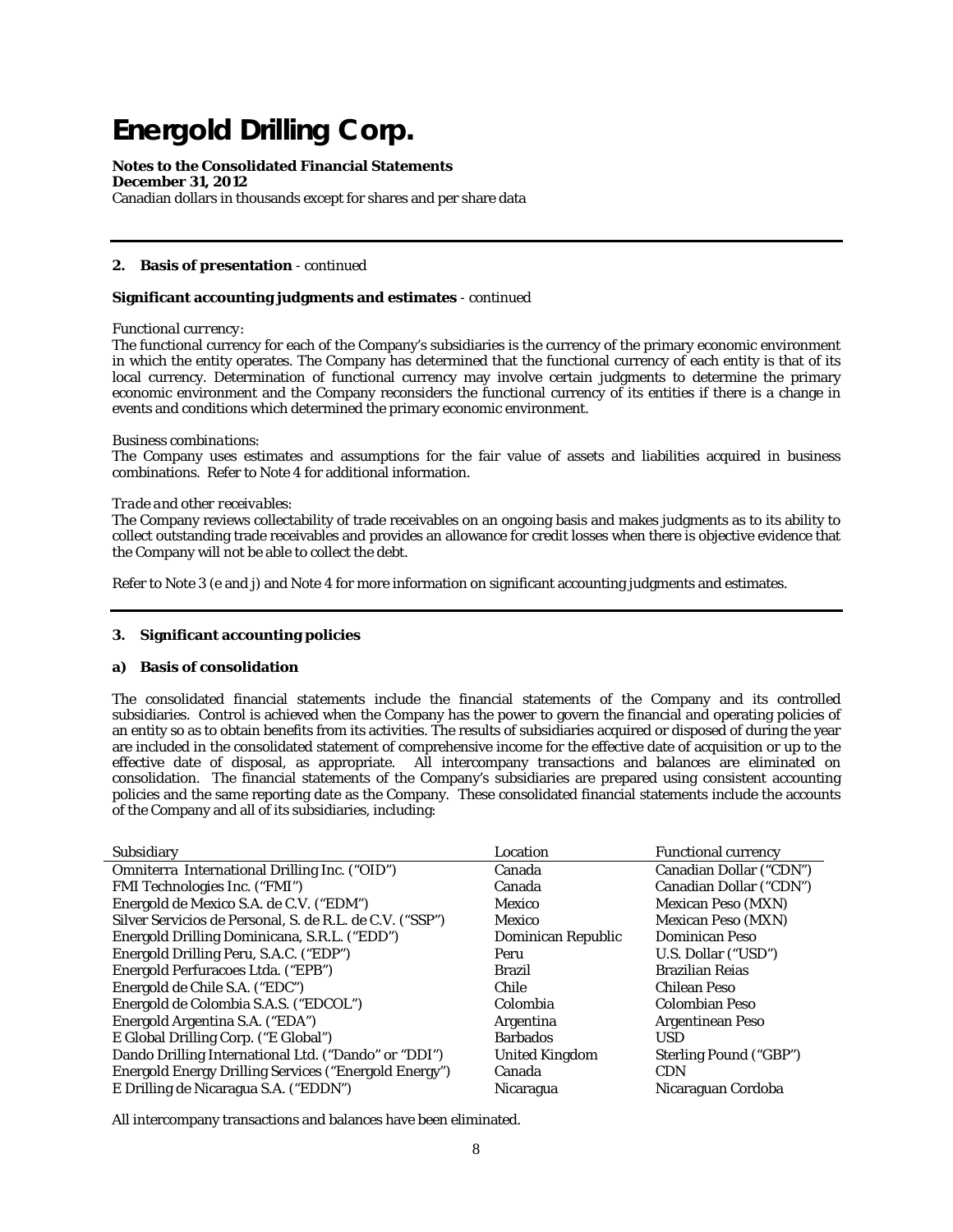# **Notes to the Consolidated Financial Statements**

**December 31, 2012** 

Canadian dollars in thousands except for shares and per share data

### **2. Basis of presentation** - *continued*

#### **Significant accounting judgments and estimates** - *continued*

#### *Functional currency:*

The functional currency for each of the Company's subsidiaries is the currency of the primary economic environment in which the entity operates. The Company has determined that the functional currency of each entity is that of its local currency. Determination of functional currency may involve certain judgments to determine the primary economic environment and the Company reconsiders the functional currency of its entities if there is a change in events and conditions which determined the primary economic environment.

#### *Business combinations:*

The Company uses estimates and assumptions for the fair value of assets and liabilities acquired in business combinations. Refer to Note 4 for additional information.

#### *Trade and other receivables:*

The Company reviews collectability of trade receivables on an ongoing basis and makes judgments as to its ability to collect outstanding trade receivables and provides an allowance for credit losses when there is objective evidence that the Company will not be able to collect the debt.

Refer to Note 3 (e and j) and Note 4 for more information on significant accounting judgments and estimates.

#### **3. Significant accounting policies**

#### **a) Basis of consolidation**

The consolidated financial statements include the financial statements of the Company and its controlled subsidiaries. Control is achieved when the Company has the power to govern the financial and operating policies of an entity so as to obtain benefits from its activities. The results of subsidiaries acquired or disposed of during the year are included in the consolidated statement of comprehensive income for the effective date of acquisition or up to the effective date of disposal, as appropriate. All intercompany transactions and balances are eliminated on consolidation. The financial statements of the Company's subsidiaries are prepared using consistent accounting policies and the same reporting date as the Company. These consolidated financial statements include the accounts of the Company and all of its subsidiaries, including:

| Subsidiary                                                   | Location              | <b>Functional currency</b> |
|--------------------------------------------------------------|-----------------------|----------------------------|
| Omniterra International Drilling Inc. ("OID")                | Canada                | Canadian Dollar ("CDN")    |
| <b>FMI</b> Technologies Inc. ("FMI")                         | Canada                | Canadian Dollar ("CDN")    |
| Energold de Mexico S.A. de C.V. ("EDM")                      | Mexico                | <b>Mexican Peso (MXN)</b>  |
| Silver Servicios de Personal, S. de R.L. de C.V. ("SSP")     | Mexico                | <b>Mexican Peso (MXN)</b>  |
| Energold Drilling Dominicana, S.R.L. ("EDD")                 | Dominican Republic    | <b>Dominican Peso</b>      |
| Energold Drilling Peru, S.A.C. ("EDP")                       | Peru                  | U.S. Dollar ("USD")        |
| Energold Perfuracoes Ltda. ("EPB")                           | <b>Brazil</b>         | <b>Brazilian Reias</b>     |
| Energold de Chile S.A. ("EDC")                               | Chile                 | <b>Chilean Peso</b>        |
| Energold de Colombia S.A.S. ("EDCOL")                        | Colombia              | <b>Colombian Peso</b>      |
| Energold Argentina S.A. ("EDA")                              | <b>Argentina</b>      | <b>Argentinean Peso</b>    |
| E Global Drilling Corp. ("E Global")                         | <b>Barbados</b>       | <b>USD</b>                 |
| Dando Drilling International Ltd. ("Dando" or "DDI")         | <b>United Kingdom</b> | Sterling Pound ("GBP")     |
| <b>Energold Energy Drilling Services ("Energold Energy")</b> | Canada                | <b>CDN</b>                 |
| E Drilling de Nicaragua S.A. ("EDDN")                        | <b>Nicaragua</b>      | Nicaraguan Cordoba         |

All intercompany transactions and balances have been eliminated.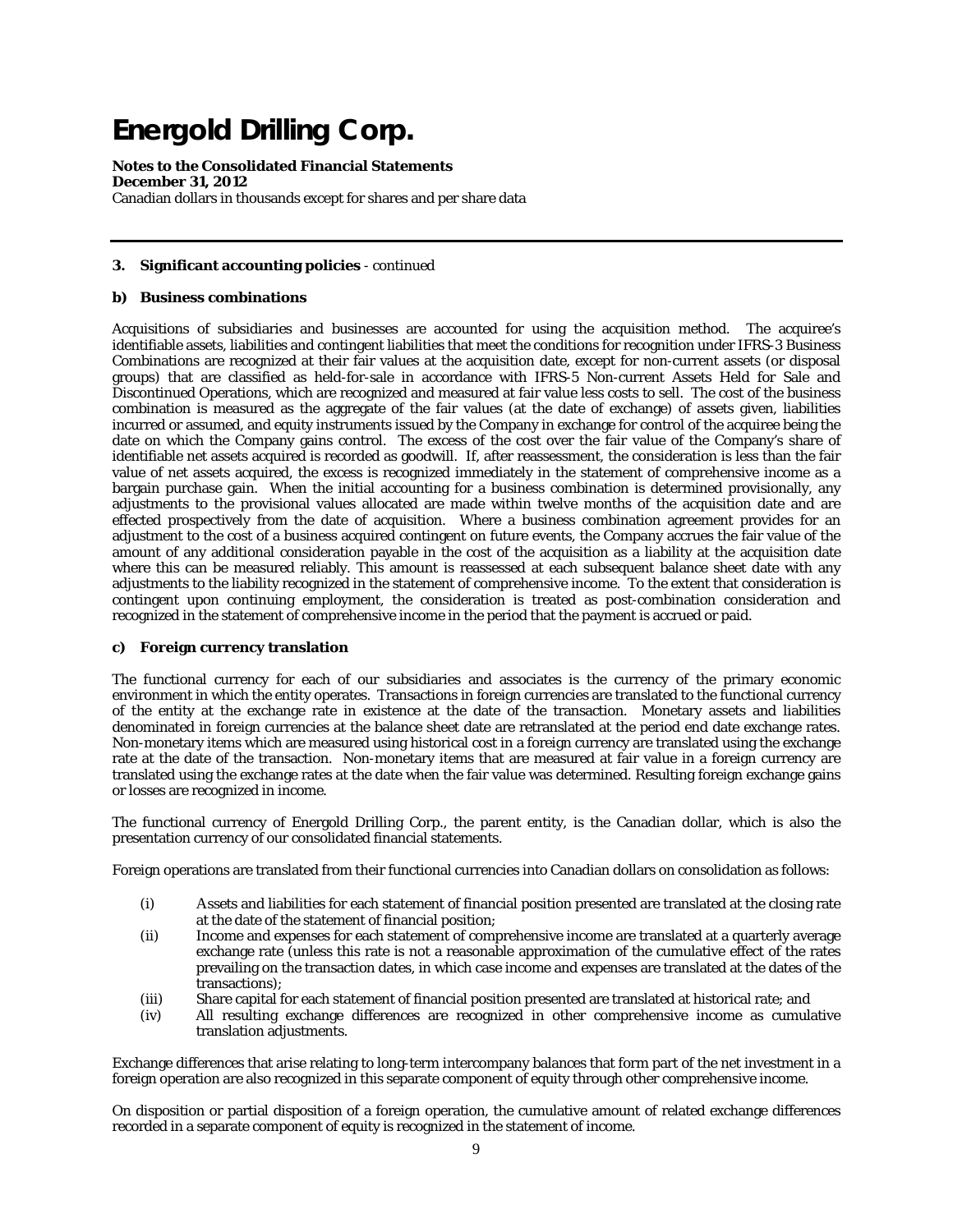#### **Notes to the Consolidated Financial Statements December 31, 2012**

Canadian dollars in thousands except for shares and per share data

# **3. Significant accounting policies** *- continued*

## **b) Business combinations**

Acquisitions of subsidiaries and businesses are accounted for using the acquisition method. The acquiree's identifiable assets, liabilities and contingent liabilities that meet the conditions for recognition under IFRS-3 Business Combinations are recognized at their fair values at the acquisition date, except for non-current assets (or disposal groups) that are classified as held-for-sale in accordance with IFRS-5 Non-current Assets Held for Sale and Discontinued Operations, which are recognized and measured at fair value less costs to sell. The cost of the business combination is measured as the aggregate of the fair values (at the date of exchange) of assets given, liabilities incurred or assumed, and equity instruments issued by the Company in exchange for control of the acquiree being the date on which the Company gains control. The excess of the cost over the fair value of the Company's share of identifiable net assets acquired is recorded as goodwill. If, after reassessment, the consideration is less than the fair value of net assets acquired, the excess is recognized immediately in the statement of comprehensive income as a bargain purchase gain. When the initial accounting for a business combination is determined provisionally, any adjustments to the provisional values allocated are made within twelve months of the acquisition date and are effected prospectively from the date of acquisition. Where a business combination agreement provides for an adjustment to the cost of a business acquired contingent on future events, the Company accrues the fair value of the amount of any additional consideration payable in the cost of the acquisition as a liability at the acquisition date where this can be measured reliably. This amount is reassessed at each subsequent balance sheet date with any adjustments to the liability recognized in the statement of comprehensive income. To the extent that consideration is contingent upon continuing employment, the consideration is treated as post-combination consideration and recognized in the statement of comprehensive income in the period that the payment is accrued or paid.

#### **c) Foreign currency translation**

The functional currency for each of our subsidiaries and associates is the currency of the primary economic environment in which the entity operates. Transactions in foreign currencies are translated to the functional currency of the entity at the exchange rate in existence at the date of the transaction. Monetary assets and liabilities denominated in foreign currencies at the balance sheet date are retranslated at the period end date exchange rates. Non-monetary items which are measured using historical cost in a foreign currency are translated using the exchange rate at the date of the transaction. Non-monetary items that are measured at fair value in a foreign currency are translated using the exchange rates at the date when the fair value was determined. Resulting foreign exchange gains or losses are recognized in income.

The functional currency of Energold Drilling Corp., the parent entity, is the Canadian dollar, which is also the presentation currency of our consolidated financial statements.

Foreign operations are translated from their functional currencies into Canadian dollars on consolidation as follows:

- (i) Assets and liabilities for each statement of financial position presented are translated at the closing rate at the date of the statement of financial position;
- (ii) Income and expenses for each statement of comprehensive income are translated at a quarterly average exchange rate (unless this rate is not a reasonable approximation of the cumulative effect of the rates prevailing on the transaction dates, in which case income and expenses are translated at the dates of the transactions);
- (iii) Share capital for each statement of financial position presented are translated at historical rate; and
- (iv) All resulting exchange differences are recognized in other comprehensive income as cumulative translation adjustments.

Exchange differences that arise relating to long-term intercompany balances that form part of the net investment in a foreign operation are also recognized in this separate component of equity through other comprehensive income.

On disposition or partial disposition of a foreign operation, the cumulative amount of related exchange differences recorded in a separate component of equity is recognized in the statement of income.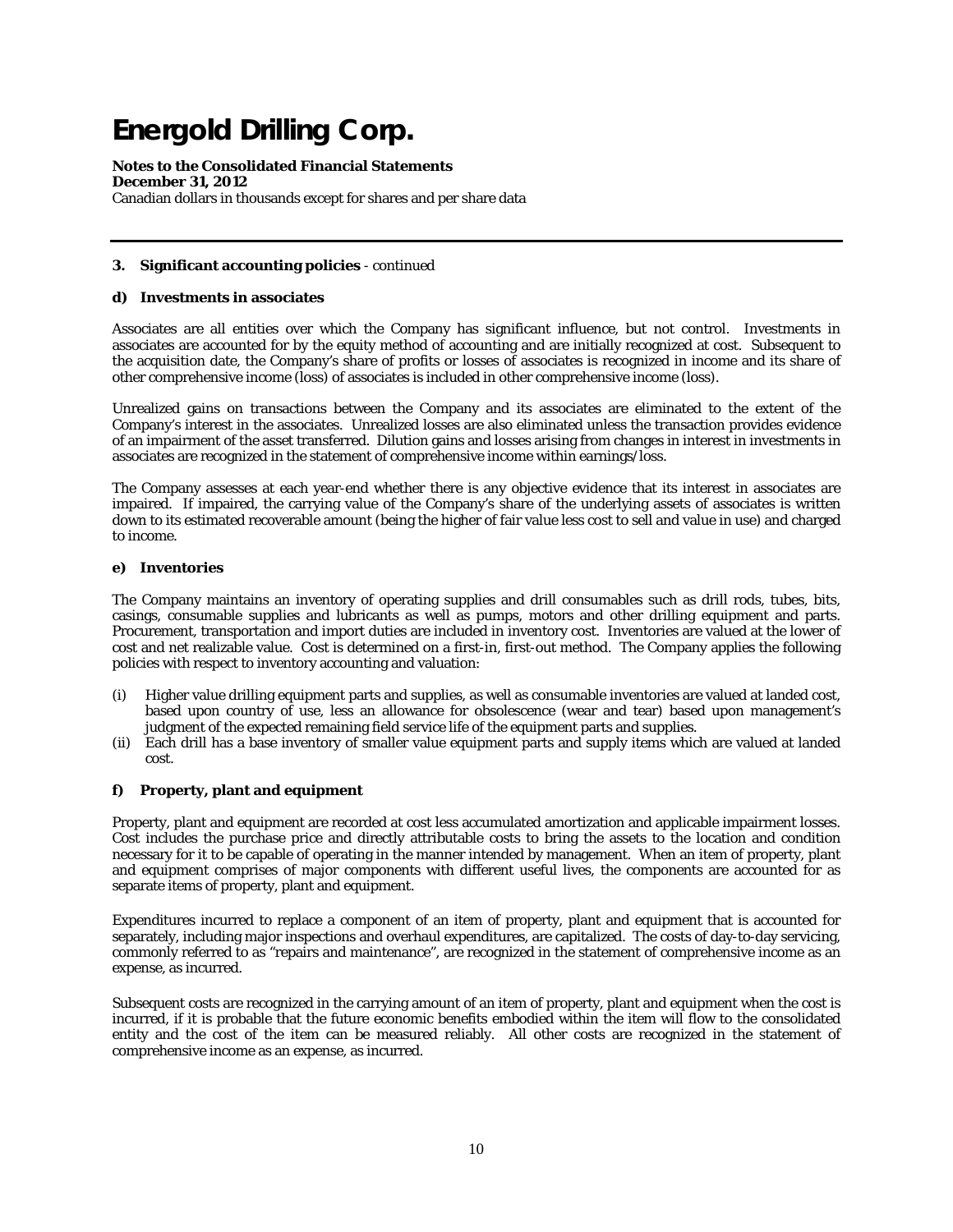#### **Notes to the Consolidated Financial Statements December 31, 2012**

Canadian dollars in thousands except for shares and per share data

# **3. Significant accounting policies** - *continued*

### **d) Investments in associates**

Associates are all entities over which the Company has significant influence, but not control. Investments in associates are accounted for by the equity method of accounting and are initially recognized at cost. Subsequent to the acquisition date, the Company's share of profits or losses of associates is recognized in income and its share of other comprehensive income (loss) of associates is included in other comprehensive income (loss).

Unrealized gains on transactions between the Company and its associates are eliminated to the extent of the Company's interest in the associates. Unrealized losses are also eliminated unless the transaction provides evidence of an impairment of the asset transferred. Dilution gains and losses arising from changes in interest in investments in associates are recognized in the statement of comprehensive income within earnings/loss.

The Company assesses at each year-end whether there is any objective evidence that its interest in associates are impaired. If impaired, the carrying value of the Company's share of the underlying assets of associates is written down to its estimated recoverable amount (being the higher of fair value less cost to sell and value in use) and charged to income.

### **e) Inventories**

The Company maintains an inventory of operating supplies and drill consumables such as drill rods, tubes, bits, casings, consumable supplies and lubricants as well as pumps, motors and other drilling equipment and parts. Procurement, transportation and import duties are included in inventory cost. Inventories are valued at the lower of cost and net realizable value. Cost is determined on a first-in, first-out method. The Company applies the following policies with respect to inventory accounting and valuation:

- (i) Higher value drilling equipment parts and supplies, as well as consumable inventories are valued at landed cost, based upon country of use, less an allowance for obsolescence (wear and tear) based upon management's judgment of the expected remaining field service life of the equipment parts and supplies.
- (ii) Each drill has a base inventory of smaller value equipment parts and supply items which are valued at landed cost.

# **f) Property, plant and equipment**

Property, plant and equipment are recorded at cost less accumulated amortization and applicable impairment losses. Cost includes the purchase price and directly attributable costs to bring the assets to the location and condition necessary for it to be capable of operating in the manner intended by management. When an item of property, plant and equipment comprises of major components with different useful lives, the components are accounted for as separate items of property, plant and equipment.

Expenditures incurred to replace a component of an item of property, plant and equipment that is accounted for separately, including major inspections and overhaul expenditures, are capitalized. The costs of day-to-day servicing, commonly referred to as "repairs and maintenance", are recognized in the statement of comprehensive income as an expense, as incurred.

Subsequent costs are recognized in the carrying amount of an item of property, plant and equipment when the cost is incurred, if it is probable that the future economic benefits embodied within the item will flow to the consolidated entity and the cost of the item can be measured reliably. All other costs are recognized in the statement of comprehensive income as an expense, as incurred.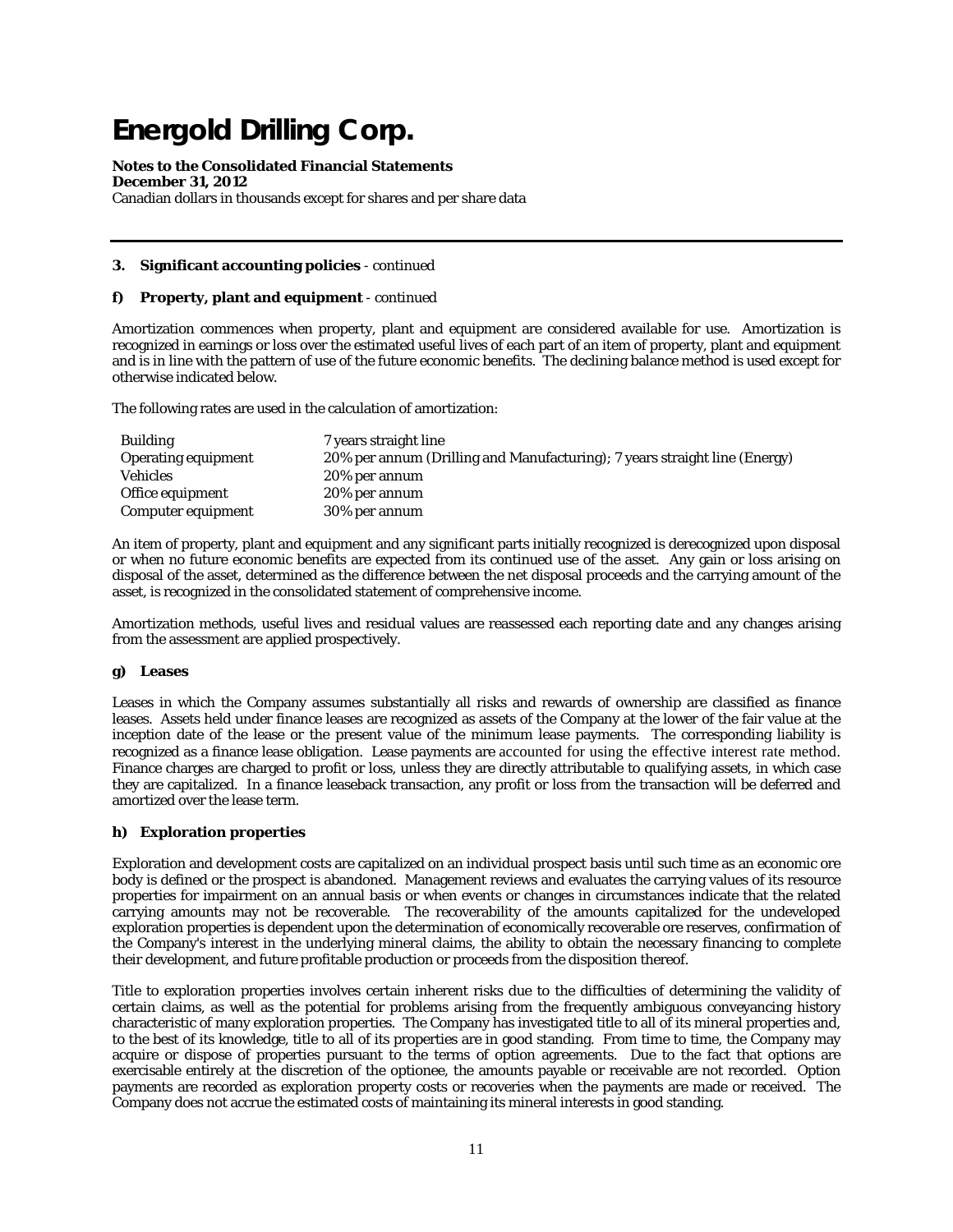#### **Notes to the Consolidated Financial Statements December 31, 2012**

Canadian dollars in thousands except for shares and per share data

# **3. Significant accounting policies** - *continued*

### **f) Property, plant and equipment** - *continued*

Amortization commences when property, plant and equipment are considered available for use. Amortization is recognized in earnings or loss over the estimated useful lives of each part of an item of property, plant and equipment and is in line with the pattern of use of the future economic benefits. The declining balance method is used except for otherwise indicated below.

The following rates are used in the calculation of amortization:

| <b>Building</b>            | 7 years straight line                                                      |
|----------------------------|----------------------------------------------------------------------------|
| <b>Operating equipment</b> | 20% per annum (Drilling and Manufacturing); 7 years straight line (Energy) |
| <b>Vehicles</b>            | 20% per annum                                                              |
| Office equipment           | 20% per annum                                                              |
| Computer equipment         | 30% per annum                                                              |

An item of property, plant and equipment and any significant parts initially recognized is derecognized upon disposal or when no future economic benefits are expected from its continued use of the asset. Any gain or loss arising on disposal of the asset, determined as the difference between the net disposal proceeds and the carrying amount of the asset, is recognized in the consolidated statement of comprehensive income.

Amortization methods, useful lives and residual values are reassessed each reporting date and any changes arising from the assessment are applied prospectively.

## **g) Leases**

Leases in which the Company assumes substantially all risks and rewards of ownership are classified as finance leases. Assets held under finance leases are recognized as assets of the Company at the lower of the fair value at the inception date of the lease or the present value of the minimum lease payments. The corresponding liability is recognized as a finance lease obligation. Lease payments are accounted for using the effective interest rate method. Finance charges are charged to profit or loss, unless they are directly attributable to qualifying assets, in which case they are capitalized. In a finance leaseback transaction, any profit or loss from the transaction will be deferred and amortized over the lease term.

## **h) Exploration properties**

Exploration and development costs are capitalized on an individual prospect basis until such time as an economic ore body is defined or the prospect is abandoned. Management reviews and evaluates the carrying values of its resource properties for impairment on an annual basis or when events or changes in circumstances indicate that the related carrying amounts may not be recoverable. The recoverability of the amounts capitalized for the undeveloped exploration properties is dependent upon the determination of economically recoverable ore reserves, confirmation of the Company's interest in the underlying mineral claims, the ability to obtain the necessary financing to complete their development, and future profitable production or proceeds from the disposition thereof.

Title to exploration properties involves certain inherent risks due to the difficulties of determining the validity of certain claims, as well as the potential for problems arising from the frequently ambiguous conveyancing history characteristic of many exploration properties. The Company has investigated title to all of its mineral properties and, to the best of its knowledge, title to all of its properties are in good standing. From time to time, the Company may acquire or dispose of properties pursuant to the terms of option agreements. Due to the fact that options are exercisable entirely at the discretion of the optionee, the amounts payable or receivable are not recorded. Option payments are recorded as exploration property costs or recoveries when the payments are made or received. The Company does not accrue the estimated costs of maintaining its mineral interests in good standing.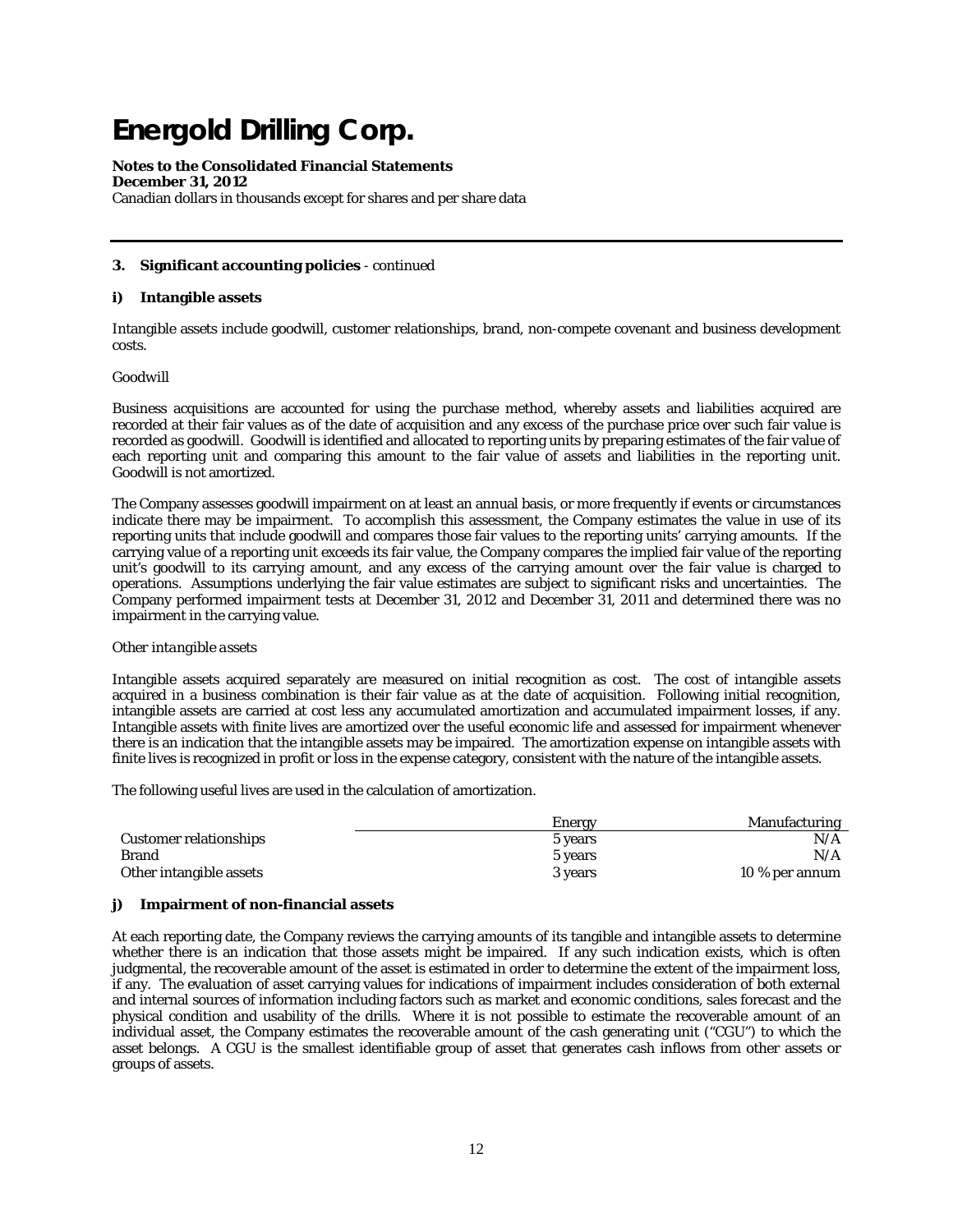#### **Notes to the Consolidated Financial Statements December 31, 2012**

Canadian dollars in thousands except for shares and per share data

# **3. Significant accounting policies** - *continued*

### **i) Intangible assets**

Intangible assets include goodwill, customer relationships, brand, non-compete covenant and business development costs.

### *Goodwill*

Business acquisitions are accounted for using the purchase method, whereby assets and liabilities acquired are recorded at their fair values as of the date of acquisition and any excess of the purchase price over such fair value is recorded as goodwill. Goodwill is identified and allocated to reporting units by preparing estimates of the fair value of each reporting unit and comparing this amount to the fair value of assets and liabilities in the reporting unit. Goodwill is not amortized.

The Company assesses goodwill impairment on at least an annual basis, or more frequently if events or circumstances indicate there may be impairment. To accomplish this assessment, the Company estimates the value in use of its reporting units that include goodwill and compares those fair values to the reporting units' carrying amounts. If the carrying value of a reporting unit exceeds its fair value, the Company compares the implied fair value of the reporting unit's goodwill to its carrying amount, and any excess of the carrying amount over the fair value is charged to operations. Assumptions underlying the fair value estimates are subject to significant risks and uncertainties. The Company performed impairment tests at December 31, 2012 and December 31, 2011 and determined there was no impairment in the carrying value.

#### *Other intangible assets*

Intangible assets acquired separately are measured on initial recognition as cost. The cost of intangible assets acquired in a business combination is their fair value as at the date of acquisition. Following initial recognition, intangible assets are carried at cost less any accumulated amortization and accumulated impairment losses, if any. Intangible assets with finite lives are amortized over the useful economic life and assessed for impairment whenever there is an indication that the intangible assets may be impaired. The amortization expense on intangible assets with finite lives is recognized in profit or loss in the expense category, consistent with the nature of the intangible assets.

The following useful lives are used in the calculation of amortization.

|                               | Energy  | Manufacturing  |
|-------------------------------|---------|----------------|
| <b>Customer relationships</b> | 5 years | N/A            |
| Brand                         | 5 years | N/A            |
| Other intangible assets       | 3 years | 10 % per annum |

## **j) Impairment of non-financial assets**

At each reporting date, the Company reviews the carrying amounts of its tangible and intangible assets to determine whether there is an indication that those assets might be impaired. If any such indication exists, which is often judgmental, the recoverable amount of the asset is estimated in order to determine the extent of the impairment loss, if any. The evaluation of asset carrying values for indications of impairment includes consideration of both external and internal sources of information including factors such as market and economic conditions, sales forecast and the physical condition and usability of the drills. Where it is not possible to estimate the recoverable amount of an individual asset, the Company estimates the recoverable amount of the cash generating unit ("CGU") to which the asset belongs. A CGU is the smallest identifiable group of asset that generates cash inflows from other assets or groups of assets.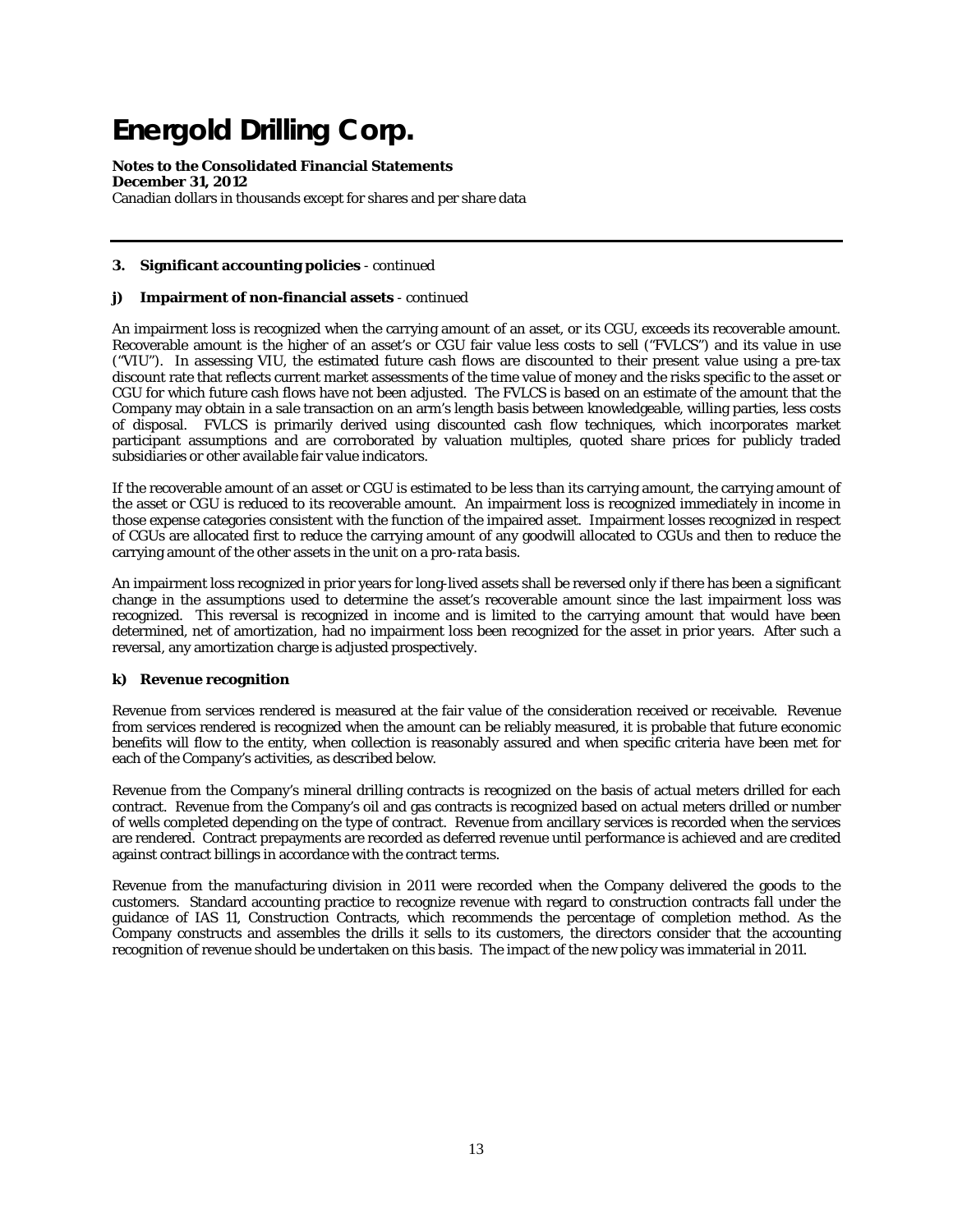#### **Notes to the Consolidated Financial Statements December 31, 2012**

Canadian dollars in thousands except for shares and per share data

# **3. Significant accounting policies** - *continued*

## **j) Impairment of non-financial assets** *- continued*

An impairment loss is recognized when the carrying amount of an asset, or its CGU, exceeds its recoverable amount. Recoverable amount is the higher of an asset's or CGU fair value less costs to sell ("FVLCS") and its value in use ("VIU"). In assessing VIU, the estimated future cash flows are discounted to their present value using a pre-tax discount rate that reflects current market assessments of the time value of money and the risks specific to the asset or CGU for which future cash flows have not been adjusted. The FVLCS is based on an estimate of the amount that the Company may obtain in a sale transaction on an arm's length basis between knowledgeable, willing parties, less costs of disposal. FVLCS is primarily derived using discounted cash flow techniques, which incorporates market participant assumptions and are corroborated by valuation multiples, quoted share prices for publicly traded subsidiaries or other available fair value indicators.

If the recoverable amount of an asset or CGU is estimated to be less than its carrying amount, the carrying amount of the asset or CGU is reduced to its recoverable amount. An impairment loss is recognized immediately in income in those expense categories consistent with the function of the impaired asset. Impairment losses recognized in respect of CGUs are allocated first to reduce the carrying amount of any goodwill allocated to CGUs and then to reduce the carrying amount of the other assets in the unit on a pro-rata basis.

An impairment loss recognized in prior years for long-lived assets shall be reversed only if there has been a significant change in the assumptions used to determine the asset's recoverable amount since the last impairment loss was recognized. This reversal is recognized in income and is limited to the carrying amount that would have been determined, net of amortization, had no impairment loss been recognized for the asset in prior years. After such a reversal, any amortization charge is adjusted prospectively.

## **k) Revenue recognition**

Revenue from services rendered is measured at the fair value of the consideration received or receivable. Revenue from services rendered is recognized when the amount can be reliably measured, it is probable that future economic benefits will flow to the entity, when collection is reasonably assured and when specific criteria have been met for each of the Company's activities, as described below.

Revenue from the Company's mineral drilling contracts is recognized on the basis of actual meters drilled for each contract. Revenue from the Company's oil and gas contracts is recognized based on actual meters drilled or number of wells completed depending on the type of contract. Revenue from ancillary services is recorded when the services are rendered. Contract prepayments are recorded as deferred revenue until performance is achieved and are credited against contract billings in accordance with the contract terms.

Revenue from the manufacturing division in 2011 were recorded when the Company delivered the goods to the customers. Standard accounting practice to recognize revenue with regard to construction contracts fall under the guidance of IAS 11, Construction Contracts, which recommends the percentage of completion method. As the Company constructs and assembles the drills it sells to its customers, the directors consider that the accounting recognition of revenue should be undertaken on this basis. The impact of the new policy was immaterial in 2011.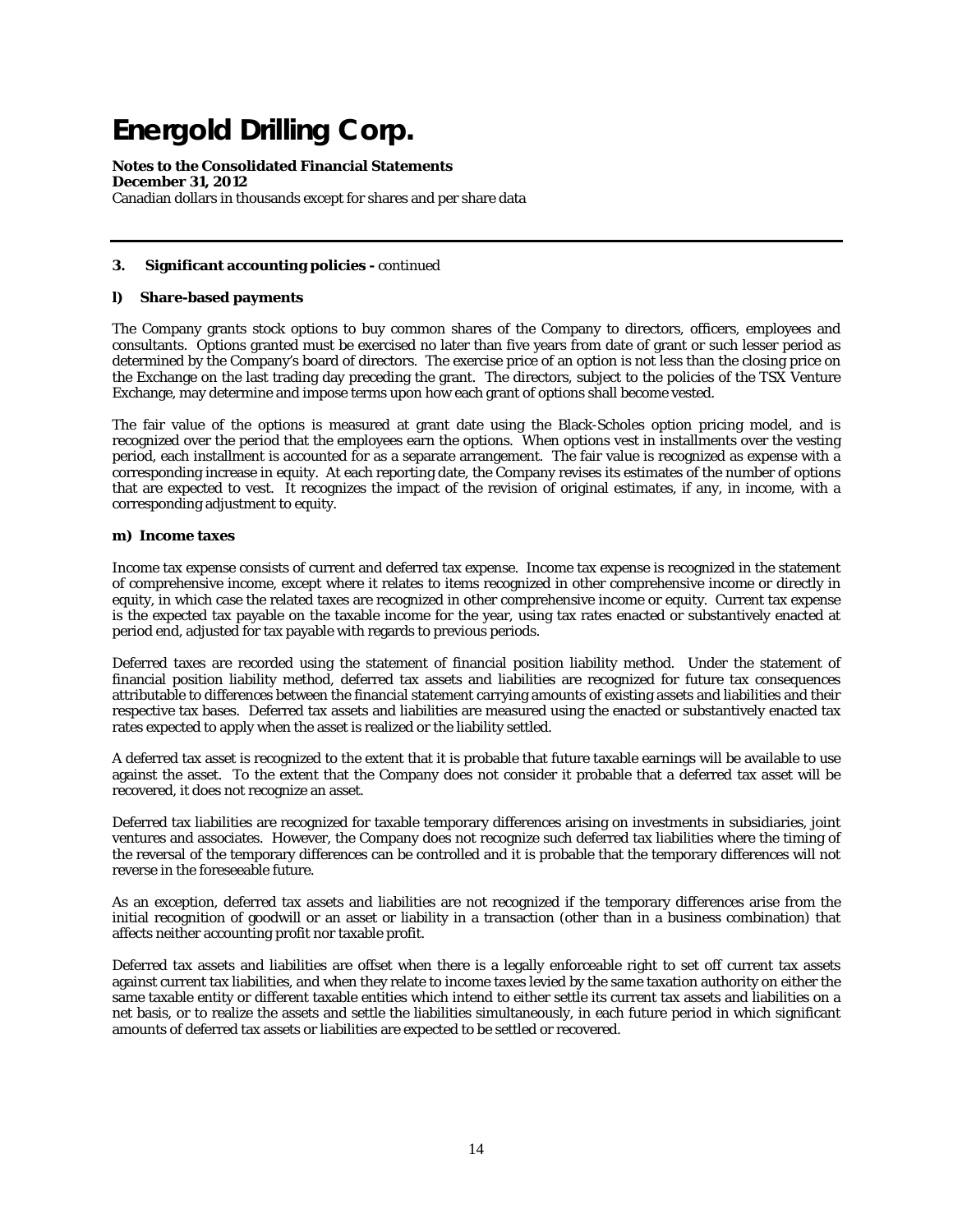#### **Notes to the Consolidated Financial Statements December 31, 2012**

Canadian dollars in thousands except for shares and per share data

# **3. Significant accounting policies -** *continued*

### **l) Share-based payments**

The Company grants stock options to buy common shares of the Company to directors, officers, employees and consultants. Options granted must be exercised no later than five years from date of grant or such lesser period as determined by the Company's board of directors. The exercise price of an option is not less than the closing price on the Exchange on the last trading day preceding the grant. The directors, subject to the policies of the TSX Venture Exchange, may determine and impose terms upon how each grant of options shall become vested.

The fair value of the options is measured at grant date using the Black-Scholes option pricing model, and is recognized over the period that the employees earn the options. When options vest in installments over the vesting period, each installment is accounted for as a separate arrangement. The fair value is recognized as expense with a corresponding increase in equity. At each reporting date, the Company revises its estimates of the number of options that are expected to vest. It recognizes the impact of the revision of original estimates, if any, in income, with a corresponding adjustment to equity.

### **m) Income taxes**

Income tax expense consists of current and deferred tax expense. Income tax expense is recognized in the statement of comprehensive income, except where it relates to items recognized in other comprehensive income or directly in equity, in which case the related taxes are recognized in other comprehensive income or equity. Current tax expense is the expected tax payable on the taxable income for the year, using tax rates enacted or substantively enacted at period end, adjusted for tax payable with regards to previous periods.

Deferred taxes are recorded using the statement of financial position liability method. Under the statement of financial position liability method, deferred tax assets and liabilities are recognized for future tax consequences attributable to differences between the financial statement carrying amounts of existing assets and liabilities and their respective tax bases. Deferred tax assets and liabilities are measured using the enacted or substantively enacted tax rates expected to apply when the asset is realized or the liability settled.

A deferred tax asset is recognized to the extent that it is probable that future taxable earnings will be available to use against the asset. To the extent that the Company does not consider it probable that a deferred tax asset will be recovered, it does not recognize an asset.

Deferred tax liabilities are recognized for taxable temporary differences arising on investments in subsidiaries, joint ventures and associates. However, the Company does not recognize such deferred tax liabilities where the timing of the reversal of the temporary differences can be controlled and it is probable that the temporary differences will not reverse in the foreseeable future.

As an exception, deferred tax assets and liabilities are not recognized if the temporary differences arise from the initial recognition of goodwill or an asset or liability in a transaction (other than in a business combination) that affects neither accounting profit nor taxable profit.

Deferred tax assets and liabilities are offset when there is a legally enforceable right to set off current tax assets against current tax liabilities, and when they relate to income taxes levied by the same taxation authority on either the same taxable entity or different taxable entities which intend to either settle its current tax assets and liabilities on a net basis, or to realize the assets and settle the liabilities simultaneously, in each future period in which significant amounts of deferred tax assets or liabilities are expected to be settled or recovered.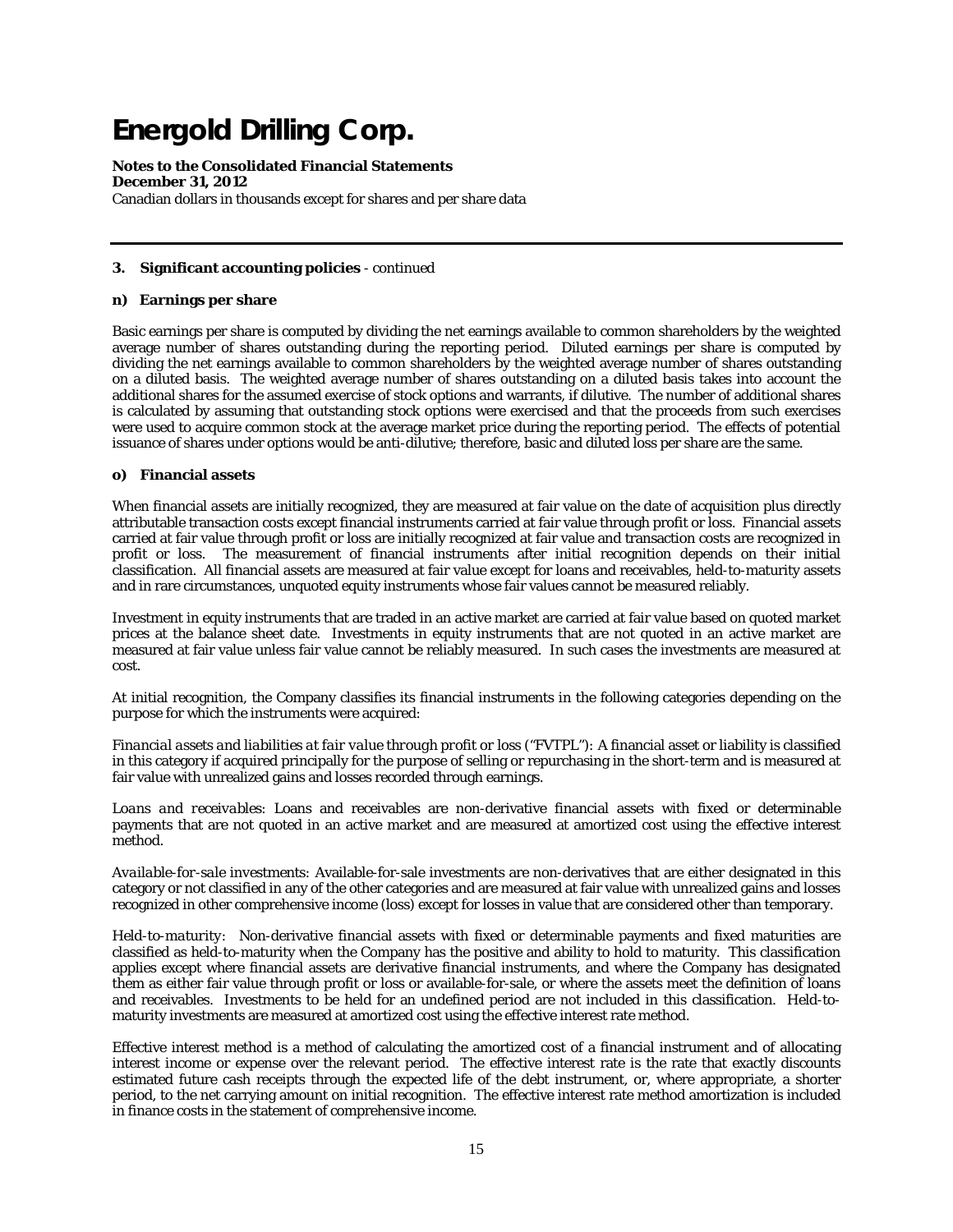#### **Notes to the Consolidated Financial Statements December 31, 2012**

Canadian dollars in thousands except for shares and per share data

## **3. Significant accounting policies** - *continued*

### **n) Earnings per share**

Basic earnings per share is computed by dividing the net earnings available to common shareholders by the weighted average number of shares outstanding during the reporting period. Diluted earnings per share is computed by dividing the net earnings available to common shareholders by the weighted average number of shares outstanding on a diluted basis. The weighted average number of shares outstanding on a diluted basis takes into account the additional shares for the assumed exercise of stock options and warrants, if dilutive. The number of additional shares is calculated by assuming that outstanding stock options were exercised and that the proceeds from such exercises were used to acquire common stock at the average market price during the reporting period. The effects of potential issuance of shares under options would be anti-dilutive; therefore, basic and diluted loss per share are the same.

### **o) Financial assets**

When financial assets are initially recognized, they are measured at fair value on the date of acquisition plus directly attributable transaction costs except financial instruments carried at fair value through profit or loss. Financial assets carried at fair value through profit or loss are initially recognized at fair value and transaction costs are recognized in profit or loss. The measurement of financial instruments after initial recognition depends on their initial classification. All financial assets are measured at fair value except for loans and receivables, held-to-maturity assets and in rare circumstances, unquoted equity instruments whose fair values cannot be measured reliably.

Investment in equity instruments that are traded in an active market are carried at fair value based on quoted market prices at the balance sheet date. Investments in equity instruments that are not quoted in an active market are measured at fair value unless fair value cannot be reliably measured. In such cases the investments are measured at cost.

At initial recognition, the Company classifies its financial instruments in the following categories depending on the purpose for which the instruments were acquired:

*Financial assets and liabilities at fair value through profit or loss ("*FVTPL*"):* A financial asset or liability is classified in this category if acquired principally for the purpose of selling or repurchasing in the short-term and is measured at fair value with unrealized gains and losses recorded through earnings.

*Loans and receivables*: Loans and receivables are non-derivative financial assets with fixed or determinable payments that are not quoted in an active market and are measured at amortized cost using the effective interest method.

*Available-for-sale investments:* Available-for-sale investments are non-derivatives that are either designated in this category or not classified in any of the other categories and are measured at fair value with unrealized gains and losses recognized in other comprehensive income (loss) except for losses in value that are considered other than temporary.

*Held-to-maturity:* Non-derivative financial assets with fixed or determinable payments and fixed maturities are classified as held-to-maturity when the Company has the positive and ability to hold to maturity. This classification applies except where financial assets are derivative financial instruments, and where the Company has designated them as either fair value through profit or loss or available-for-sale, or where the assets meet the definition of loans and receivables. Investments to be held for an undefined period are not included in this classification. Held-tomaturity investments are measured at amortized cost using the effective interest rate method.

Effective interest method is a method of calculating the amortized cost of a financial instrument and of allocating interest income or expense over the relevant period. The effective interest rate is the rate that exactly discounts estimated future cash receipts through the expected life of the debt instrument, or, where appropriate, a shorter period, to the net carrying amount on initial recognition. The effective interest rate method amortization is included in finance costs in the statement of comprehensive income.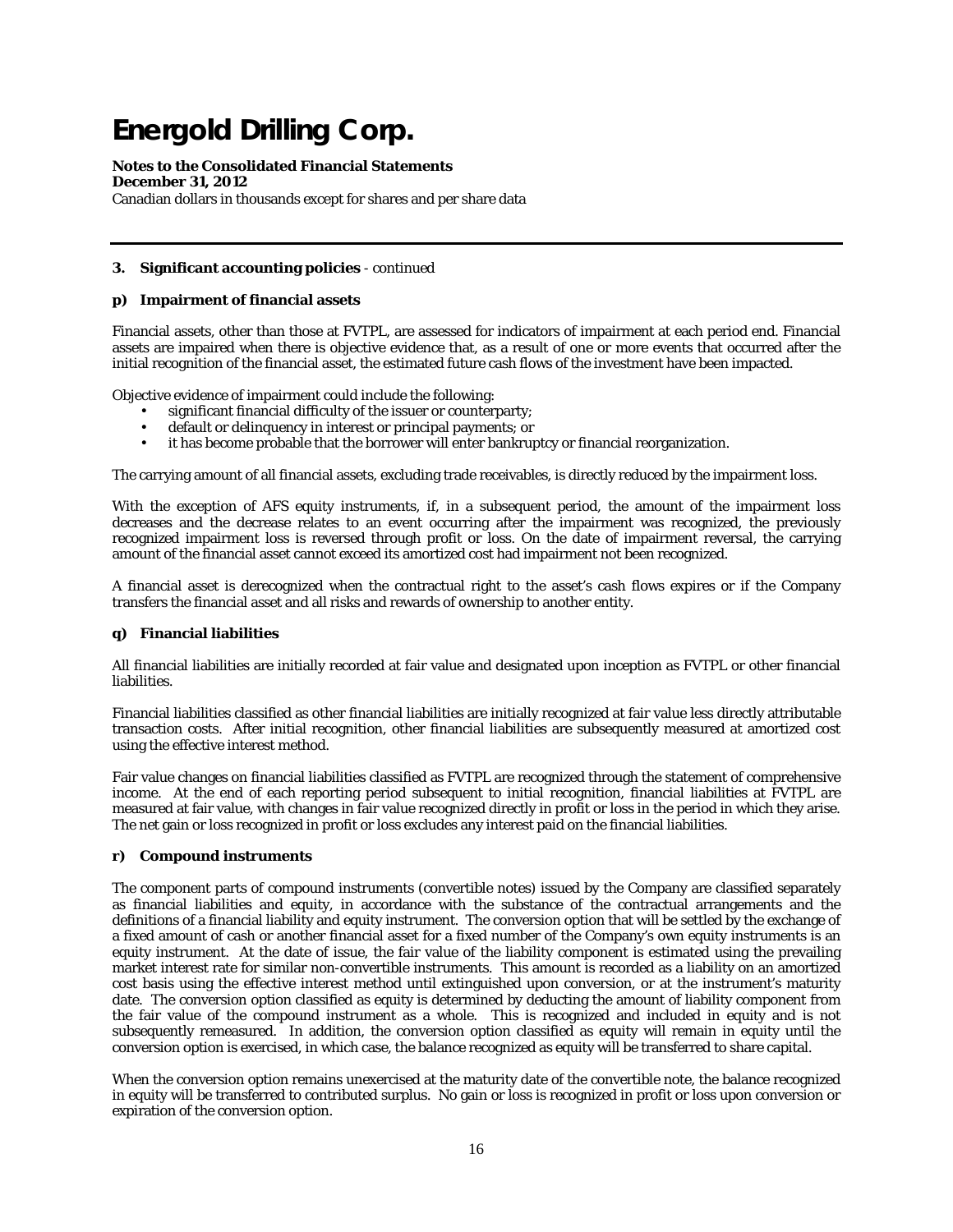#### **Notes to the Consolidated Financial Statements December 31, 2012**

Canadian dollars in thousands except for shares and per share data

# **3. Significant accounting policies** - *continued*

### **p) Impairment of financial assets**

Financial assets, other than those at FVTPL, are assessed for indicators of impairment at each period end. Financial assets are impaired when there is objective evidence that, as a result of one or more events that occurred after the initial recognition of the financial asset, the estimated future cash flows of the investment have been impacted.

Objective evidence of impairment could include the following:

- significant financial difficulty of the issuer or counterparty;
- default or delinquency in interest or principal payments; or
- it has become probable that the borrower will enter bankruptcy or financial reorganization.

The carrying amount of all financial assets, excluding trade receivables, is directly reduced by the impairment loss.

With the exception of AFS equity instruments, if, in a subsequent period, the amount of the impairment loss decreases and the decrease relates to an event occurring after the impairment was recognized, the previously recognized impairment loss is reversed through profit or loss. On the date of impairment reversal, the carrying amount of the financial asset cannot exceed its amortized cost had impairment not been recognized.

A financial asset is derecognized when the contractual right to the asset's cash flows expires or if the Company transfers the financial asset and all risks and rewards of ownership to another entity.

## **q) Financial liabilities**

All financial liabilities are initially recorded at fair value and designated upon inception as FVTPL or other financial liabilities.

Financial liabilities classified as other financial liabilities are initially recognized at fair value less directly attributable transaction costs. After initial recognition, other financial liabilities are subsequently measured at amortized cost using the effective interest method.

Fair value changes on financial liabilities classified as FVTPL are recognized through the statement of comprehensive income. At the end of each reporting period subsequent to initial recognition, financial liabilities at FVTPL are measured at fair value, with changes in fair value recognized directly in profit or loss in the period in which they arise. The net gain or loss recognized in profit or loss excludes any interest paid on the financial liabilities.

## **r) Compound instruments**

The component parts of compound instruments (convertible notes) issued by the Company are classified separately as financial liabilities and equity, in accordance with the substance of the contractual arrangements and the definitions of a financial liability and equity instrument. The conversion option that will be settled by the exchange of a fixed amount of cash or another financial asset for a fixed number of the Company's own equity instruments is an equity instrument. At the date of issue, the fair value of the liability component is estimated using the prevailing market interest rate for similar non-convertible instruments. This amount is recorded as a liability on an amortized cost basis using the effective interest method until extinguished upon conversion, or at the instrument's maturity date. The conversion option classified as equity is determined by deducting the amount of liability component from the fair value of the compound instrument as a whole. This is recognized and included in equity and is not subsequently remeasured. In addition, the conversion option classified as equity will remain in equity until the conversion option is exercised, in which case, the balance recognized as equity will be transferred to share capital.

When the conversion option remains unexercised at the maturity date of the convertible note, the balance recognized in equity will be transferred to contributed surplus. No gain or loss is recognized in profit or loss upon conversion or expiration of the conversion option.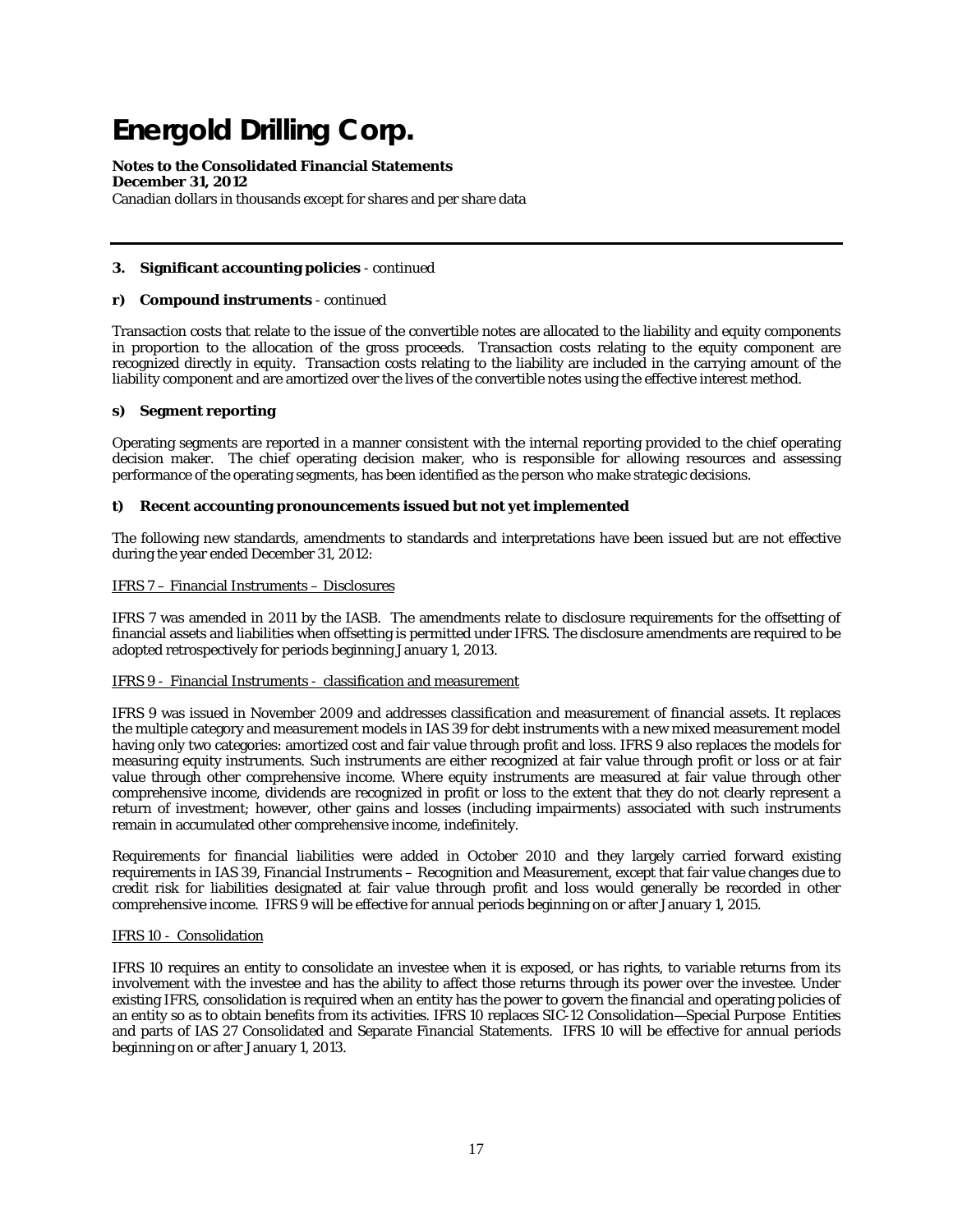#### **Notes to the Consolidated Financial Statements December 31, 2012**

Canadian dollars in thousands except for shares and per share data

# **3. Significant accounting policies** - *continued*

## **r) Compound instruments** - *continued*

Transaction costs that relate to the issue of the convertible notes are allocated to the liability and equity components in proportion to the allocation of the gross proceeds. Transaction costs relating to the equity component are recognized directly in equity. Transaction costs relating to the liability are included in the carrying amount of the liability component and are amortized over the lives of the convertible notes using the effective interest method.

### **s) Segment reporting**

Operating segments are reported in a manner consistent with the internal reporting provided to the chief operating decision maker. The chief operating decision maker, who is responsible for allowing resources and assessing performance of the operating segments, has been identified as the person who make strategic decisions.

### **t) Recent accounting pronouncements issued but not yet implemented**

The following new standards, amendments to standards and interpretations have been issued but are not effective during the year ended December 31, 2012:

#### IFRS 7 – Financial Instruments – Disclosures

IFRS 7 was amended in 2011 by the IASB. The amendments relate to disclosure requirements for the offsetting of financial assets and liabilities when offsetting is permitted under IFRS. The disclosure amendments are required to be adopted retrospectively for periods beginning January 1, 2013.

#### IFRS 9 - Financial Instruments - classification and measurement

IFRS 9 was issued in November 2009 and addresses classification and measurement of financial assets. It replaces the multiple category and measurement models in IAS 39 for debt instruments with a new mixed measurement model having only two categories: amortized cost and fair value through profit and loss. IFRS 9 also replaces the models for measuring equity instruments. Such instruments are either recognized at fair value through profit or loss or at fair value through other comprehensive income. Where equity instruments are measured at fair value through other comprehensive income, dividends are recognized in profit or loss to the extent that they do not clearly represent a return of investment; however, other gains and losses (including impairments) associated with such instruments remain in accumulated other comprehensive income, indefinitely.

Requirements for financial liabilities were added in October 2010 and they largely carried forward existing requirements in IAS 39, Financial Instruments – Recognition and Measurement, except that fair value changes due to credit risk for liabilities designated at fair value through profit and loss would generally be recorded in other comprehensive income. IFRS 9 will be effective for annual periods beginning on or after January 1, 2015.

## IFRS 10 - Consolidation

IFRS 10 requires an entity to consolidate an investee when it is exposed, or has rights, to variable returns from its involvement with the investee and has the ability to affect those returns through its power over the investee. Under existing IFRS, consolidation is required when an entity has the power to govern the financial and operating policies of an entity so as to obtain benefits from its activities. IFRS 10 replaces SIC-12 Consolidation—Special Purpose Entities and parts of IAS 27 Consolidated and Separate Financial Statements. IFRS 10 will be effective for annual periods beginning on or after January 1, 2013.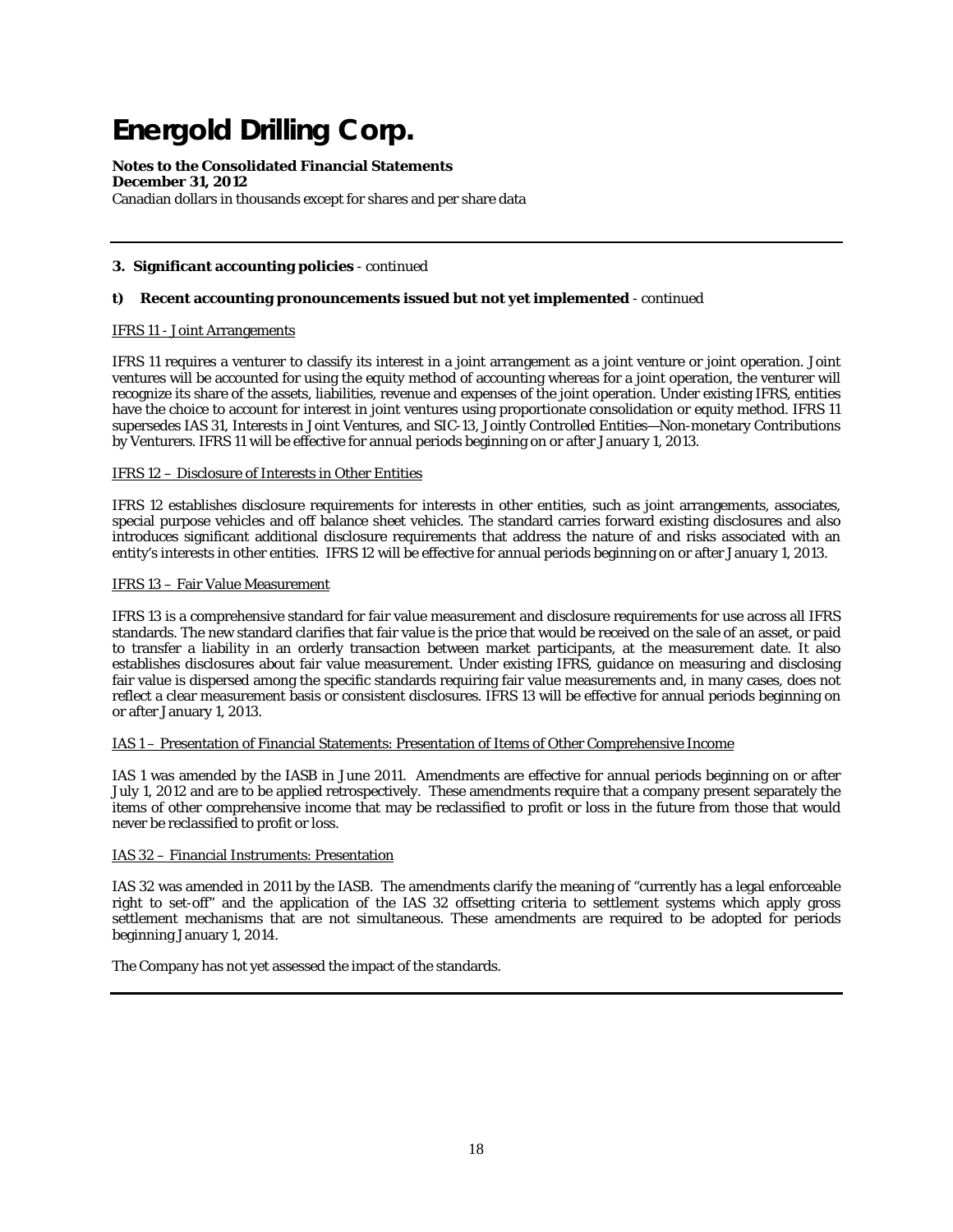#### **Notes to the Consolidated Financial Statements December 31, 2012**

Canadian dollars in thousands except for shares and per share data

# **3. Significant accounting policies** *- continued*

### **t) Recent accounting pronouncements issued but not yet implemented** *- continued*

### IFRS 11 - Joint Arrangements

IFRS 11 requires a venturer to classify its interest in a joint arrangement as a joint venture or joint operation. Joint ventures will be accounted for using the equity method of accounting whereas for a joint operation, the venturer will recognize its share of the assets, liabilities, revenue and expenses of the joint operation. Under existing IFRS, entities have the choice to account for interest in joint ventures using proportionate consolidation or equity method. IFRS 11 supersedes IAS 31, Interests in Joint Ventures, and SIC-13, Jointly Controlled Entities—Non-monetary Contributions by Venturers. IFRS 11 will be effective for annual periods beginning on or after January 1, 2013.

### IFRS 12 – Disclosure of Interests in Other Entities

IFRS 12 establishes disclosure requirements for interests in other entities, such as joint arrangements, associates, special purpose vehicles and off balance sheet vehicles. The standard carries forward existing disclosures and also introduces significant additional disclosure requirements that address the nature of and risks associated with an entity's interests in other entities. IFRS 12 will be effective for annual periods beginning on or after January 1, 2013.

### IFRS 13 – Fair Value Measurement

IFRS 13 is a comprehensive standard for fair value measurement and disclosure requirements for use across all IFRS standards. The new standard clarifies that fair value is the price that would be received on the sale of an asset, or paid to transfer a liability in an orderly transaction between market participants, at the measurement date. It also establishes disclosures about fair value measurement. Under existing IFRS, guidance on measuring and disclosing fair value is dispersed among the specific standards requiring fair value measurements and, in many cases, does not reflect a clear measurement basis or consistent disclosures. IFRS 13 will be effective for annual periods beginning on or after January 1, 2013.

## IAS 1 – Presentation of Financial Statements: Presentation of Items of Other Comprehensive Income

IAS 1 was amended by the IASB in June 2011. Amendments are effective for annual periods beginning on or after July 1, 2012 and are to be applied retrospectively. These amendments require that a company present separately the items of other comprehensive income that may be reclassified to profit or loss in the future from those that would never be reclassified to profit or loss.

## IAS 32 – Financial Instruments: Presentation

IAS 32 was amended in 2011 by the IASB. The amendments clarify the meaning of "currently has a legal enforceable right to set-off" and the application of the IAS 32 offsetting criteria to settlement systems which apply gross settlement mechanisms that are not simultaneous. These amendments are required to be adopted for periods beginning January 1, 2014.

The Company has not yet assessed the impact of the standards.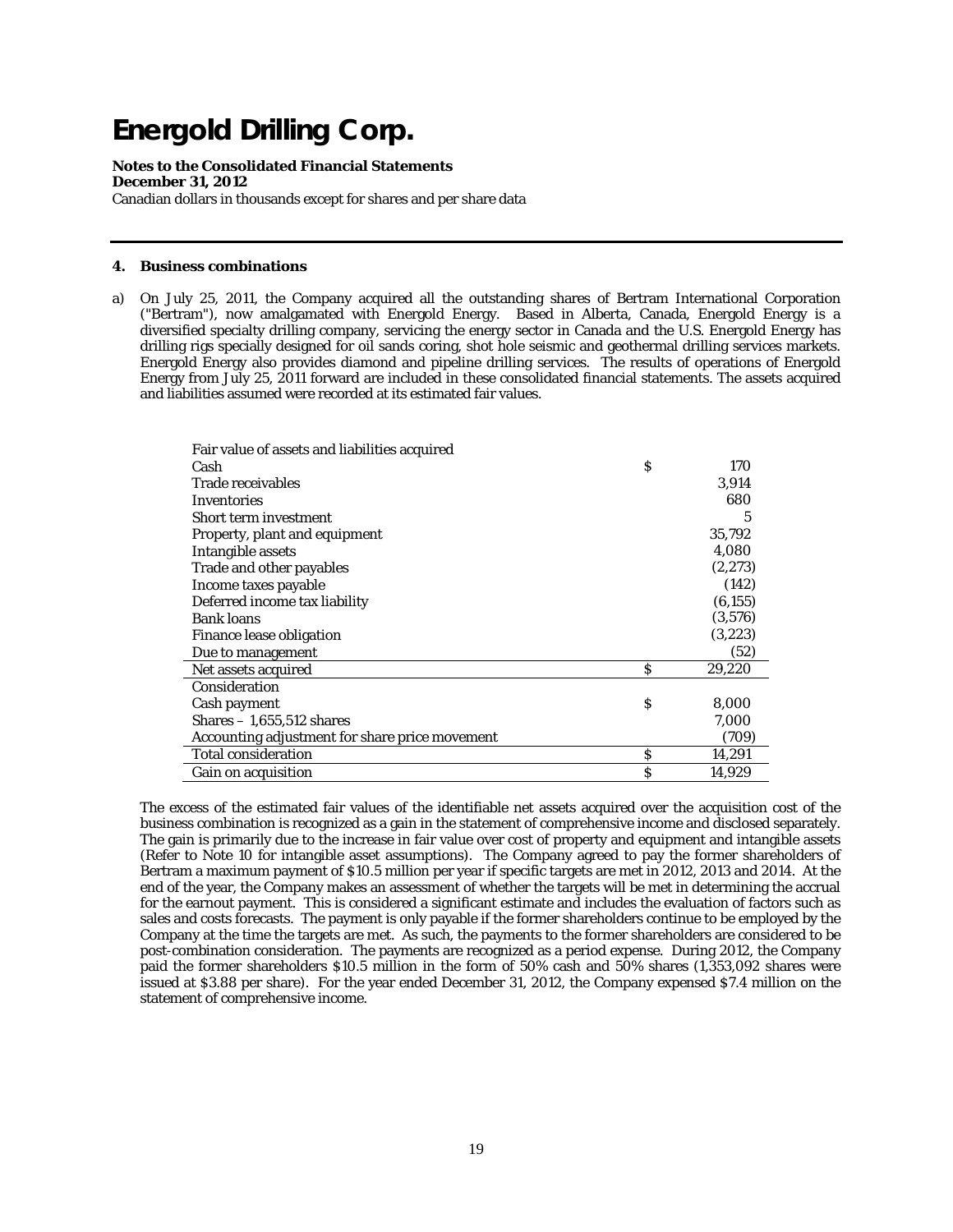#### **Notes to the Consolidated Financial Statements December 31, 2012**

Canadian dollars in thousands except for shares and per share data

#### **4. Business combinations**

a) On July 25, 2011, the Company acquired all the outstanding shares of Bertram International Corporation ("Bertram"), now amalgamated with Energold Energy. Based in Alberta, Canada, Energold Energy is a diversified specialty drilling company, servicing the energy sector in Canada and the U.S. Energold Energy has drilling rigs specially designed for oil sands coring, shot hole seismic and geothermal drilling services markets. Energold Energy also provides diamond and pipeline drilling services. The results of operations of Energold Energy from July 25, 2011 forward are included in these consolidated financial statements. The assets acquired and liabilities assumed were recorded at its estimated fair values.

| Fair value of assets and liabilities acquired  |    |          |
|------------------------------------------------|----|----------|
| Cash                                           | \$ | 170      |
| Trade receivables                              |    | 3,914    |
| <b>Inventories</b>                             |    | 680      |
| <b>Short term investment</b>                   |    | 5        |
| Property, plant and equipment                  |    | 35,792   |
| <b>Intangible assets</b>                       |    | 4,080    |
| Trade and other payables                       |    | (2,273)  |
| Income taxes payable                           |    | (142)    |
| Deferred income tax liability                  |    | (6, 155) |
| <b>Bank loans</b>                              |    | (3,576)  |
| <b>Finance lease obligation</b>                |    | (3,223)  |
| Due to management                              |    | (52)     |
| Net assets acquired                            | Ś  | 29,220   |
| Consideration                                  |    |          |
| Cash payment                                   | \$ | 8,000    |
| $Shares - 1,655,512$ shares                    |    | 7,000    |
| Accounting adjustment for share price movement |    | (709)    |
| <b>Total consideration</b>                     | \$ | 14,291   |
| Gain on acquisition                            | \$ | 14,929   |

The excess of the estimated fair values of the identifiable net assets acquired over the acquisition cost of the business combination is recognized as a gain in the statement of comprehensive income and disclosed separately. The gain is primarily due to the increase in fair value over cost of property and equipment and intangible assets (Refer to Note 10 for intangible asset assumptions). The Company agreed to pay the former shareholders of Bertram a maximum payment of \$10.5 million per year if specific targets are met in 2012, 2013 and 2014. At the end of the year, the Company makes an assessment of whether the targets will be met in determining the accrual for the earnout payment. This is considered a significant estimate and includes the evaluation of factors such as sales and costs forecasts. The payment is only payable if the former shareholders continue to be employed by the Company at the time the targets are met. As such, the payments to the former shareholders are considered to be post-combination consideration. The payments are recognized as a period expense. During 2012, the Company paid the former shareholders \$10.5 million in the form of 50% cash and 50% shares (1,353,092 shares were issued at \$3.88 per share). For the year ended December 31, 2012, the Company expensed \$7.4 million on the statement of comprehensive income.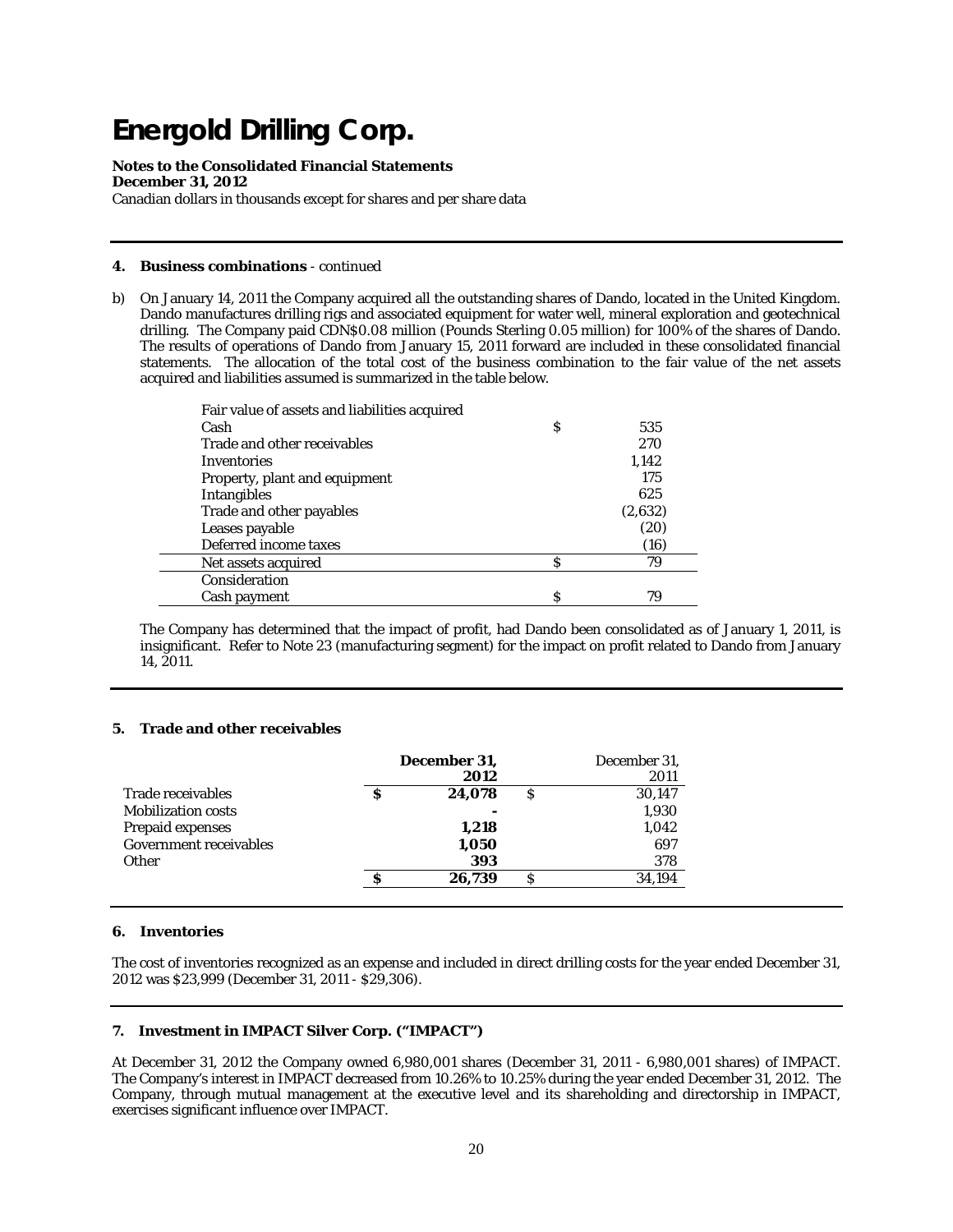#### **Notes to the Consolidated Financial Statements December 31, 2012**

Canadian dollars in thousands except for shares and per share data

#### **4. Business combinations** *- continued*

b) On January 14, 2011 the Company acquired all the outstanding shares of Dando, located in the United Kingdom. Dando manufactures drilling rigs and associated equipment for water well, mineral exploration and geotechnical drilling. The Company paid CDN\$0.08 million (Pounds Sterling 0.05 million) for 100% of the shares of Dando. The results of operations of Dando from January 15, 2011 forward are included in these consolidated financial statements. The allocation of the total cost of the business combination to the fair value of the net assets acquired and liabilities assumed is summarized in the table below.

| Fair value of assets and liabilities acquired |   |         |
|-----------------------------------------------|---|---------|
| Cash                                          | S | 535     |
| Trade and other receivables                   |   | 270     |
| <b>Inventories</b>                            |   | 1,142   |
| Property, plant and equipment                 |   | 175     |
| <b>Intangibles</b>                            |   | 625     |
| Trade and other payables                      |   | (2,632) |
| Leases payable                                |   | (20)    |
| Deferred income taxes                         |   | (16)    |
| Net assets acquired                           | S | 79      |
| Consideration                                 |   |         |
| Cash payment                                  | S | 79      |

The Company has determined that the impact of profit, had Dando been consolidated as of January 1, 2011, is insignificant. Refer to Note 23 (manufacturing segment) for the impact on profit related to Dando from January 14, 2011.

#### **5. Trade and other receivables**

|                               |   | December 31,<br>2012 |   | December 31.<br>2011 |
|-------------------------------|---|----------------------|---|----------------------|
| Trade receivables             | s | 24.078               | S | 30,147               |
| <b>Mobilization costs</b>     |   |                      |   | 1,930                |
| Prepaid expenses              |   | 1,218                |   | 1,042                |
| <b>Government receivables</b> |   | 1,050                |   | 697                  |
| <b>Other</b>                  |   | 393                  |   | 378                  |
|                               |   | 26,739               | S | 34,194               |

#### **6. Inventories**

The cost of inventories recognized as an expense and included in direct drilling costs for the year ended December 31, 2012 was \$23,999 (December 31, 2011 - \$29,306).

#### **7. Investment in IMPACT Silver Corp. ("IMPACT")**

At December 31, 2012 the Company owned 6,980,001 shares (December 31, 2011 - 6,980,001 shares) of IMPACT. The Company's interest in IMPACT decreased from 10.26% to 10.25% during the year ended December 31, 2012. The Company, through mutual management at the executive level and its shareholding and directorship in IMPACT, exercises significant influence over IMPACT.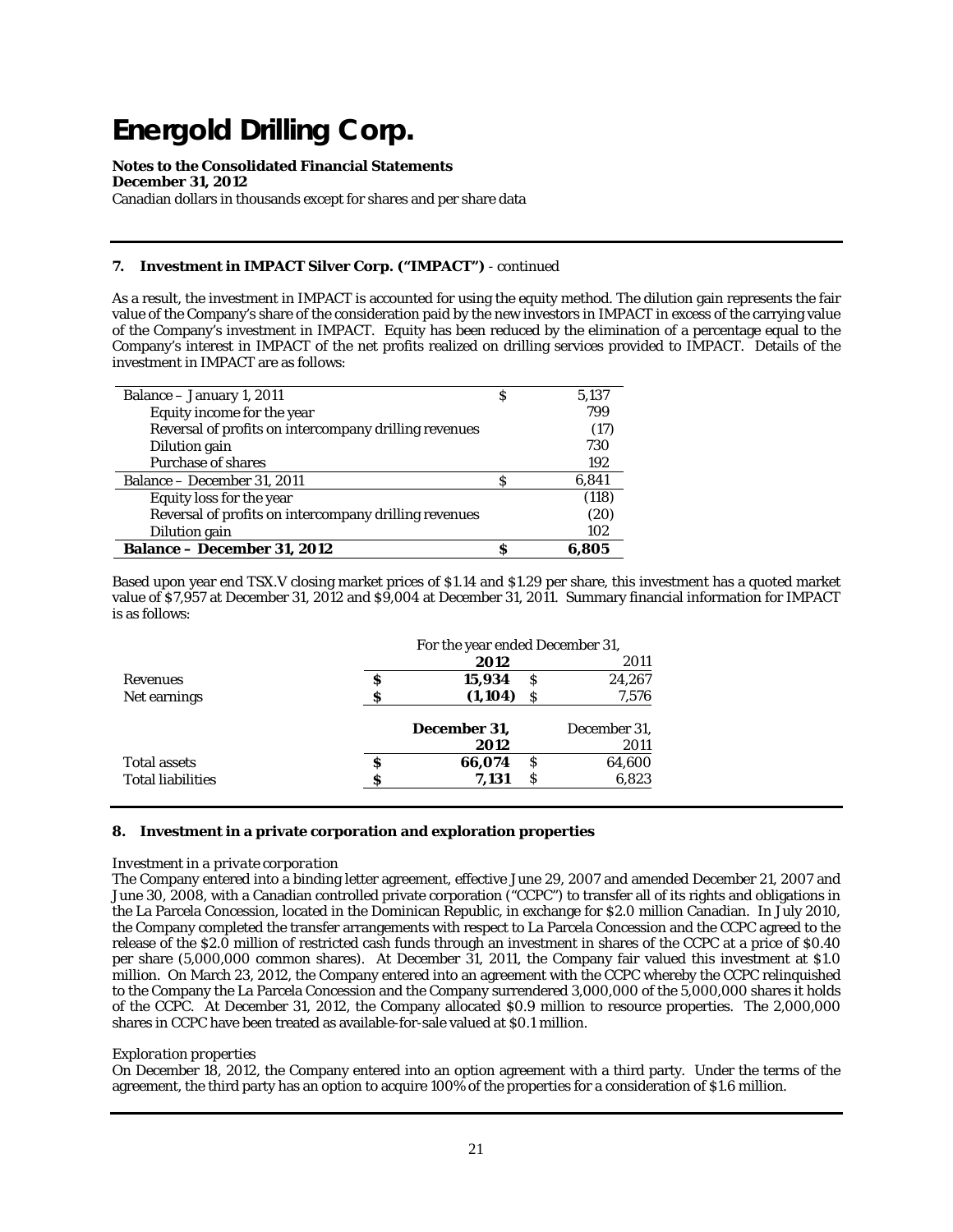#### **Notes to the Consolidated Financial Statements December 31, 2012**

Canadian dollars in thousands except for shares and per share data

# **7. Investment in IMPACT Silver Corp. ("IMPACT")** *- continued*

As a result, the investment in IMPACT is accounted for using the equity method. The dilution gain represents the fair value of the Company's share of the consideration paid by the new investors in IMPACT in excess of the carrying value of the Company's investment in IMPACT. Equity has been reduced by the elimination of a percentage equal to the Company's interest in IMPACT of the net profits realized on drilling services provided to IMPACT. Details of the investment in IMPACT are as follows:

| Balance - January 1, 2011                             | s | 5.137 |
|-------------------------------------------------------|---|-------|
| Equity income for the year                            |   | 799   |
| Reversal of profits on intercompany drilling revenues |   | (17)  |
| Dilution gain                                         |   | 730   |
| <b>Purchase of shares</b>                             |   | 192   |
| Balance – December 31, 2011                           |   | 6,841 |
| Equity loss for the year                              |   | (118) |
| Reversal of profits on intercompany drilling revenues |   | (20)  |
| Dilution gain                                         |   | 102   |
| <b>Balance - December 31, 2012</b>                    |   | 6.805 |

Based upon year end TSX.V closing market prices of \$1.14 and \$1.29 per share, this investment has a quoted market value of \$7,957 at December 31, 2012 and \$9,004 at December 31, 2011. Summary financial information for IMPACT is as follows:

|                          |   | For the year ended December 31, |   |              |
|--------------------------|---|---------------------------------|---|--------------|
|                          |   | 2012                            |   | 2011         |
| <b>Revenues</b>          | s | 15,934                          | S | 24,267       |
| Net earnings             | S | (1,104)                         | S | 7,576        |
|                          |   | December 31,                    |   | December 31, |
|                          |   | 2012                            |   | 2011         |
| <b>Total assets</b>      | S | 66,074                          | S | 64,600       |
| <b>Total liabilities</b> | s | 7.131                           | S | 6,823        |

## **8. Investment in a private corporation and exploration properties**

### *Investment in a private corporation*

The Company entered into a binding letter agreement, effective June 29, 2007 and amended December 21, 2007 and June 30, 2008, with a Canadian controlled private corporation ("CCPC") to transfer all of its rights and obligations in the La Parcela Concession, located in the Dominican Republic, in exchange for \$2.0 million Canadian. In July 2010, the Company completed the transfer arrangements with respect to La Parcela Concession and the CCPC agreed to the release of the \$2.0 million of restricted cash funds through an investment in shares of the CCPC at a price of \$0.40 per share (5,000,000 common shares). At December 31, 2011, the Company fair valued this investment at \$1.0 million. On March 23, 2012, the Company entered into an agreement with the CCPC whereby the CCPC relinquished to the Company the La Parcela Concession and the Company surrendered 3,000,000 of the 5,000,000 shares it holds of the CCPC. At December 31, 2012, the Company allocated \$0.9 million to resource properties. The 2,000,000 shares in CCPC have been treated as available-for-sale valued at \$0.1 million.

## *Exploration properties*

On December 18, 2012, the Company entered into an option agreement with a third party. Under the terms of the agreement, the third party has an option to acquire 100% of the properties for a consideration of \$1.6 million.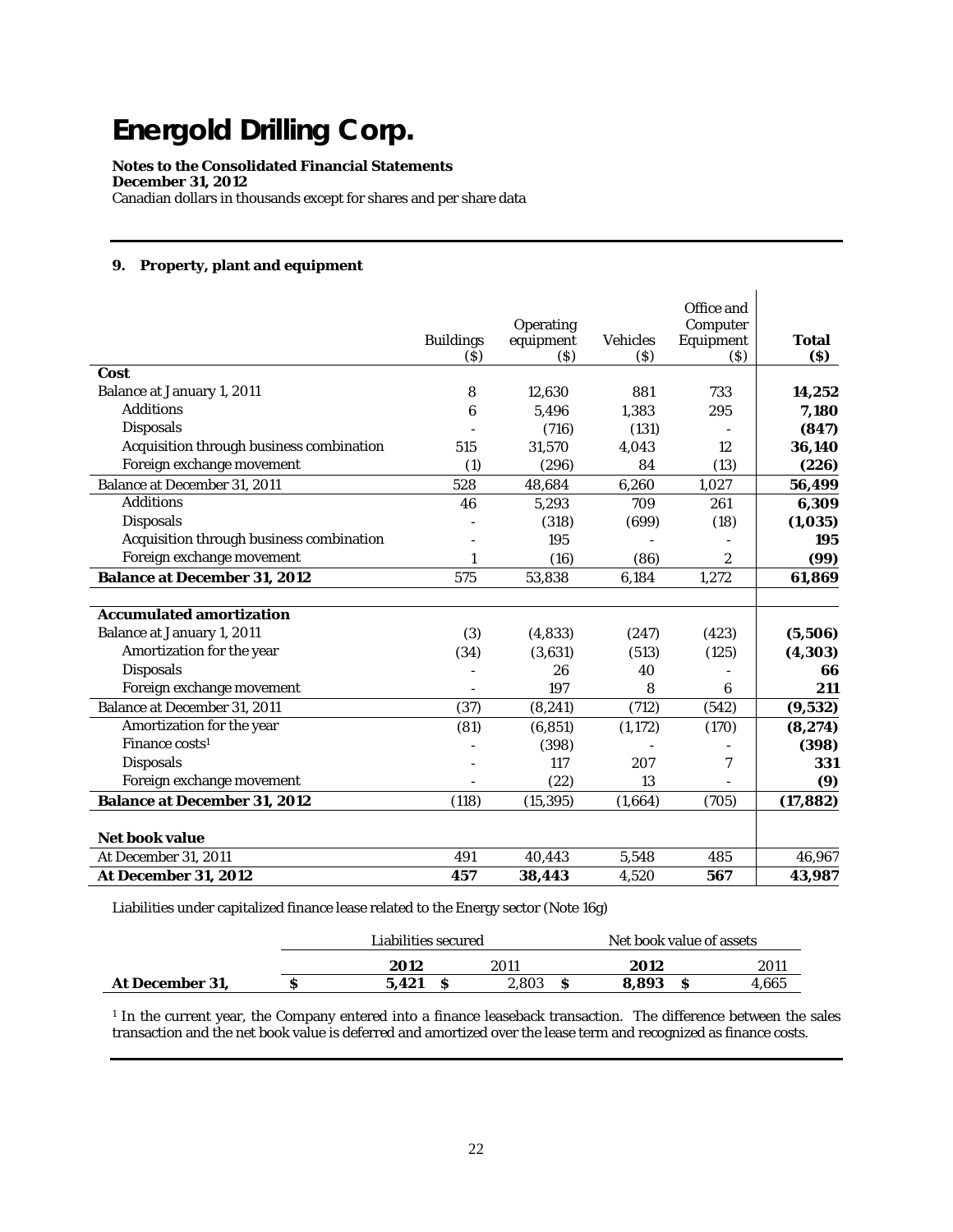# **Notes to the Consolidated Financial Statements**

**December 31, 2012** 

Canadian dollars in thousands except for shares and per share data

# **9. Property, plant and equipment**

|                                          | <b>Buildings</b><br>(S) | Operating<br>equipment<br>(S) | <b>Vehicles</b><br>(S) | Office and<br>Computer<br>Equipment<br>(S) | <b>Total</b><br>(S) |
|------------------------------------------|-------------------------|-------------------------------|------------------------|--------------------------------------------|---------------------|
| Cost                                     |                         |                               |                        |                                            |                     |
| <b>Balance at January 1, 2011</b>        | 8                       | 12,630                        | 881                    | 733                                        | 14,252              |
| <b>Additions</b>                         | 6                       | 5,496                         | 1,383                  | 295                                        | 7.180               |
| <b>Disposals</b>                         |                         | (716)                         | (131)                  |                                            | (847)               |
| Acquisition through business combination | 515                     | 31,570                        | 4,043                  | 12                                         | 36,140              |
| Foreign exchange movement                | (1)                     | (296)                         | 84                     | (13)                                       | (226)               |
| <b>Balance at December 31, 2011</b>      | 528                     | 48,684                        | 6,260                  | 1,027                                      | 56,499              |
| <b>Additions</b>                         | 46                      | 5,293                         | 709                    | 261                                        | 6,309               |
| <b>Disposals</b>                         |                         | (318)                         | (699)                  | (18)                                       | (1,035)             |
| Acquisition through business combination |                         | 195                           |                        |                                            | 195                 |
| Foreign exchange movement                | 1                       | (16)                          | (86)                   | $\overline{2}$                             | (99)                |
| <b>Balance at December 31, 2012</b>      | 575                     | 53,838                        | 6,184                  | 1,272                                      | 61,869              |
|                                          |                         |                               |                        |                                            |                     |
| <b>Accumulated amortization</b>          |                         |                               |                        |                                            |                     |
| <b>Balance at January 1, 2011</b>        | (3)                     | (4,833)                       | (247)                  | (423)                                      | (5,506)             |
| Amortization for the year                | (34)                    | (3,631)                       | (513)                  | (125)                                      | (4, 303)            |
| <b>Disposals</b>                         |                         | 26                            | 40                     |                                            | 66                  |
| Foreign exchange movement                |                         | 197                           | 8                      | 6                                          | 211                 |
| <b>Balance at December 31, 2011</b>      | (37)                    | (8, 241)                      | (712)                  | (542)                                      | (9,532)             |
| Amortization for the year                | (81)                    | (6, 851)                      | (1, 172)               | (170)                                      | (8, 274)            |
| Finance costs <sup>1</sup>               |                         | (398)                         |                        |                                            | (398)               |
| <b>Disposals</b>                         |                         | 117                           | 207                    | 7                                          | 331                 |
| Foreign exchange movement                |                         | (22)                          | 13                     |                                            | (9)                 |
| <b>Balance at December 31, 2012</b>      | (118)                   | (15, 395)                     | (1,664)                | (705)                                      | (17, 882)           |
| Net book value                           |                         |                               |                        |                                            |                     |
| At December 31, 2011                     | 491                     | 40,443                        | 5,548                  | 485                                        | 46,967              |
| At December 31, 2012                     | 457                     | 38,443                        | 4,520                  | 567                                        | 43,987              |

Liabilities under capitalized finance lease related to the Energy sector (Note 16g)

|                 | Liabilities secured |       |  | Net book value of assets |       |  |  |
|-----------------|---------------------|-------|--|--------------------------|-------|--|--|
|                 | 2012                | 2011  |  | 2012                     | 2011  |  |  |
| At December 31, | 5.421               | 2.803 |  | 8.893                    | 4,665 |  |  |

<sup>1</sup> In the current year, the Company entered into a finance leaseback transaction. The difference between the sales transaction and the net book value is deferred and amortized over the lease term and recognized as finance costs.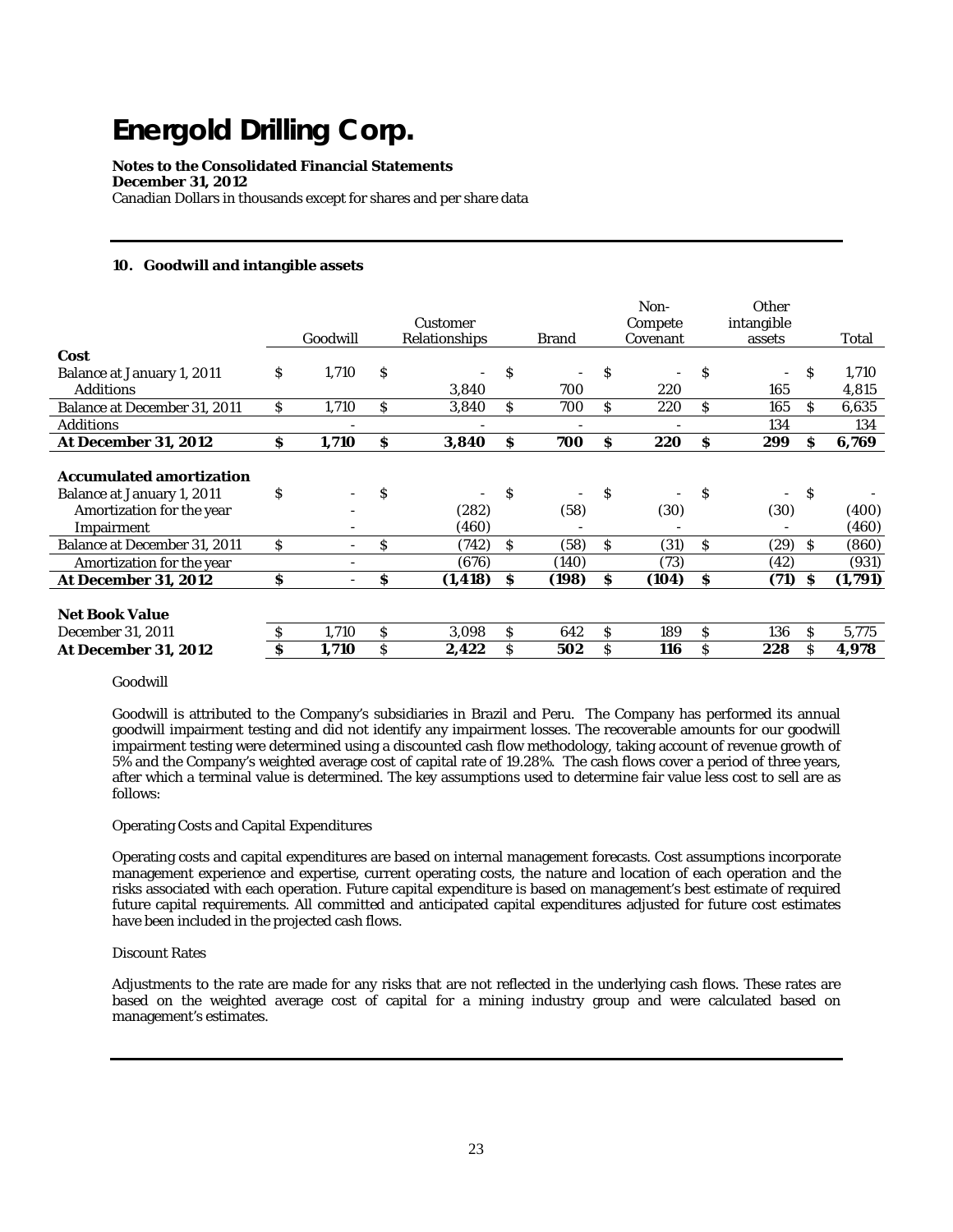# **Notes to the Consolidated Financial Statements**

**December 31, 2012** 

Canadian Dollars in thousands except for shares and per share data

# **10. Goodwill and intangible assets**

|                                 |              |                          |          |                           |    |                          |    | Non-                |   | Other                |     |         |
|---------------------------------|--------------|--------------------------|----------|---------------------------|----|--------------------------|----|---------------------|---|----------------------|-----|---------|
|                                 |              | Goodwill                 |          | Customer<br>Relationships |    | <b>Brand</b>             |    | Compete<br>Covenant |   | intangible<br>assets |     | Total   |
| Cost                            |              |                          |          |                           |    |                          |    |                     |   |                      |     |         |
| Balance at January 1, 2011      | \$           | 1,710                    | S        |                           | Ŝ  | ۰                        | S  |                     | S |                      | S   | 1,710   |
| <b>Additions</b>                |              |                          |          | 3.840                     |    | 700                      |    | 220                 |   | 165                  |     | 4,815   |
| Balance at December 31, 2011    | S.           | 1,710                    | S.       | 3,840                     | Ŝ. | 700                      | S. | 220                 | S | 165                  | S.  | 6,635   |
| <b>Additions</b>                |              |                          |          |                           |    | $\overline{\phantom{a}}$ |    |                     |   | 134                  |     | 134     |
| At December 31, 2012            | \$           | 1,710                    | \$       | 3,840                     | s  | 700                      | S  | 220                 | S | 299                  | s   | 6,769   |
| <b>Accumulated amortization</b> |              |                          |          |                           |    |                          |    |                     |   |                      |     |         |
| Balance at January 1, 2011      | Ś            |                          | <b>S</b> |                           | Ŝ  | ٠                        | S  |                     | S |                      | S   |         |
| Amortization for the year       |              |                          |          | (282)                     |    | (58)                     |    | (30)                |   | (30)                 |     | (400)   |
| Impairment                      |              |                          |          | (460)                     |    | ٠                        |    |                     |   |                      |     | (460)   |
| Balance at December 31, 2011    | <sup>S</sup> |                          | Ś        | (742)                     | Ŝ. | (58)                     | Ś. | (31)                | S | (29)                 | S   | (860)   |
| Amortization for the year       |              |                          |          | (676)                     |    | (140)                    |    | (73)                |   | (42)                 |     | (931)   |
| At December 31, 2012            | S            | $\overline{\phantom{a}}$ | s        | (1, 418)                  | s  | (198)                    | S. | (104)               | S | (71)                 | S   | (1,791) |
| <b>Net Book Value</b>           |              |                          |          |                           |    |                          |    |                     |   |                      |     |         |
| December 31, 2011               | S            | 1,710                    | Ś        | 3,098                     | S  | 642                      | Ŝ. | 189                 | S | 136                  | \$. | 5,775   |
| At December 31, 2012            | \$           | 1,710                    | Ś        | 2,422                     | S  | 502                      | Ś. | 116                 | S | 228                  | S   | 4,978   |

### Goodwill

Goodwill is attributed to the Company's subsidiaries in Brazil and Peru. The Company has performed its annual goodwill impairment testing and did not identify any impairment losses. The recoverable amounts for our goodwill impairment testing were determined using a discounted cash flow methodology, taking account of revenue growth of 5% and the Company's weighted average cost of capital rate of 19.28%. The cash flows cover a period of three years, after which a terminal value is determined. The key assumptions used to determine fair value less cost to sell are as follows:

## Operating Costs and Capital Expenditures

Operating costs and capital expenditures are based on internal management forecasts. Cost assumptions incorporate management experience and expertise, current operating costs, the nature and location of each operation and the risks associated with each operation. Future capital expenditure is based on management's best estimate of required future capital requirements. All committed and anticipated capital expenditures adjusted for future cost estimates have been included in the projected cash flows.

#### Discount Rates

Adjustments to the rate are made for any risks that are not reflected in the underlying cash flows. These rates are based on the weighted average cost of capital for a mining industry group and were calculated based on management's estimates.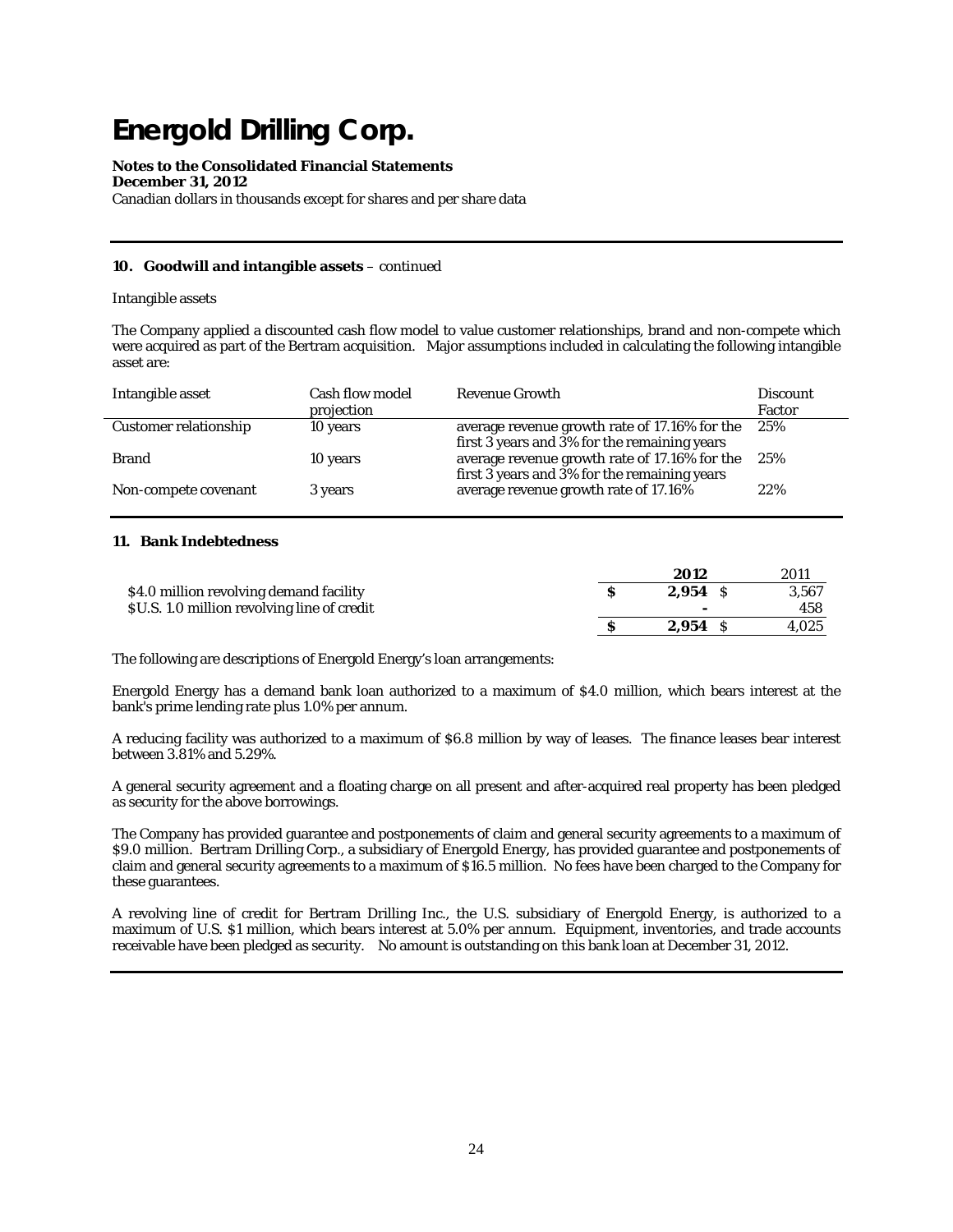# **Notes to the Consolidated Financial Statements**

**December 31, 2012** 

Canadian dollars in thousands except for shares and per share data

# **10. Goodwill and intangible assets** *– continued*

### Intangible assets

The Company applied a discounted cash flow model to value customer relationships, brand and non-compete which were acquired as part of the Bertram acquisition. Major assumptions included in calculating the following intangible asset are:

| Intangible asset      | <b>Cash flow model</b><br>projection | <b>Revenue Growth</b>                         | <b>Discount</b><br>Factor |
|-----------------------|--------------------------------------|-----------------------------------------------|---------------------------|
| Customer relationship | 10 years                             | average revenue growth rate of 17.16% for the | 25%                       |
|                       |                                      | first 3 years and 3% for the remaining years  |                           |
| Brand                 | 10 years                             | average revenue growth rate of 17.16% for the | 25%                       |
|                       |                                      | first 3 years and 3% for the remaining years  |                           |
| Non-compete covenant  | 3 years                              | average revenue growth rate of 17.16%         | 22%                       |

# **11. Bank Indebtedness**

|                                             | 2012  | 2011  |
|---------------------------------------------|-------|-------|
| \$4.0 million revolving demand facility     | 2.954 | 3.567 |
| \$U.S. 1.0 million revolving line of credit | -     | 458   |
|                                             | 2.954 | 4.025 |

The following are descriptions of Energold Energy's loan arrangements:

Energold Energy has a demand bank loan authorized to a maximum of \$4.0 million, which bears interest at the bank's prime lending rate plus 1.0% per annum.

A reducing facility was authorized to a maximum of \$6.8 million by way of leases. The finance leases bear interest between 3.81% and 5.29%.

A general security agreement and a floating charge on all present and after-acquired real property has been pledged as security for the above borrowings.

The Company has provided guarantee and postponements of claim and general security agreements to a maximum of \$9.0 million. Bertram Drilling Corp., a subsidiary of Energold Energy, has provided guarantee and postponements of claim and general security agreements to a maximum of \$16.5 million. No fees have been charged to the Company for these guarantees.

A revolving line of credit for Bertram Drilling Inc., the U.S. subsidiary of Energold Energy, is authorized to a maximum of U.S. \$1 million, which bears interest at 5.0% per annum. Equipment, inventories, and trade accounts receivable have been pledged as security. No amount is outstanding on this bank loan at December 31, 2012.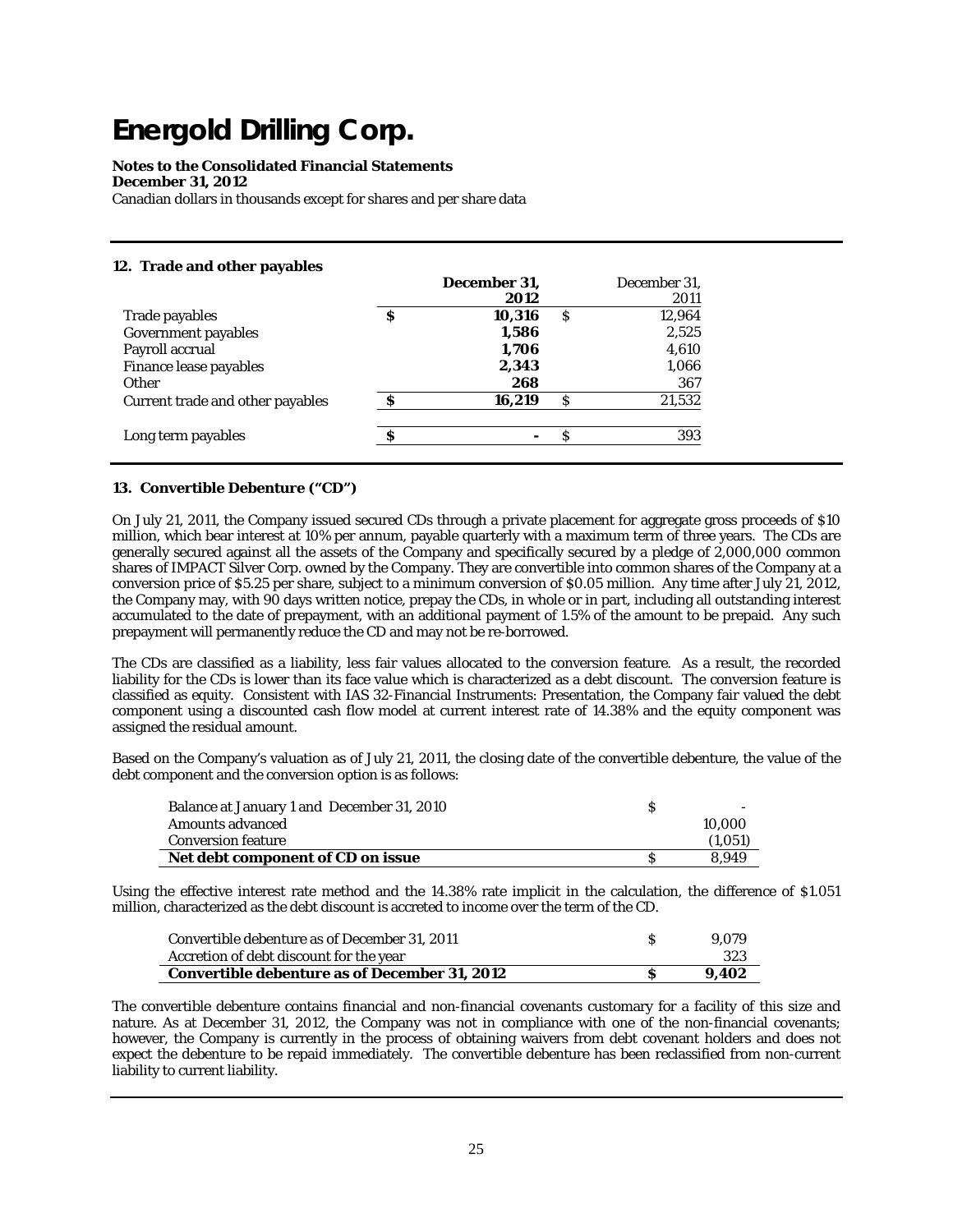# **Notes to the Consolidated Financial Statements**

**December 31, 2012** 

Canadian dollars in thousands except for shares and per share data

# **12. Trade and other payables**

|   | December 31, |   | December 31. |
|---|--------------|---|--------------|
|   | 2012         |   | 2011         |
| S | 10,316       | S | 12,964       |
|   | 1,586        |   | 2,525        |
|   | 1,706        |   | 4,610        |
|   | 2,343        |   | 1,066        |
|   | 268          |   | 367          |
|   | 16,219       | S | 21,532       |
|   |              | S | 393          |
|   |              |   |              |

## **13. Convertible Debenture ("CD")**

On July 21, 2011, the Company issued secured CDs through a private placement for aggregate gross proceeds of \$10 million, which bear interest at 10% per annum, payable quarterly with a maximum term of three years. The CDs are generally secured against all the assets of the Company and specifically secured by a pledge of 2,000,000 common shares of IMPACT Silver Corp. owned by the Company. They are convertible into common shares of the Company at a conversion price of \$5.25 per share, subject to a minimum conversion of \$0.05 million. Any time after July 21, 2012, the Company may, with 90 days written notice, prepay the CDs, in whole or in part, including all outstanding interest accumulated to the date of prepayment, with an additional payment of 1.5% of the amount to be prepaid. Any such prepayment will permanently reduce the CD and may not be re-borrowed.

The CDs are classified as a liability, less fair values allocated to the conversion feature. As a result, the recorded liability for the CDs is lower than its face value which is characterized as a debt discount. The conversion feature is classified as equity. Consistent with IAS 32-Financial Instruments: Presentation, the Company fair valued the debt component using a discounted cash flow model at current interest rate of 14.38% and the equity component was assigned the residual amount.

Based on the Company's valuation as of July 21, 2011, the closing date of the convertible debenture, the value of the debt component and the conversion option is as follows:

| Balance at January 1 and December 31, 2010 | $\overline{\phantom{0}}$ |
|--------------------------------------------|--------------------------|
| Amounts advanced                           | 10.000                   |
| <b>Conversion feature</b>                  | (1.051)                  |
| Net debt component of CD on issue          | 8.949                    |

Using the effective interest rate method and the 14.38% rate implicit in the calculation, the difference of \$1.051 million, characterized as the debt discount is accreted to income over the term of the CD.

| Convertible debenture as of December 31, 2011        | 9.079 |
|------------------------------------------------------|-------|
| Accretion of debt discount for the year              | 323   |
| <b>Convertible debenture as of December 31, 2012</b> | 9.402 |

The convertible debenture contains financial and non-financial covenants customary for a facility of this size and nature. As at December 31, 2012, the Company was not in compliance with one of the non-financial covenants; however, the Company is currently in the process of obtaining waivers from debt covenant holders and does not expect the debenture to be repaid immediately. The convertible debenture has been reclassified from non-current liability to current liability.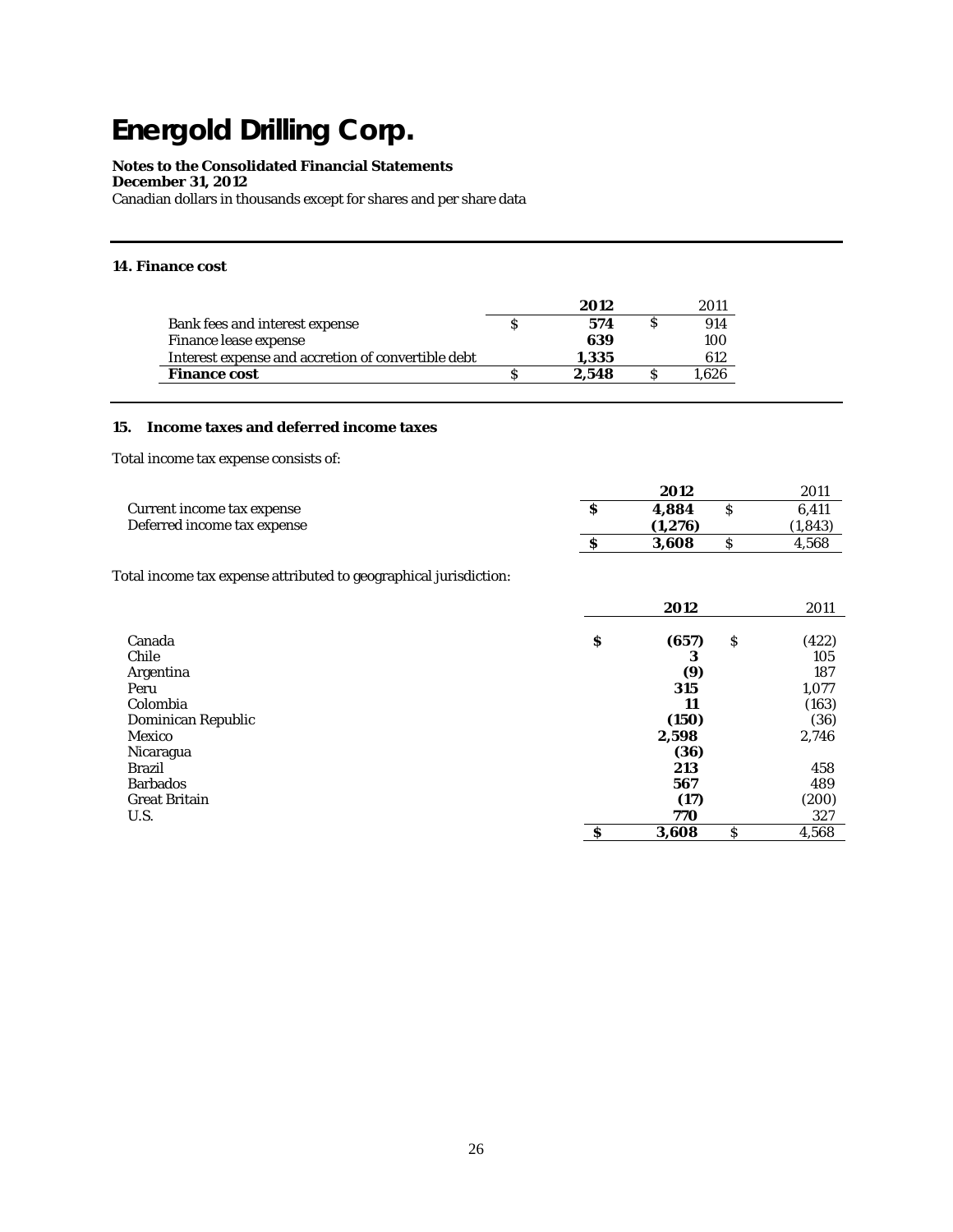# **Notes to the Consolidated Financial Statements**

**December 31, 2012** 

Canadian dollars in thousands except for shares and per share data

# **14. Finance cost**

|                                                    | 2012  |       |
|----------------------------------------------------|-------|-------|
| Bank fees and interest expense                     | 574   | 914   |
| Finance lease expense                              | 639   | 100   |
| Interest expense and accretion of convertible debt | 1.335 | 612   |
| <b>Finance cost</b>                                | 2.548 | 1.626 |

### **15. Income taxes and deferred income taxes**

Total income tax expense consists of:

|                             | 2012    | 2011     |
|-----------------------------|---------|----------|
| Current income tax expense  | 4.884   | 6.411    |
| Deferred income tax expense | (1.276) | (1, 843) |
|                             | 3.608   | 4.568    |

Total income tax expense attributed to geographical jurisdiction:

|                      |    | 2012  |   | 2011  |
|----------------------|----|-------|---|-------|
|                      |    |       |   |       |
| Canada               | \$ | (657) | S | (422) |
| Chile                |    | 3     |   | 105   |
| Argentina            |    | (9)   |   | 187   |
| Peru                 |    | 315   |   | 1,077 |
| Colombia             |    | 11    |   | (163) |
| Dominican Republic   |    | (150) |   | (36)  |
| Mexico               |    | 2,598 |   | 2,746 |
| Nicaragua            |    | (36)  |   |       |
| <b>Brazil</b>        |    | 213   |   | 458   |
| <b>Barbados</b>      |    | 567   |   | 489   |
| <b>Great Britain</b> |    | (17)  |   | (200) |
| U.S.                 |    | 770   |   | 327   |
|                      | -S | 3,608 | s | 4,568 |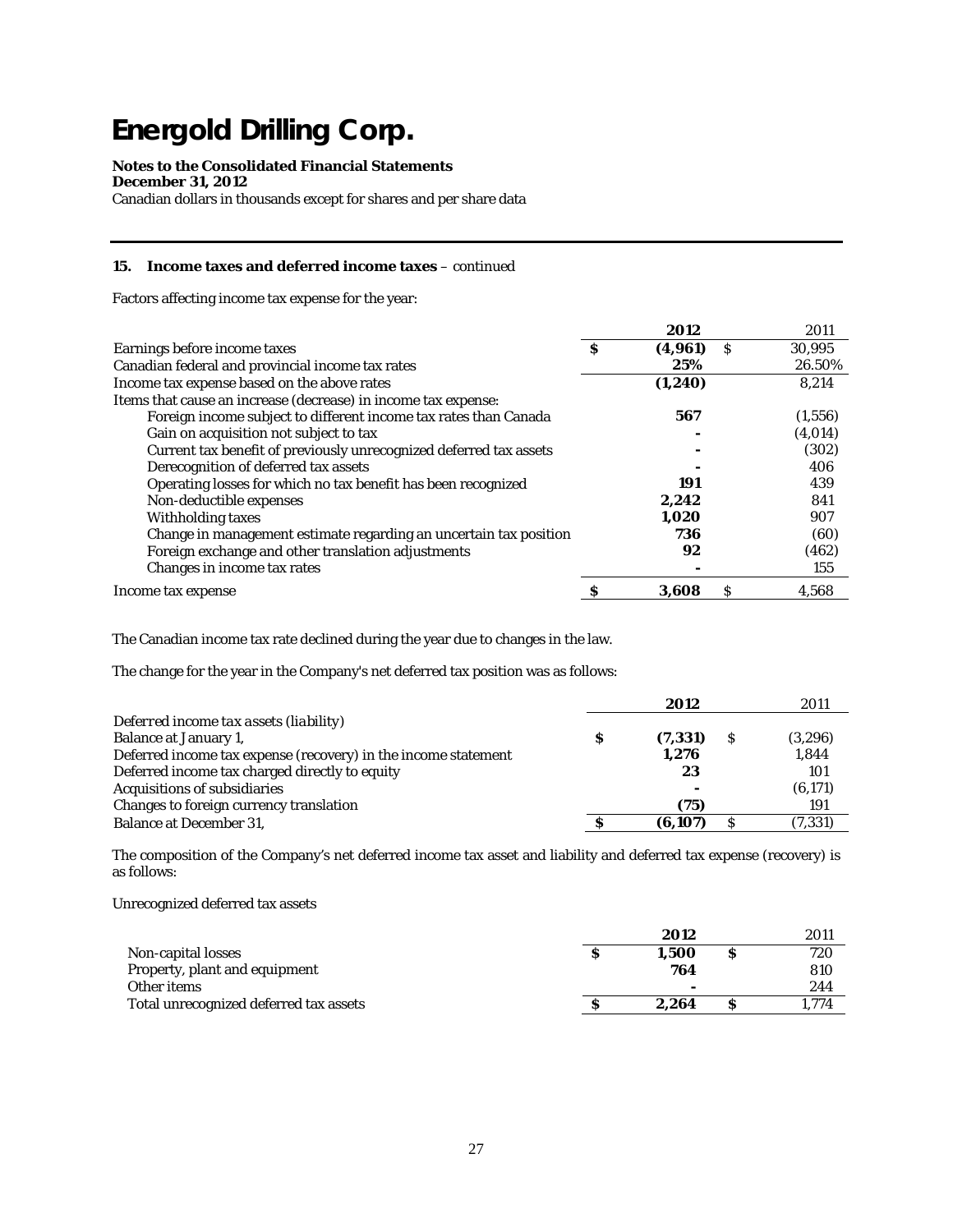# **Notes to the Consolidated Financial Statements**

**December 31, 2012** 

Canadian dollars in thousands except for shares and per share data

# **15. Income taxes and deferred income taxes** *– continued*

Factors affecting income tax expense for the year:

|                                                                    |   | 2012     |   | 2011    |
|--------------------------------------------------------------------|---|----------|---|---------|
| Earnings before income taxes                                       | S | (4,961)  | S | 30.995  |
| Canadian federal and provincial income tax rates                   |   | 25%      |   | 26.50%  |
| Income tax expense based on the above rates                        |   | (1, 240) |   | 8.214   |
| Items that cause an increase (decrease) in income tax expense:     |   |          |   |         |
| Foreign income subject to different income tax rates than Canada   |   | 567      |   | (1,556) |
| Gain on acquisition not subject to tax                             |   |          |   | (4,014) |
| Current tax benefit of previously unrecognized deferred tax assets |   |          |   | (302)   |
| Derecognition of deferred tax assets                               |   |          |   | 406     |
| Operating losses for which no tax benefit has been recognized      |   | 191      |   | 439     |
| Non-deductible expenses                                            |   | 2,242    |   | 841     |
| Withholding taxes                                                  |   | 1,020    |   | 907     |
| Change in management estimate regarding an uncertain tax position  |   | 736      |   | (60)    |
| Foreign exchange and other translation adjustments                 |   | 92       |   | (462)   |
| Changes in income tax rates                                        |   |          |   | 155     |
| Income tax expense                                                 | S | 3,608    | S | 4,568   |

The Canadian income tax rate declined during the year due to changes in the law.

The change for the year in the Company's net deferred tax position was as follows:

|                                                                |   | 2012    | 2011     |
|----------------------------------------------------------------|---|---------|----------|
| Deferred income tax assets (liability)                         |   |         |          |
| Balance at January 1,                                          | s | (7.331) | (3,296)  |
| Deferred income tax expense (recovery) in the income statement |   | 1.276   | 1,844    |
| Deferred income tax charged directly to equity                 |   | 23      | 101      |
| <b>Acquisitions of subsidiaries</b>                            |   |         | (6,171)  |
| Changes to foreign currency translation                        |   | (75)    | 191      |
| <b>Balance at December 31.</b>                                 |   | (6,107) | (7, 331) |

The composition of the Company's net deferred income tax asset and liability and deferred tax expense (recovery) is as follows:

Unrecognized deferred tax assets

|                                        | 2012                     | 2011  |
|----------------------------------------|--------------------------|-------|
| Non-capital losses                     | 1.500                    | 720   |
| Property, plant and equipment          | 764                      | 810   |
| Other items                            | $\overline{\phantom{a}}$ | 244   |
| Total unrecognized deferred tax assets | 2.264                    | l.774 |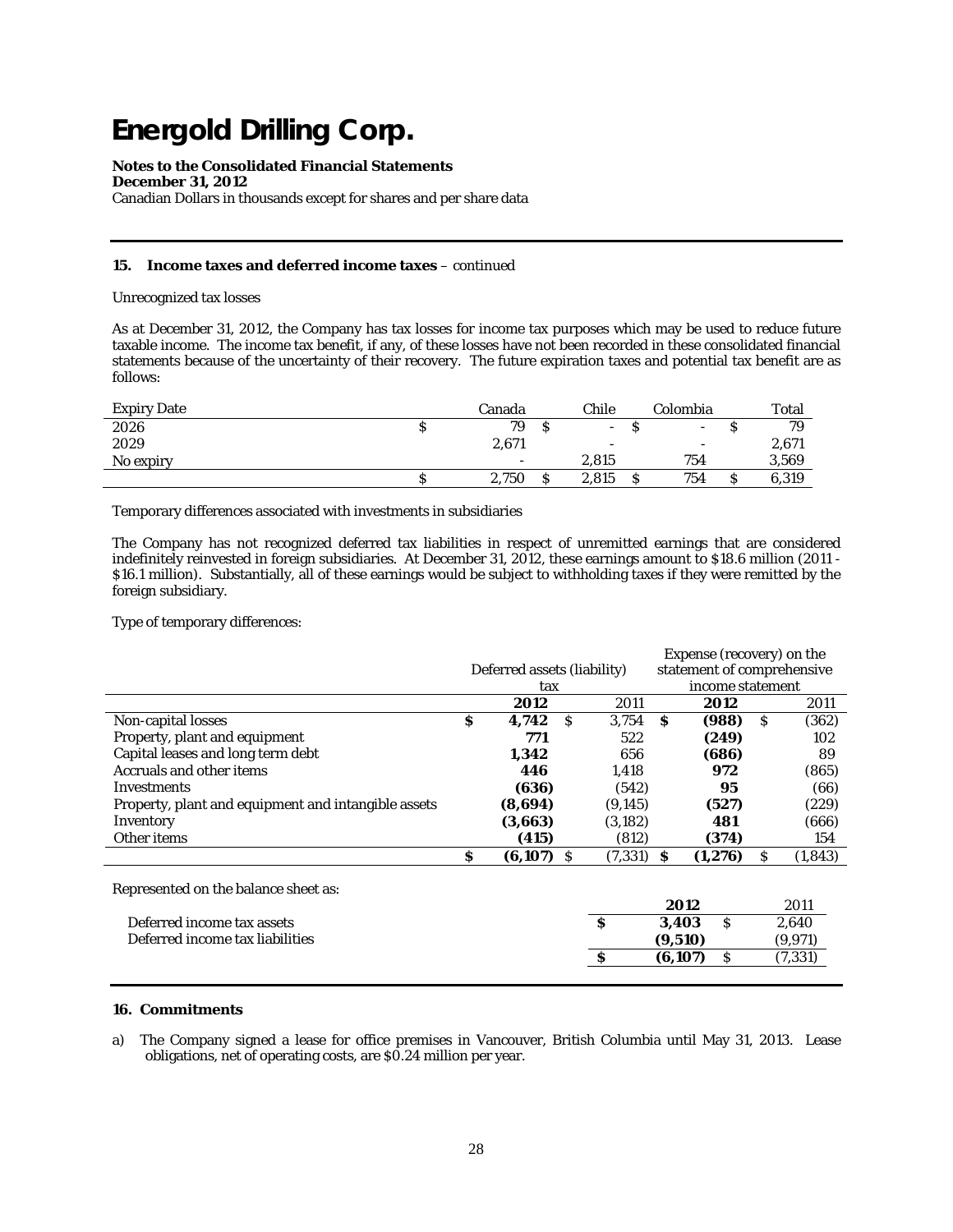# **Notes to the Consolidated Financial Statements**

**December 31, 2012**

Canadian Dollars in thousands except for shares and per share data

# **15. Income taxes and deferred income taxes** *– continued*

Unrecognized tax losses

As at December 31, 2012, the Company has tax losses for income tax purposes which may be used to reduce future taxable income. The income tax benefit, if any, of these losses have not been recorded in these consolidated financial statements because of the uncertainty of their recovery. The future expiration taxes and potential tax benefit are as follows:

| <b>Expiry Date</b> | Canada         | Chile                    |   | Colombia                 | Total |
|--------------------|----------------|--------------------------|---|--------------------------|-------|
| 2026               | 79             | ۰.                       |   | -                        | 79    |
| 2029               | 2,671          | $\overline{\phantom{a}}$ |   | $\overline{\phantom{a}}$ | 2,671 |
| No expiry          | $\overline{a}$ | 2.815                    |   | 754                      | 3,569 |
|                    | 2,750          | 2,815                    | ົ | 754                      | 6,319 |

Temporary differences associated with investments in subsidiaries

The Company has not recognized deferred tax liabilities in respect of unremitted earnings that are considered indefinitely reinvested in foreign subsidiaries. At December 31, 2012, these earnings amount to \$18.6 million (2011 - \$16.1 million). Substantially, all of these earnings would be subject to withholding taxes if they were remitted by the foreign subsidiary.

Type of temporary differences:

|                                                     | Deferred assets (liability)<br>tax |   |          | Expense (recovery) on the<br>statement of comprehensive<br>income statement |          |   |          |
|-----------------------------------------------------|------------------------------------|---|----------|-----------------------------------------------------------------------------|----------|---|----------|
|                                                     | 2012                               |   | 2011     |                                                                             | 2012     |   | 2011     |
| Non-capital losses                                  | \$<br>4.742                        | S | 3.754    | -S                                                                          | (988)    | S | (362)    |
| Property, plant and equipment                       | 771                                |   | 522      |                                                                             | (249)    |   | 102      |
| Capital leases and long term debt                   | 1,342                              |   | 656      |                                                                             | (686)    |   | 89       |
| <b>Accruals and other items</b>                     | 446                                |   | 1.418    |                                                                             | 972      |   | (865)    |
| <b>Investments</b>                                  | (636)                              |   | (542)    |                                                                             | 95       |   | (66)     |
| Property, plant and equipment and intangible assets | (8,694)                            |   | (9, 145) |                                                                             | (527)    |   | (229)    |
| Inventory                                           | (3,663)                            |   | (3,182)  |                                                                             | 481      |   | (666)    |
| Other items                                         | (415)                              |   | (812)    |                                                                             | (374)    |   | 154      |
|                                                     | \$<br>$(6.107)$ S                  |   | (7, 331) | <b>S</b>                                                                    | (1, 276) | S | (1, 843) |
| Represented on the balance sheet as:                |                                    |   |          |                                                                             |          |   |          |

|                                 | 2012    | 2011    |
|---------------------------------|---------|---------|
| Deferred income tax assets      | 3.403   | 2.640   |
| Deferred income tax liabilities | (9.510) | (9,971) |
|                                 | (6.107) | (7,331) |
|                                 |         |         |

## **16. Commitments**

a) The Company signed a lease for office premises in Vancouver, British Columbia until May 31, 2013. Lease obligations, net of operating costs, are \$0.24 million per year.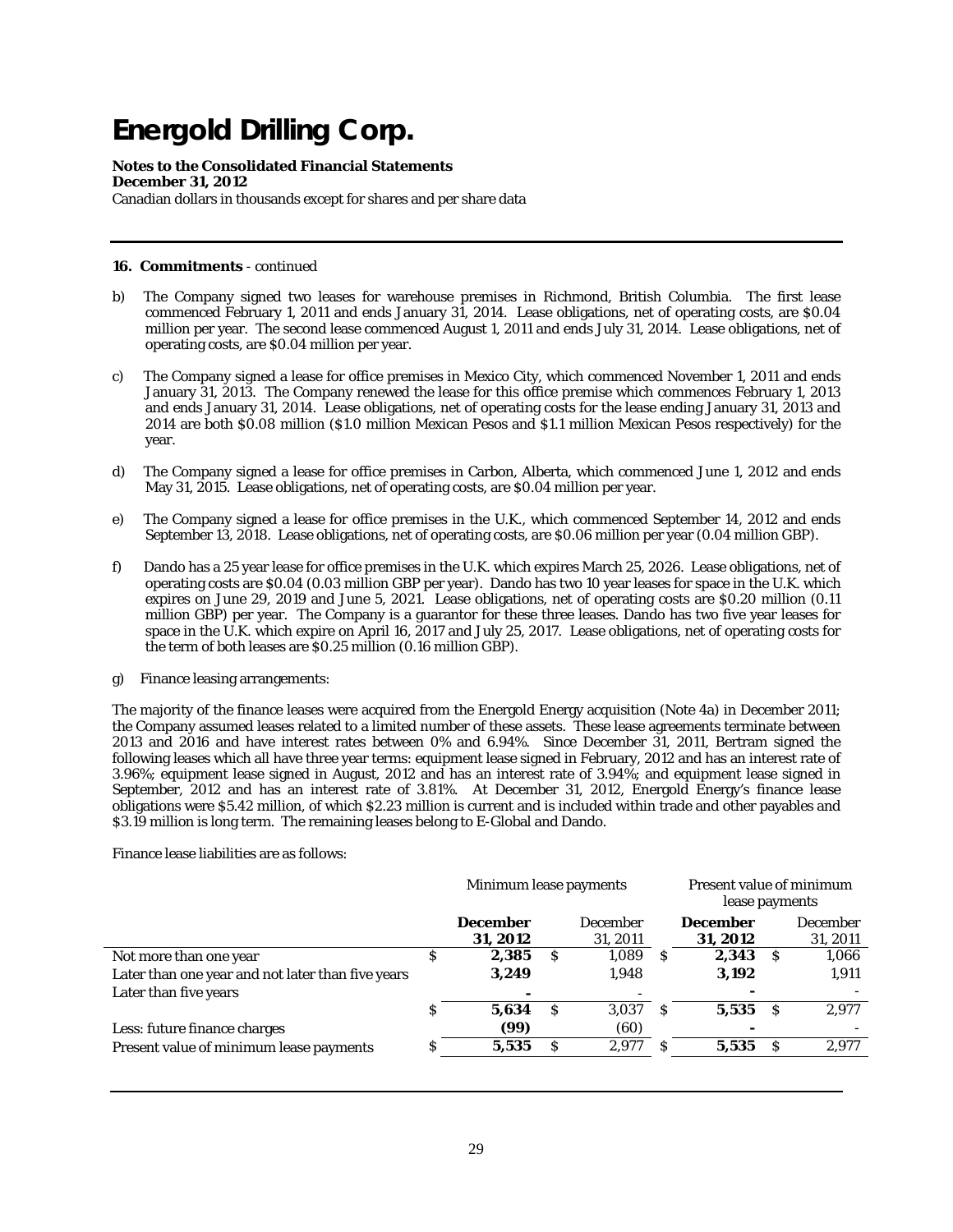#### **Notes to the Consolidated Financial Statements December 31, 2012**

Canadian dollars in thousands except for shares and per share data

### **16. Commitments** *- continued*

- b) The Company signed two leases for warehouse premises in Richmond, British Columbia. The first lease commenced February 1, 2011 and ends January 31, 2014. Lease obligations, net of operating costs, are \$0.04 million per year. The second lease commenced August 1, 2011 and ends July 31, 2014. Lease obligations, net of operating costs, are \$0.04 million per year.
- c) The Company signed a lease for office premises in Mexico City, which commenced November 1, 2011 and ends January 31, 2013. The Company renewed the lease for this office premise which commences February 1, 2013 and ends January 31, 2014. Lease obligations, net of operating costs for the lease ending January 31, 2013 and 2014 are both \$0.08 million (\$1.0 million Mexican Pesos and \$1.1 million Mexican Pesos respectively) for the year.
- d) The Company signed a lease for office premises in Carbon, Alberta, which commenced June 1, 2012 and ends May 31, 2015. Lease obligations, net of operating costs, are \$0.04 million per year.
- e) The Company signed a lease for office premises in the U.K., which commenced September 14, 2012 and ends September 13, 2018. Lease obligations, net of operating costs, are \$0.06 million per year (0.04 million GBP).
- f) Dando has a 25 year lease for office premises in the U.K. which expires March 25, 2026. Lease obligations, net of operating costs are \$0.04 (0.03 million GBP per year). Dando has two 10 year leases for space in the U.K. which expires on June 29, 2019 and June 5, 2021. Lease obligations, net of operating costs are \$0.20 million (0.11 million GBP) per year. The Company is a guarantor for these three leases. Dando has two five year leases for space in the U.K. which expire on April 16, 2017 and July 25, 2017. Lease obligations, net of operating costs for the term of both leases are \$0.25 million (0.16 million GBP).
- g) Finance leasing arrangements:

The majority of the finance leases were acquired from the Energold Energy acquisition (Note 4a) in December 2011; the Company assumed leases related to a limited number of these assets. These lease agreements terminate between 2013 and 2016 and have interest rates between 0% and 6.94%. Since December 31, 2011, Bertram signed the following leases which all have three year terms: equipment lease signed in February, 2012 and has an interest rate of 3.96%; equipment lease signed in August, 2012 and has an interest rate of 3.94%; and equipment lease signed in September, 2012 and has an interest rate of 3.81%. At December 31, 2012, Energold Energy's finance lease obligations were \$5.42 million, of which \$2.23 million is current and is included within trade and other payables and \$3.19 million is long term. The remaining leases belong to E-Global and Dando.

Finance lease liabilities are as follows:

|                                                   |   | Minimum lease payments      |    |                      |    | Present value of minimum<br>lease payments |     |                      |  |
|---------------------------------------------------|---|-----------------------------|----|----------------------|----|--------------------------------------------|-----|----------------------|--|
|                                                   |   | <b>December</b><br>31, 2012 |    | December<br>31, 2011 |    | December<br>31.2012                        |     | December<br>31, 2011 |  |
| Not more than one year                            |   | 2,385                       | -S | 1,089                | -S | 2,343                                      | - S | 1,066                |  |
| Later than one year and not later than five years |   | 3,249                       |    | 1,948                |    | 3,192                                      |     | 1,911                |  |
| Later than five years                             |   | $\overline{\phantom{0}}$    |    |                      |    |                                            |     |                      |  |
|                                                   | S | 5,634                       | S  | 3.037                | -S | 5,535                                      | -S  | 2,977                |  |
| Less: future finance charges                      |   | (99)                        |    | (60)                 |    |                                            |     |                      |  |
| Present value of minimum lease payments           | S | 5,535                       | s  | 2.977                |    | 5,535                                      | -S  | 2,977                |  |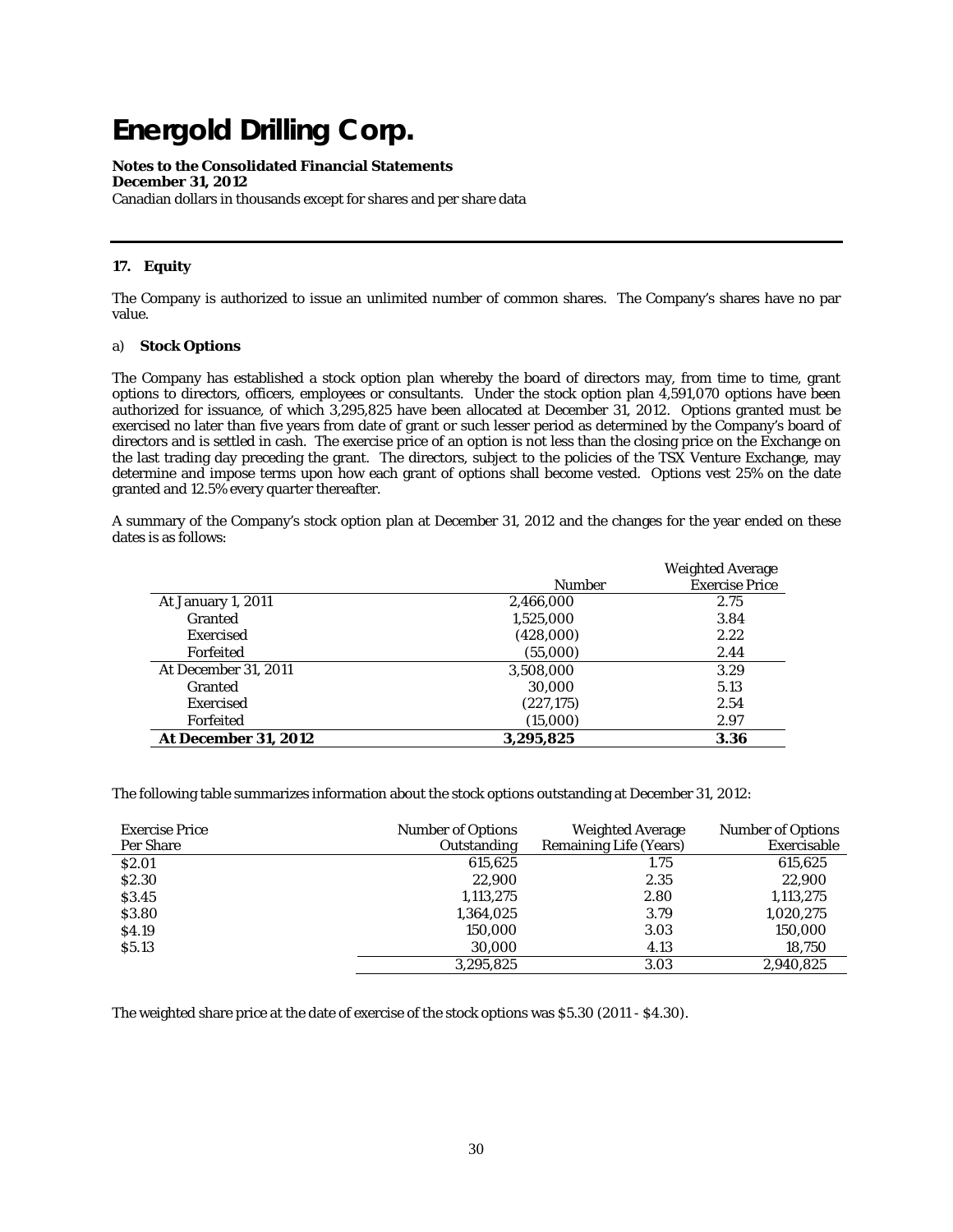#### **Notes to the Consolidated Financial Statements December 31, 2012**

Canadian dollars in thousands except for shares and per share data

# **17. Equity**

The Company is authorized to issue an unlimited number of common shares. The Company's shares have no par value.

### a) **Stock Options**

The Company has established a stock option plan whereby the board of directors may, from time to time, grant options to directors, officers, employees or consultants. Under the stock option plan 4,591,070 options have been authorized for issuance, of which 3,295,825 have been allocated at December 31, 2012. Options granted must be exercised no later than five years from date of grant or such lesser period as determined by the Company's board of directors and is settled in cash. The exercise price of an option is not less than the closing price on the Exchange on the last trading day preceding the grant. The directors, subject to the policies of the TSX Venture Exchange, may determine and impose terms upon how each grant of options shall become vested. Options vest 25% on the date granted and 12.5% every quarter thereafter.

A summary of the Company's stock option plan at December 31, 2012 and the changes for the year ended on these dates is as follows:

|                      |               | <b>Weighted Average</b> |
|----------------------|---------------|-------------------------|
|                      | <b>Number</b> | <b>Exercise Price</b>   |
| At January 1, 2011   | 2,466,000     | 2.75                    |
| <b>Granted</b>       | 1,525,000     | 3.84                    |
| Exercised            | (428,000)     | 2.22                    |
| Forfeited            | (55,000)      | 2.44                    |
| At December 31, 2011 | 3,508,000     | 3.29                    |
| Granted              | 30,000        | 5.13                    |
| Exercised            | (227, 175)    | 2.54                    |
| Forfeited            | (15,000)      | 2.97                    |
| At December 31, 2012 | 3,295,825     | 3.36                    |

The following table summarizes information about the stock options outstanding at December 31, 2012:

| <b>Exercise Price</b> | <b>Number of Options</b> | <b>Weighted Average</b>       | <b>Number of Options</b> |
|-----------------------|--------------------------|-------------------------------|--------------------------|
| Per Share             | <b>Outstanding</b>       | <b>Remaining Life (Years)</b> | Exercisable              |
| <b>S2.01</b>          | 615,625                  | 1.75                          | 615,625                  |
| \$2.30                | 22,900                   | 2.35                          | 22,900                   |
| \$3.45                | 1,113,275                | 2.80                          | 1,113,275                |
| \$3.80                | 1,364,025                | 3.79                          | 1,020,275                |
| \$4.19                | 150,000                  | 3.03                          | 150,000                  |
| \$5.13                | 30.000                   | 4.13                          | 18,750                   |
|                       | 3,295,825                | 3.03                          | 2,940,825                |

The weighted share price at the date of exercise of the stock options was \$5.30 (2011 - \$4.30).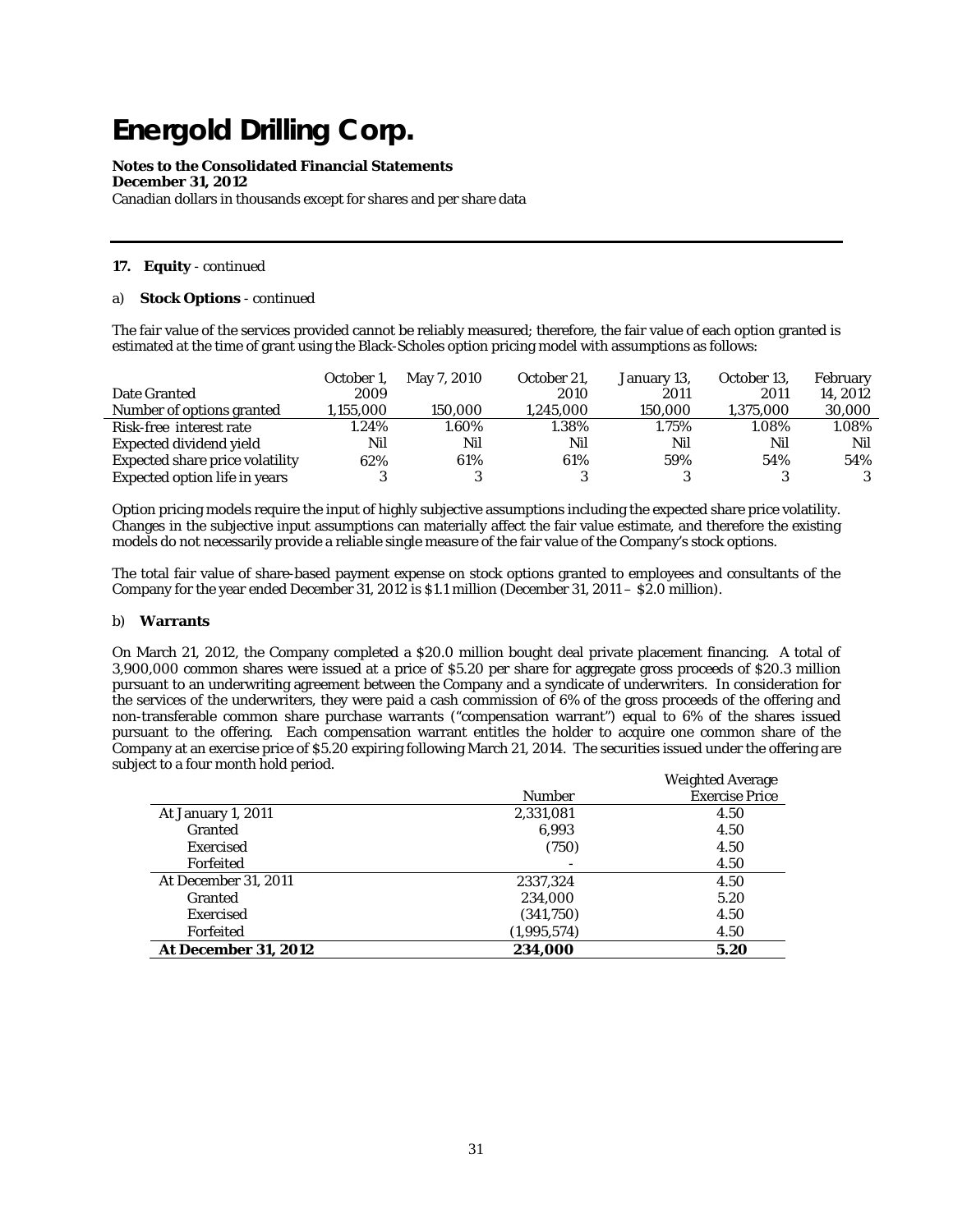#### **Notes to the Consolidated Financial Statements December 31, 2012**

Canadian dollars in thousands except for shares and per share data

# **17. Equity** *- continued*

## a) **Stock Options** *- continued*

The fair value of the services provided cannot be reliably measured; therefore, the fair value of each option granted is estimated at the time of grant using the Black-Scholes option pricing model with assumptions as follows:

|                                        | October 1. | May 7, 2010 | October 21. | January 13, | October 13. | February |
|----------------------------------------|------------|-------------|-------------|-------------|-------------|----------|
| Date Granted                           | 2009       |             | 2010        | 2011        | 2011        | 14.2012  |
| Number of options granted              | 1,155,000  | 150.000     | 1.245.000   | 150.000     | 1.375.000   | 30,000   |
| Risk-free interest rate                | 1.24%      | 1.60%       | 1.38%       | 1.75%       | 1.08%       | 1.08%    |
| Expected dividend yield                | Nil        | Nil         | Nil         | Nil         | Nil         | Nil      |
| <b>Expected share price volatility</b> | 62%        | 61%         | 61%         | 59%         | 54%         | 54%      |
| Expected option life in years          |            |             | 2           | 2           |             | 3        |

Option pricing models require the input of highly subjective assumptions including the expected share price volatility. Changes in the subjective input assumptions can materially affect the fair value estimate, and therefore the existing models do not necessarily provide a reliable single measure of the fair value of the Company's stock options.

The total fair value of share-based payment expense on stock options granted to employees and consultants of the Company for the year ended December 31, 2012 is \$1.1 million (December 31, 2011 – \$2.0 million).

### b) **Warrants**

On March 21, 2012, the Company completed a \$20.0 million bought deal private placement financing. A total of 3,900,000 common shares were issued at a price of \$5.20 per share for aggregate gross proceeds of \$20.3 million pursuant to an underwriting agreement between the Company and a syndicate of underwriters. In consideration for the services of the underwriters, they were paid a cash commission of 6% of the gross proceeds of the offering and non-transferable common share purchase warrants ("compensation warrant") equal to 6% of the shares issued pursuant to the offering. Each compensation warrant entitles the holder to acquire one common share of the Company at an exercise price of \$5.20 expiring following March 21, 2014. The securities issued under the offering are subject to a four month hold period.

|                             |               | <b>Weighted Average</b> |
|-----------------------------|---------------|-------------------------|
|                             | <b>Number</b> | <b>Exercise Price</b>   |
| At January 1, 2011          | 2,331,081     | 4.50                    |
| <b>Granted</b>              | 6,993         | 4.50                    |
| Exercised                   | (750)         | 4.50                    |
| Forfeited                   |               | 4.50                    |
| At December 31, 2011        | 2337,324      | 4.50                    |
| <b>Granted</b>              | 234,000       | 5.20                    |
| Exercised                   | (341,750)     | 4.50                    |
| Forfeited                   | (1,995,574)   | 4.50                    |
| <b>At December 31, 2012</b> | 234.000       | 5.20                    |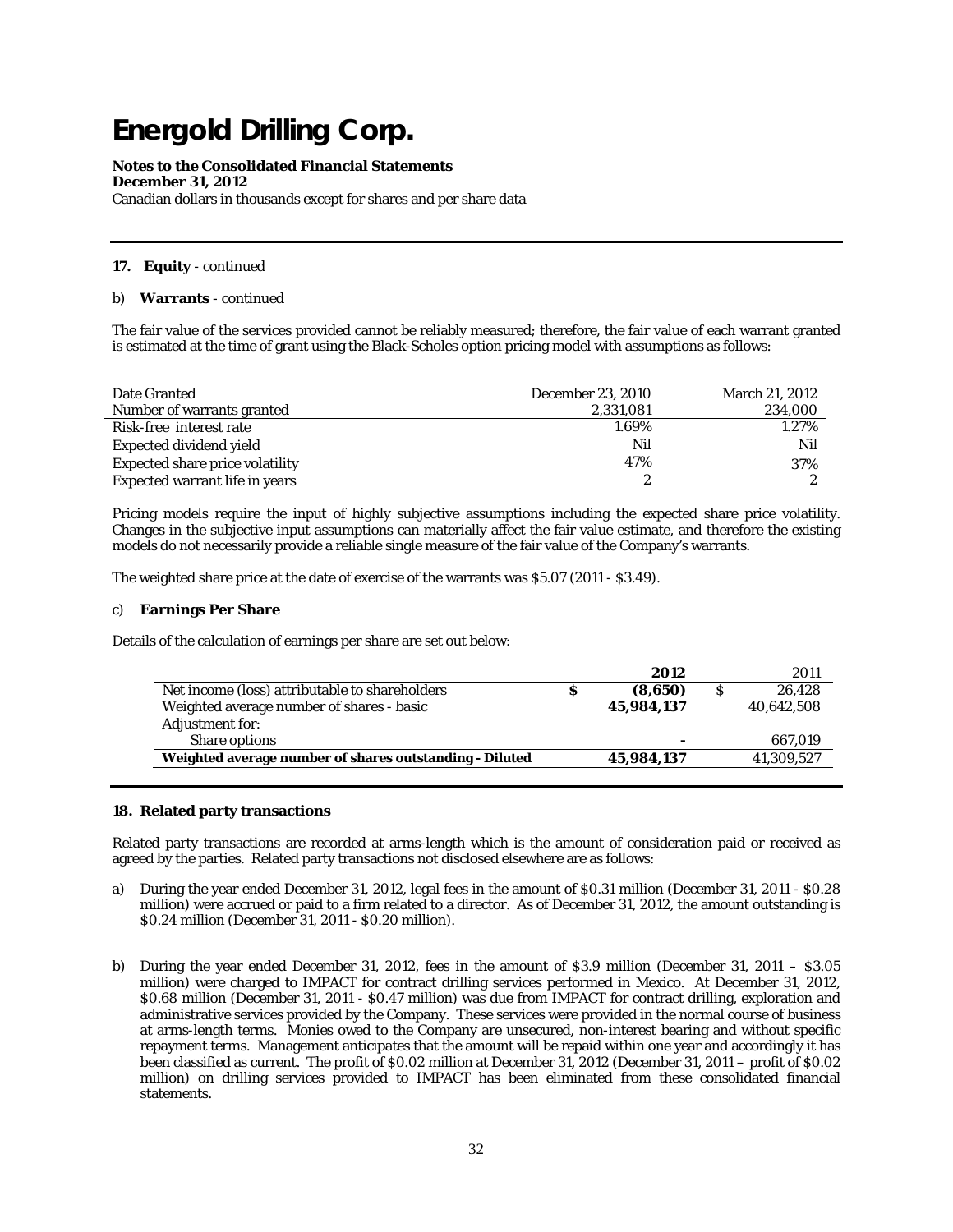# **Notes to the Consolidated Financial Statements**

**December 31, 2012** 

Canadian dollars in thousands except for shares and per share data

# **17. Equity** *- continued*

## b) **Warrants** *- continued*

The fair value of the services provided cannot be reliably measured; therefore, the fair value of each warrant granted is estimated at the time of grant using the Black-Scholes option pricing model with assumptions as follows:

| Date Granted                           | December 23, 2010 | March 21, 2012 |
|----------------------------------------|-------------------|----------------|
| Number of warrants granted             | 2,331,081         | 234,000        |
| Risk-free interest rate                | 1.69%             | 1.27%          |
| Expected dividend yield                | Nil               | Nil            |
| <b>Expected share price volatility</b> | 47%               | 37%            |
| Expected warrant life in years         | 2                 |                |

Pricing models require the input of highly subjective assumptions including the expected share price volatility. Changes in the subjective input assumptions can materially affect the fair value estimate, and therefore the existing models do not necessarily provide a reliable single measure of the fair value of the Company's warrants.

The weighted share price at the date of exercise of the warrants was \$5.07 (2011 - \$3.49).

### c) **Earnings Per Share**

Details of the calculation of earnings per share are set out below:

| (8,650)<br>45.984.137 | 26.428     |
|-----------------------|------------|
|                       |            |
|                       | 40.642.508 |
| $\blacksquare$        | 667.019    |
| 45,984,137            | 41,309,527 |
|                       |            |

## **18. Related party transactions**

Related party transactions are recorded at arms-length which is the amount of consideration paid or received as agreed by the parties. Related party transactions not disclosed elsewhere are as follows:

- a) During the year ended December 31, 2012, legal fees in the amount of \$0.31 million (December 31, 2011 \$0.28 million) were accrued or paid to a firm related to a director. As of December 31, 2012, the amount outstanding is \$0.24 million (December 31, 2011 - \$0.20 million).
- b) During the year ended December 31, 2012, fees in the amount of \$3.9 million (December 31, 2011 \$3.05 million) were charged to IMPACT for contract drilling services performed in Mexico. At December 31, 2012, \$0.68 million (December 31, 2011 - \$0.47 million) was due from IMPACT for contract drilling, exploration and administrative services provided by the Company. These services were provided in the normal course of business at arms-length terms. Monies owed to the Company are unsecured, non-interest bearing and without specific repayment terms. Management anticipates that the amount will be repaid within one year and accordingly it has been classified as current. The profit of \$0.02 million at December 31, 2012 (December 31, 2011 – profit of \$0.02 million) on drilling services provided to IMPACT has been eliminated from these consolidated financial statements.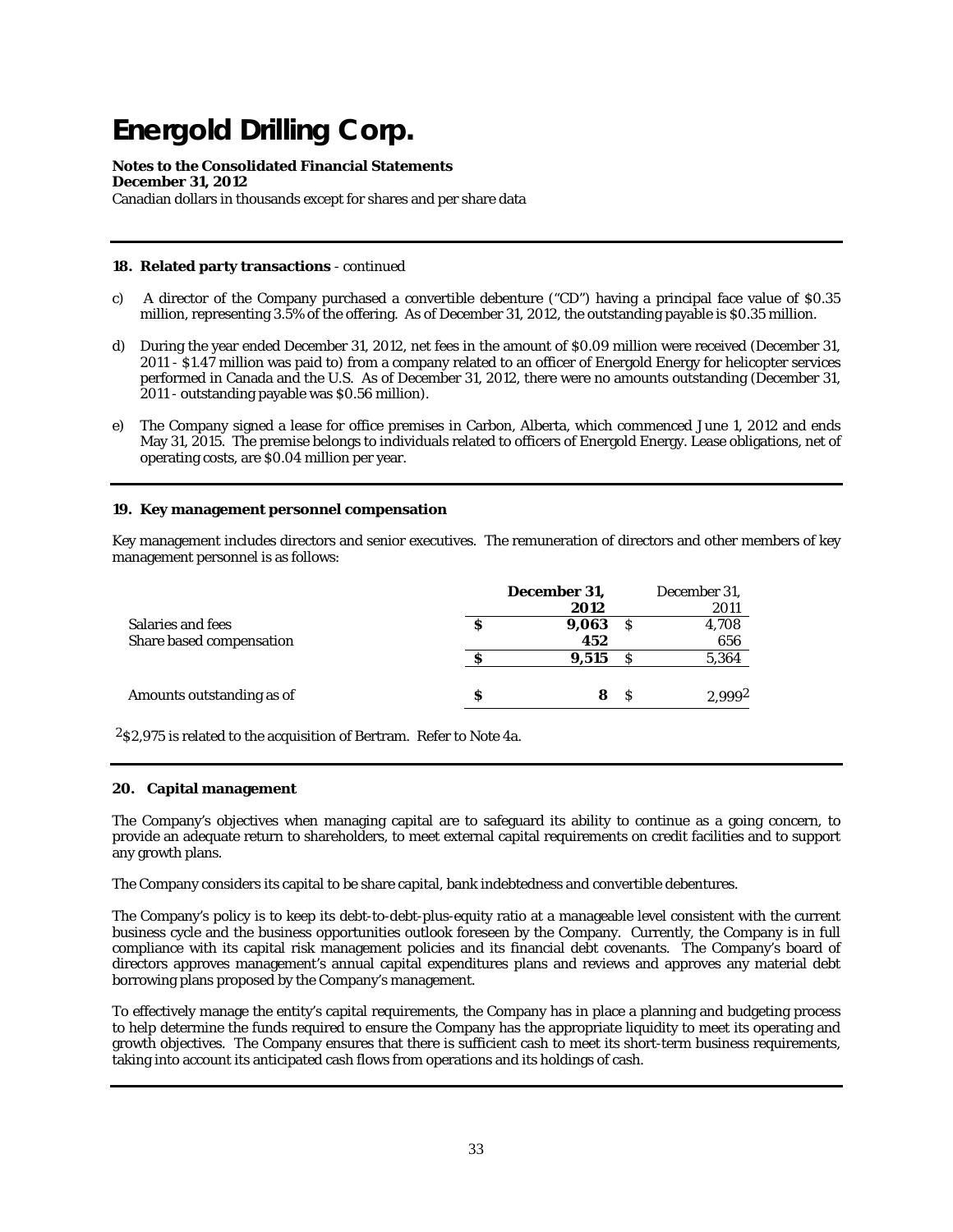#### **Notes to the Consolidated Financial Statements December 31, 2012**

Canadian dollars in thousands except for shares and per share data

## **18. Related party transactions** - *continued*

- c) A director of the Company purchased a convertible debenture ("CD") having a principal face value of \$0.35 million, representing 3.5% of the offering. As of December 31, 2012, the outstanding payable is \$0.35 million.
- d) During the year ended December 31, 2012, net fees in the amount of \$0.09 million were received (December 31, 2011 - \$1.47 million was paid to) from a company related to an officer of Energold Energy for helicopter services performed in Canada and the U.S. As of December 31, 2012, there were no amounts outstanding (December 31, 2011 - outstanding payable was \$0.56 million).
- e) The Company signed a lease for office premises in Carbon, Alberta, which commenced June 1, 2012 and ends May 31, 2015. The premise belongs to individuals related to officers of Energold Energy. Lease obligations, net of operating costs, are \$0.04 million per year.

### **19. Key management personnel compensation**

Key management includes directors and senior executives. The remuneration of directors and other members of key management personnel is as follows:

|                           |   | December 31,<br>2012 |     | December 31,<br>2011 |
|---------------------------|---|----------------------|-----|----------------------|
| Salaries and fees         | s | 9,063                |     | 4,708                |
| Share based compensation  |   | 452                  |     | 656                  |
|                           |   | 9,515                |     | 5,364                |
| Amounts outstanding as of | s | 8                    | - S | 2,9992               |

 $2$ \$2,975 is related to the acquisition of Bertram. Refer to Note 4a.

### **20. Capital management**

The Company's objectives when managing capital are to safeguard its ability to continue as a going concern, to provide an adequate return to shareholders, to meet external capital requirements on credit facilities and to support any growth plans.

The Company considers its capital to be share capital, bank indebtedness and convertible debentures.

The Company's policy is to keep its debt-to-debt-plus-equity ratio at a manageable level consistent with the current business cycle and the business opportunities outlook foreseen by the Company. Currently, the Company is in full compliance with its capital risk management policies and its financial debt covenants. The Company's board of directors approves management's annual capital expenditures plans and reviews and approves any material debt borrowing plans proposed by the Company's management.

To effectively manage the entity's capital requirements, the Company has in place a planning and budgeting process to help determine the funds required to ensure the Company has the appropriate liquidity to meet its operating and growth objectives. The Company ensures that there is sufficient cash to meet its short-term business requirements, taking into account its anticipated cash flows from operations and its holdings of cash.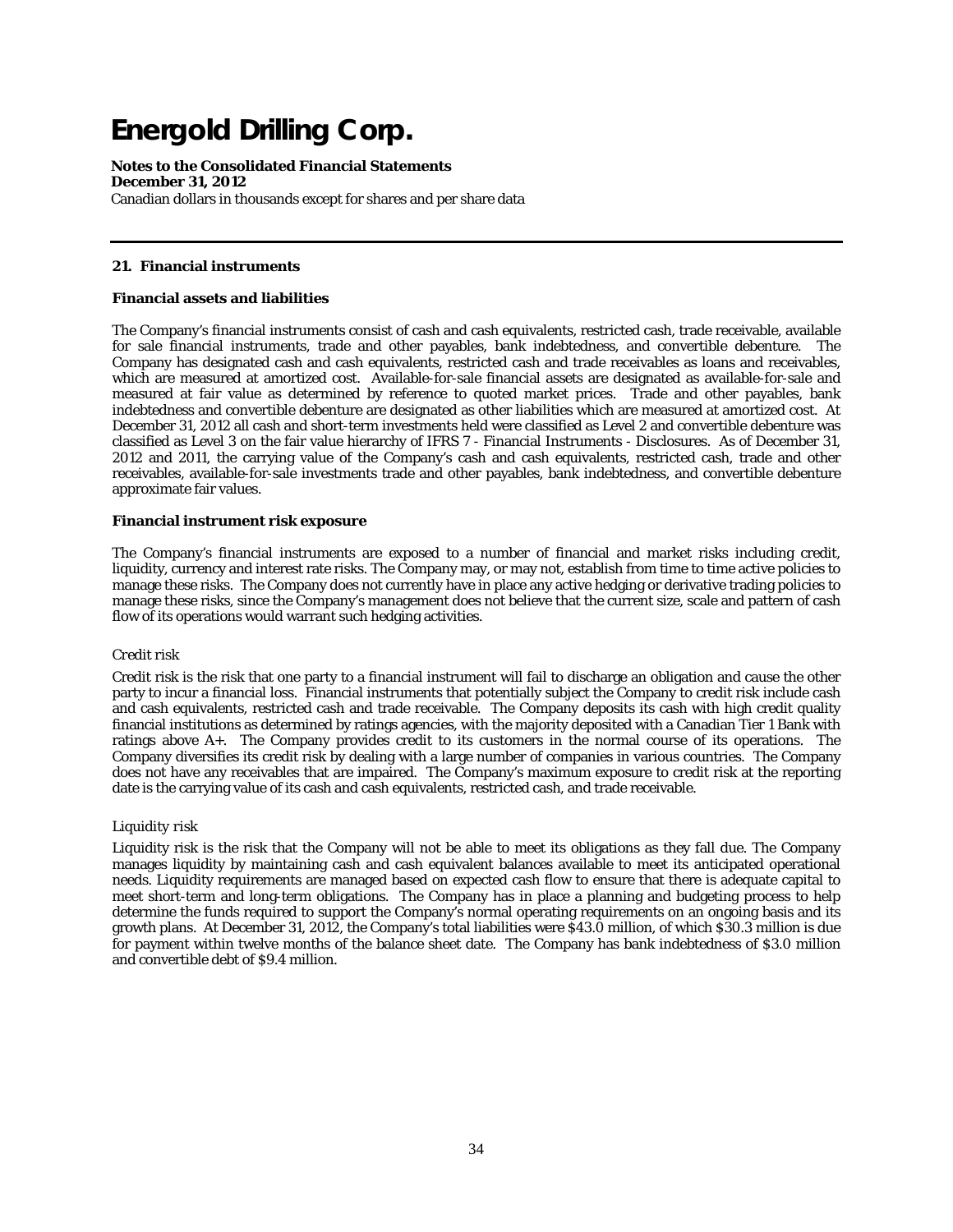#### **Notes to the Consolidated Financial Statements December 31, 2012**

Canadian dollars in thousands except for shares and per share data

## **21. Financial instruments**

### **Financial assets and liabilities**

The Company's financial instruments consist of cash and cash equivalents, restricted cash, trade receivable, available for sale financial instruments, trade and other payables, bank indebtedness, and convertible debenture. The Company has designated cash and cash equivalents, restricted cash and trade receivables as loans and receivables, which are measured at amortized cost. Available-for-sale financial assets are designated as available-for-sale and measured at fair value as determined by reference to quoted market prices. Trade and other payables, bank indebtedness and convertible debenture are designated as other liabilities which are measured at amortized cost. At December 31, 2012 all cash and short-term investments held were classified as Level 2 and convertible debenture was classified as Level 3 on the fair value hierarchy of IFRS 7 - Financial Instruments - Disclosures. As of December 31, 2012 and 2011, the carrying value of the Company's cash and cash equivalents, restricted cash, trade and other receivables, available-for-sale investments trade and other payables, bank indebtedness, and convertible debenture approximate fair values.

#### **Financial instrument risk exposure**

The Company's financial instruments are exposed to a number of financial and market risks including credit, liquidity, currency and interest rate risks. The Company may, or may not, establish from time to time active policies to manage these risks. The Company does not currently have in place any active hedging or derivative trading policies to manage these risks, since the Company's management does not believe that the current size, scale and pattern of cash flow of its operations would warrant such hedging activities.

#### *Credit risk*

Credit risk is the risk that one party to a financial instrument will fail to discharge an obligation and cause the other party to incur a financial loss. Financial instruments that potentially subject the Company to credit risk include cash and cash equivalents, restricted cash and trade receivable. The Company deposits its cash with high credit quality financial institutions as determined by ratings agencies, with the majority deposited with a Canadian Tier 1 Bank with ratings above A+. The Company provides credit to its customers in the normal course of its operations. The Company diversifies its credit risk by dealing with a large number of companies in various countries. The Company does not have any receivables that are impaired. The Company's maximum exposure to credit risk at the reporting date is the carrying value of its cash and cash equivalents, restricted cash, and trade receivable.

# *Liquidity risk*

Liquidity risk is the risk that the Company will not be able to meet its obligations as they fall due. The Company manages liquidity by maintaining cash and cash equivalent balances available to meet its anticipated operational needs. Liquidity requirements are managed based on expected cash flow to ensure that there is adequate capital to meet short-term and long-term obligations. The Company has in place a planning and budgeting process to help determine the funds required to support the Company's normal operating requirements on an ongoing basis and its growth plans. At December 31, 2012, the Company's total liabilities were \$43.0 million, of which \$30.3 million is due for payment within twelve months of the balance sheet date. The Company has bank indebtedness of \$3.0 million and convertible debt of \$9.4 million.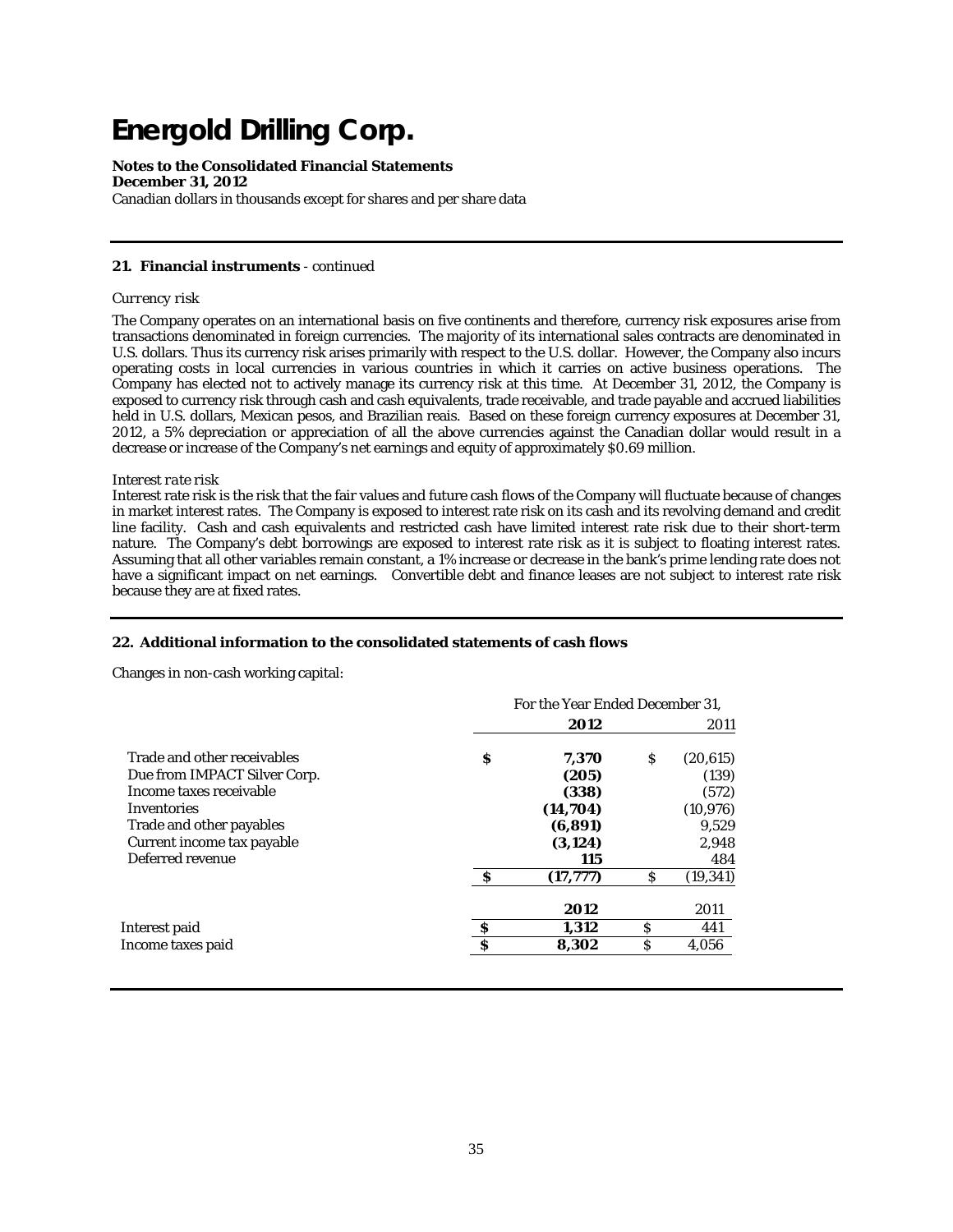#### **Notes to the Consolidated Financial Statements December 31, 2012**

Canadian dollars in thousands except for shares and per share data

### **21. Financial instruments** - *continued*

#### *Currency risk*

The Company operates on an international basis on five continents and therefore, currency risk exposures arise from transactions denominated in foreign currencies. The majority of its international sales contracts are denominated in U.S. dollars. Thus its currency risk arises primarily with respect to the U.S. dollar. However, the Company also incurs operating costs in local currencies in various countries in which it carries on active business operations. The Company has elected not to actively manage its currency risk at this time. At December 31, 2012, the Company is exposed to currency risk through cash and cash equivalents, trade receivable, and trade payable and accrued liabilities held in U.S. dollars, Mexican pesos, and Brazilian reais. Based on these foreign currency exposures at December 31, 2012, a 5% depreciation or appreciation of all the above currencies against the Canadian dollar would result in a decrease or increase of the Company's net earnings and equity of approximately \$0.69 million.

#### *Interest rate risk*

Interest rate risk is the risk that the fair values and future cash flows of the Company will fluctuate because of changes in market interest rates. The Company is exposed to interest rate risk on its cash and its revolving demand and credit line facility. Cash and cash equivalents and restricted cash have limited interest rate risk due to their short-term nature. The Company's debt borrowings are exposed to interest rate risk as it is subject to floating interest rates. Assuming that all other variables remain constant, a 1% increase or decrease in the bank's prime lending rate does not have a significant impact on net earnings. Convertible debt and finance leases are not subject to interest rate risk because they are at fixed rates.

#### **22. Additional information to the consolidated statements of cash flows**

Changes in non-cash working capital:

|                              |    | For the Year Ended December 31, |   |           |  |
|------------------------------|----|---------------------------------|---|-----------|--|
|                              |    | 2012                            |   | 2011      |  |
| Trade and other receivables  | s  | 7,370                           | S | (20.615)  |  |
| Due from IMPACT Silver Corp. |    | (205)                           |   | (139)     |  |
| Income taxes receivable      |    | (338)                           |   | (572)     |  |
| <b>Inventories</b>           |    | (14,704)                        |   | (10.976)  |  |
| Trade and other payables     |    | (6, 891)                        |   | 9,529     |  |
| Current income tax payable   |    | (3,124)                         |   | 2,948     |  |
| Deferred revenue             |    | 115                             |   | 484       |  |
|                              | -S | (17, 777)                       | S | (19, 341) |  |
|                              |    | 2012                            |   | 2011      |  |
| Interest paid                | s  | 1,312                           | S | 441       |  |
| Income taxes paid            | S  | 8,302                           | Ś | 4,056     |  |
|                              |    |                                 |   |           |  |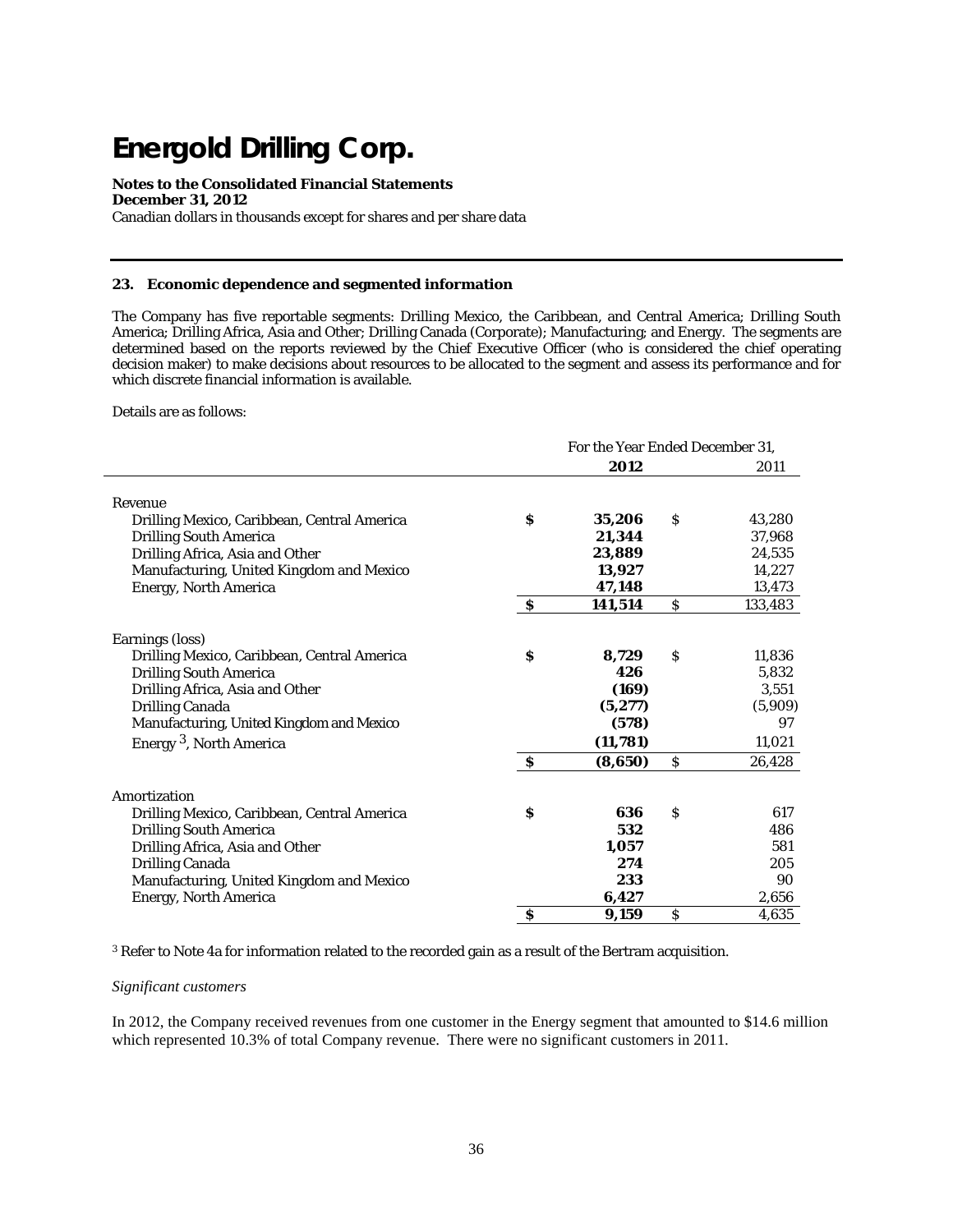# **Notes to the Consolidated Financial Statements**

**December 31, 2012** 

Canadian dollars in thousands except for shares and per share data

### **23. Economic dependence and segmented information**

The Company has five reportable segments: Drilling Mexico, the Caribbean, and Central America; Drilling South America; Drilling Africa, Asia and Other; Drilling Canada (Corporate); Manufacturing; and Energy. The segments are determined based on the reports reviewed by the Chief Executive Officer (who is considered the chief operating decision maker) to make decisions about resources to be allocated to the segment and assess its performance and for which discrete financial information is available.

Details are as follows:

|                                             | For the Year Ended December 31, |           |               |         |
|---------------------------------------------|---------------------------------|-----------|---------------|---------|
|                                             |                                 | 2012      |               | 2011    |
| Revenue                                     |                                 |           |               |         |
| Drilling Mexico, Caribbean, Central America | Ŝ                               | 35,206    | S             | 43,280  |
| <b>Drilling South America</b>               |                                 | 21,344    |               | 37,968  |
| Drilling Africa, Asia and Other             |                                 | 23,889    |               | 24,535  |
| Manufacturing, United Kingdom and Mexico    |                                 | 13,927    |               | 14,227  |
| <b>Energy, North America</b>                |                                 | 47,148    |               | 13,473  |
|                                             | S                               | 141,514   | \$            | 133,483 |
| Earnings (loss)                             |                                 |           |               |         |
| Drilling Mexico, Caribbean, Central America | \$                              | 8,729     | S             | 11,836  |
| <b>Drilling South America</b>               |                                 | 426       |               | 5,832   |
| Drilling Africa, Asia and Other             |                                 | (169)     |               | 3,551   |
| <b>Drilling Canada</b>                      |                                 | (5, 277)  |               | (5,909) |
| Manufacturing, United Kingdom and Mexico    |                                 | (578)     |               | 97      |
| Energy <sup>3</sup> , North America         |                                 | (11, 781) |               | 11,021  |
|                                             | $\mathbf{s}$                    | (8,650)   | $\mathsf{\$}$ | 26,428  |
| Amortization                                |                                 |           |               |         |
| Drilling Mexico, Caribbean, Central America | \$                              | 636       | \$            | 617     |
| <b>Drilling South America</b>               |                                 | 532       |               | 486     |
| Drilling Africa, Asia and Other             |                                 | 1,057     |               | 581     |
| <b>Drilling Canada</b>                      |                                 | 274       |               | 205     |
| Manufacturing, United Kingdom and Mexico    |                                 | 233       |               | 90      |
| <b>Energy, North America</b>                |                                 | 6,427     |               | 2,656   |
|                                             | S                               | 9,159     | S             | 4,635   |

3 Refer to Note 4a for information related to the recorded gain as a result of the Bertram acquisition.

# *Significant customers*

In 2012, the Company received revenues from one customer in the Energy segment that amounted to \$14.6 million which represented 10.3% of total Company revenue. There were no significant customers in 2011.